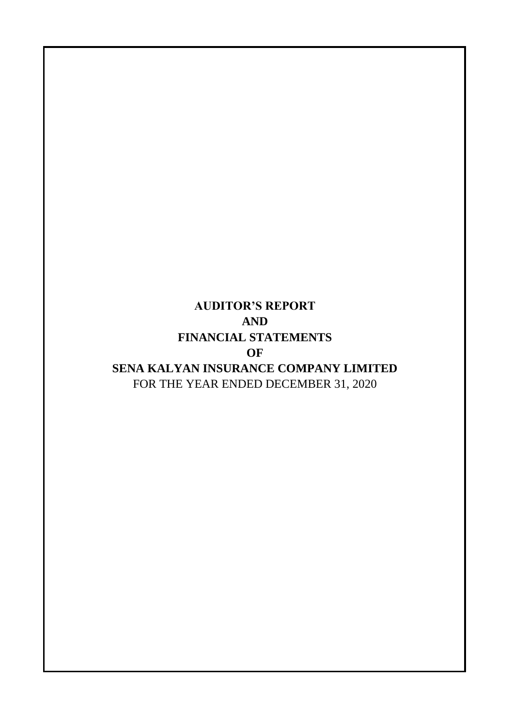## FOR THE YEAR ENDED DECEMBER 31, 2020 **AUDITOR'S REPORT AND FINANCIAL STATEMENTS OF SENA KALYAN INSURANCE COMPANY LIMITED**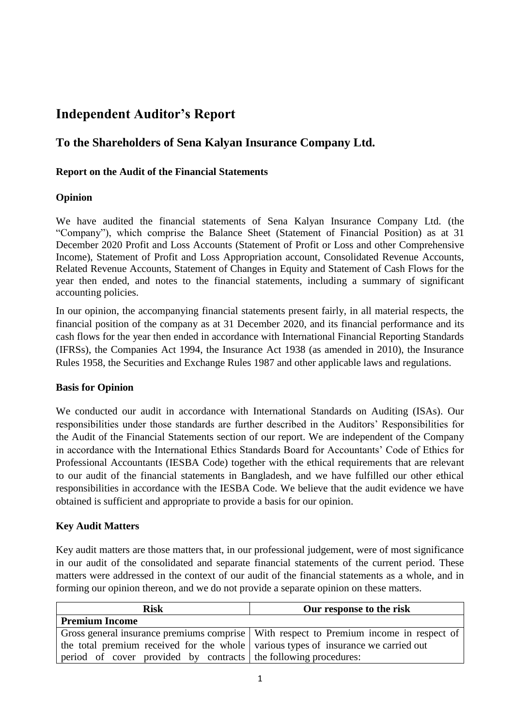## **Independent Auditor's Report**

## **To the Shareholders of Sena Kalyan Insurance Company Ltd.**

### **Report on the Audit of the Financial Statements**

## **Opinion**

We have audited the financial statements of Sena Kalyan Insurance Company Ltd. (the "Company"), which comprise the Balance Sheet (Statement of Financial Position) as at 31 December 2020 Profit and Loss Accounts (Statement of Profit or Loss and other Comprehensive Income), Statement of Profit and Loss Appropriation account, Consolidated Revenue Accounts, Related Revenue Accounts, Statement of Changes in Equity and Statement of Cash Flows for the year then ended, and notes to the financial statements, including a summary of significant accounting policies.

In our opinion, the accompanying financial statements present fairly, in all material respects, the financial position of the company as at 31 December 2020, and its financial performance and its cash flows for the year then ended in accordance with International Financial Reporting Standards (IFRSs), the Companies Act 1994, the Insurance Act 1938 (as amended in 2010), the Insurance Rules 1958, the Securities and Exchange Rules 1987 and other applicable laws and regulations.

#### **Basis for Opinion**

We conducted our audit in accordance with International Standards on Auditing (ISAs). Our responsibilities under those standards are further described in the Auditors' Responsibilities for the Audit of the Financial Statements section of our report. We are independent of the Company in accordance with the International Ethics Standards Board for Accountants' Code of Ethics for Professional Accountants (IESBA Code) together with the ethical requirements that are relevant to our audit of the financial statements in Bangladesh, and we have fulfilled our other ethical responsibilities in accordance with the IESBA Code. We believe that the audit evidence we have obtained is sufficient and appropriate to provide a basis for our opinion.

## **Key Audit Matters**

Key audit matters are those matters that, in our professional judgement, were of most significance in our audit of the consolidated and separate financial statements of the current period. These matters were addressed in the context of our audit of the financial statements as a whole, and in forming our opinion thereon, and we do not provide a separate opinion on these matters.

| <b>Risk</b>                                                                            | Our response to the risk |  |  |  |  |  |
|----------------------------------------------------------------------------------------|--------------------------|--|--|--|--|--|
| <b>Premium Income</b>                                                                  |                          |  |  |  |  |  |
| Gross general insurance premiums comprise With respect to Premium income in respect of |                          |  |  |  |  |  |
| the total premium received for the whole various types of insurance we carried out     |                          |  |  |  |  |  |
| period of cover provided by contracts the following procedures:                        |                          |  |  |  |  |  |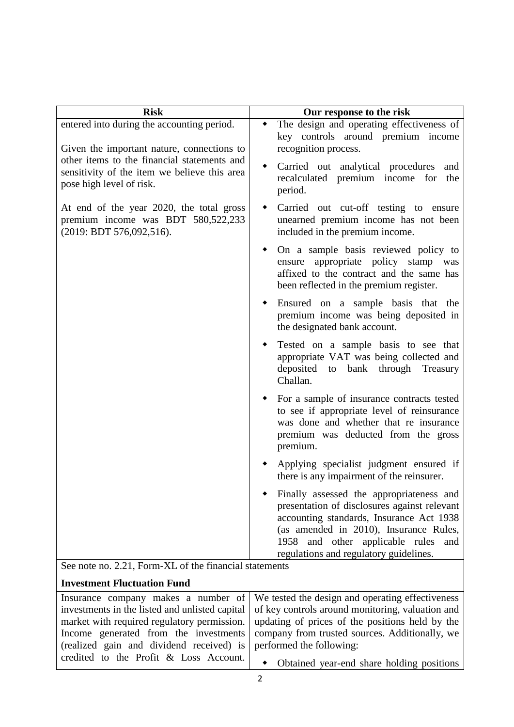| <b>Risk</b>                                                                                                             | Our response to the risk                                                                                                                                                                                                                                              |
|-------------------------------------------------------------------------------------------------------------------------|-----------------------------------------------------------------------------------------------------------------------------------------------------------------------------------------------------------------------------------------------------------------------|
| entered into during the accounting period.<br>Given the important nature, connections to                                | The design and operating effectiveness of<br>key controls around premium income<br>recognition process.                                                                                                                                                               |
| other items to the financial statements and<br>sensitivity of the item we believe this area<br>pose high level of risk. | Carried out analytical procedures<br>and<br>recalculated premium income for<br>the<br>period.                                                                                                                                                                         |
| At end of the year 2020, the total gross<br>premium income was BDT 580,522,233<br>(2019: BDT 576,092,516).              | Carried out cut-off testing to ensure<br>unearned premium income has not been<br>included in the premium income.                                                                                                                                                      |
|                                                                                                                         | On a sample basis reviewed policy to<br>ensure appropriate policy stamp was<br>affixed to the contract and the same has<br>been reflected in the premium register.                                                                                                    |
|                                                                                                                         | Ensured on a sample basis that the<br>premium income was being deposited in<br>the designated bank account.                                                                                                                                                           |
|                                                                                                                         | Tested on a sample basis to see that<br>appropriate VAT was being collected and<br>deposited to bank through Treasury<br>Challan.                                                                                                                                     |
|                                                                                                                         | For a sample of insurance contracts tested<br>to see if appropriate level of reinsurance<br>was done and whether that re insurance<br>premium was deducted from the gross<br>premium.                                                                                 |
|                                                                                                                         | Applying specialist judgment ensured if<br>there is any impairment of the reinsurer.                                                                                                                                                                                  |
|                                                                                                                         | Finally assessed the appropriateness and<br>presentation of disclosures against relevant<br>accounting standards, Insurance Act 1938<br>(as amended in 2010), Insurance Rules,<br>and other applicable rules<br>1958<br>and<br>regulations and regulatory guidelines. |
| See note no. 2.21, Form-XL of the financial statements                                                                  |                                                                                                                                                                                                                                                                       |
| Investment Fluctuation Fund                                                                                             |                                                                                                                                                                                                                                                                       |

| THRESUMENT FINCHMANON FUND                                                                      |                                                                                             |  |  |  |  |  |
|-------------------------------------------------------------------------------------------------|---------------------------------------------------------------------------------------------|--|--|--|--|--|
|                                                                                                 | Insurance company makes a number of We tested the design and operating effectiveness        |  |  |  |  |  |
| investments in the listed and unlisted capital of key controls around monitoring, valuation and |                                                                                             |  |  |  |  |  |
|                                                                                                 | market with required regulatory permission. updating of prices of the positions held by the |  |  |  |  |  |
|                                                                                                 | Income generated from the investments   company from trusted sources. Additionally, we      |  |  |  |  |  |
| (realized gain and dividend received) is performed the following:                               |                                                                                             |  |  |  |  |  |
| credited to the Profit $\&$ Loss Account.                                                       | • Obtained year-end share holding positions                                                 |  |  |  |  |  |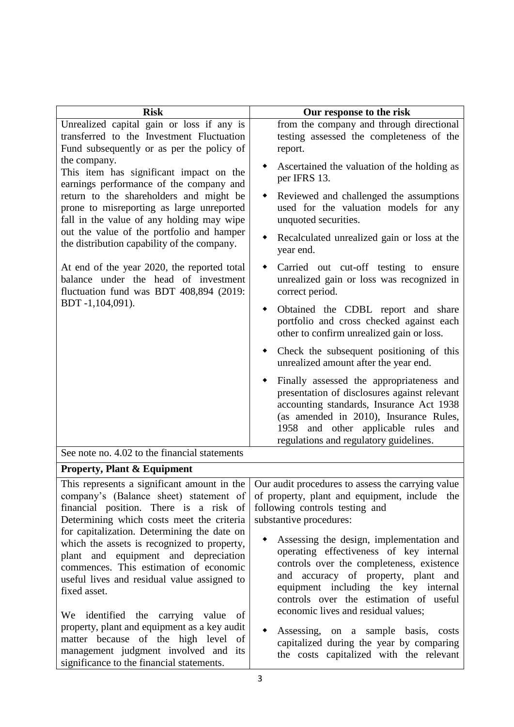| <b>Risk</b>                                                                                                                                                                                                                 | Our response to the risk                                                                                                                                                                                                                                        |
|-----------------------------------------------------------------------------------------------------------------------------------------------------------------------------------------------------------------------------|-----------------------------------------------------------------------------------------------------------------------------------------------------------------------------------------------------------------------------------------------------------------|
| Unrealized capital gain or loss if any is                                                                                                                                                                                   | from the company and through directional                                                                                                                                                                                                                        |
| transferred to the Investment Fluctuation                                                                                                                                                                                   | testing assessed the completeness of the                                                                                                                                                                                                                        |
| Fund subsequently or as per the policy of                                                                                                                                                                                   | report.                                                                                                                                                                                                                                                         |
| the company.<br>This item has significant impact on the                                                                                                                                                                     | Ascertained the valuation of the holding as<br>per IFRS 13.                                                                                                                                                                                                     |
| earnings performance of the company and<br>return to the shareholders and might be<br>prone to misreporting as large unreported<br>fall in the value of any holding may wipe<br>out the value of the portfolio and hamper   | Reviewed and challenged the assumptions<br>٠<br>used for the valuation models for any<br>unquoted securities.                                                                                                                                                   |
| the distribution capability of the company.                                                                                                                                                                                 | Recalculated unrealized gain or loss at the<br>٠<br>year end.                                                                                                                                                                                                   |
| At end of the year 2020, the reported total<br>balance under the head of investment<br>fluctuation fund was BDT 408,894 (2019:                                                                                              | Carried out cut-off testing to ensure<br>unrealized gain or loss was recognized in<br>correct period.                                                                                                                                                           |
| BDT-1,104,091).                                                                                                                                                                                                             | Obtained the CDBL report and share<br>٠<br>portfolio and cross checked against each<br>other to confirm unrealized gain or loss.                                                                                                                                |
|                                                                                                                                                                                                                             | Check the subsequent positioning of this<br>unrealized amount after the year end.                                                                                                                                                                               |
|                                                                                                                                                                                                                             | Finally assessed the appropriateness and<br>presentation of disclosures against relevant<br>accounting standards, Insurance Act 1938<br>(as amended in 2010), Insurance Rules,<br>1958 and other applicable rules and<br>regulations and regulatory guidelines. |
| See note no. 4.02 to the financial statements                                                                                                                                                                               |                                                                                                                                                                                                                                                                 |
| <b>Property, Plant &amp; Equipment</b>                                                                                                                                                                                      |                                                                                                                                                                                                                                                                 |
| This represents a significant amount in the<br>company's (Balance sheet) statement of<br>financial position. There is a risk of<br>Determining which costs meet the criteria<br>for capitalization. Determining the date on | Our audit procedures to assess the carrying value<br>of property, plant and equipment, include the<br>following controls testing and<br>substantive procedures:                                                                                                 |
| which the assets is recognized to property,<br>plant and equipment and depreciation<br>commences. This estimation of economic<br>useful lives and residual value assigned to<br>fixed asset.                                | Assessing the design, implementation and<br>operating effectiveness of key internal<br>controls over the completeness, existence<br>and accuracy of property, plant and<br>equipment including the key internal<br>controls over the estimation of useful       |
| We identified the carrying value<br>of<br>property, plant and equipment as a key audit<br>matter because of the high level<br>of<br>management judgment involved and<br>its<br>significance to the financial statements.    | economic lives and residual values;<br>Assessing, on a sample basis, costs<br>capitalized during the year by comparing<br>the costs capitalized with the relevant                                                                                               |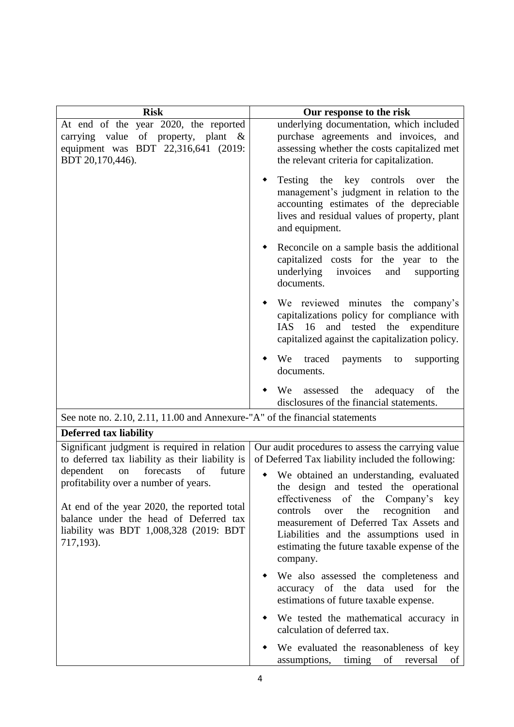| <b>Risk</b>                                                                                                                                                                                                                           | Our response to the risk                                                                                                                                                                                                                                                                                                         |
|---------------------------------------------------------------------------------------------------------------------------------------------------------------------------------------------------------------------------------------|----------------------------------------------------------------------------------------------------------------------------------------------------------------------------------------------------------------------------------------------------------------------------------------------------------------------------------|
| At end of the year 2020, the reported<br>carrying value of property, plant &<br>equipment was BDT 22,316,641 (2019:<br>BDT 20,170,446).                                                                                               | underlying documentation, which included<br>purchase agreements and invoices, and<br>assessing whether the costs capitalized met<br>the relevant criteria for capitalization.                                                                                                                                                    |
|                                                                                                                                                                                                                                       | Testing the key controls over<br>the<br>management's judgment in relation to the<br>accounting estimates of the depreciable<br>lives and residual values of property, plant<br>and equipment.                                                                                                                                    |
|                                                                                                                                                                                                                                       | Reconcile on a sample basis the additional<br>capitalized costs for the year to the<br>underlying<br>invoices<br>and<br>supporting<br>documents.                                                                                                                                                                                 |
|                                                                                                                                                                                                                                       | We reviewed minutes the company's<br>capitalizations policy for compliance with<br>and tested the expenditure<br>IAS<br>16<br>capitalized against the capitalization policy.                                                                                                                                                     |
|                                                                                                                                                                                                                                       | traced<br>We<br>payments<br>to<br>supporting<br>documents.                                                                                                                                                                                                                                                                       |
|                                                                                                                                                                                                                                       | We<br>the<br>adequacy of<br>assessed<br>the<br>disclosures of the financial statements.                                                                                                                                                                                                                                          |
| See note no. 2.10, 2.11, 11.00 and Annexure-"A" of the financial statements                                                                                                                                                           |                                                                                                                                                                                                                                                                                                                                  |
| <b>Deferred tax liability</b>                                                                                                                                                                                                         |                                                                                                                                                                                                                                                                                                                                  |
| Significant judgment is required in relation<br>to deferred tax liability as their liability is                                                                                                                                       | Our audit procedures to assess the carrying value<br>of Deferred Tax liability included the following:                                                                                                                                                                                                                           |
| dependent<br>forecasts<br>of<br>future<br>on<br>profitability over a number of years.<br>At end of the year 2020, the reported total<br>balance under the head of Deferred tax<br>liability was BDT 1,008,328 (2019: BDT<br>717,193). | We obtained an understanding, evaluated<br>٠<br>the design and tested the operational<br>effectiveness of the Company's<br>key<br>the<br>controls<br>recognition<br>and<br>over<br>measurement of Deferred Tax Assets and<br>Liabilities and the assumptions used in<br>estimating the future taxable expense of the<br>company. |
|                                                                                                                                                                                                                                       | We also assessed the completeness and<br>accuracy of the data used for<br>the<br>estimations of future taxable expense.                                                                                                                                                                                                          |
|                                                                                                                                                                                                                                       | We tested the mathematical accuracy in<br>calculation of deferred tax.                                                                                                                                                                                                                                                           |
|                                                                                                                                                                                                                                       | We evaluated the reasonableness of key<br>assumptions,<br>timing<br>of<br>reversal<br>of                                                                                                                                                                                                                                         |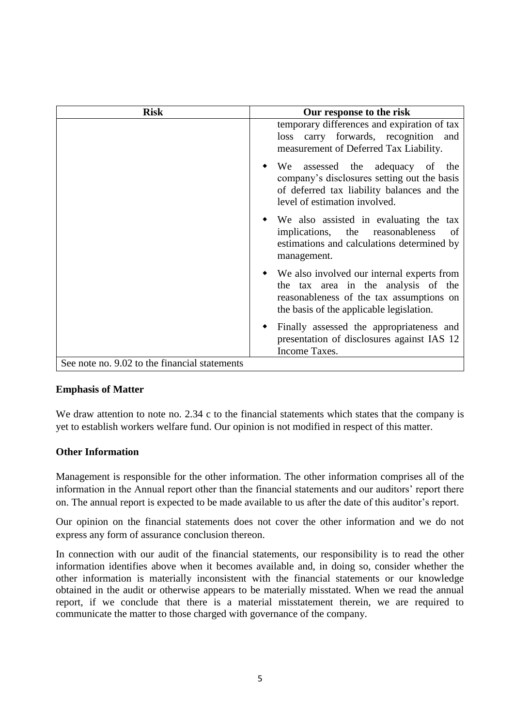| Risk                                          | Our response to the risk                                                                                                                                                    |  |  |  |  |  |
|-----------------------------------------------|-----------------------------------------------------------------------------------------------------------------------------------------------------------------------------|--|--|--|--|--|
|                                               | temporary differences and expiration of tax<br>loss carry forwards, recognition and<br>measurement of Deferred Tax Liability.                                               |  |  |  |  |  |
|                                               | We assessed the adequacy of the<br>company's disclosures setting out the basis<br>of deferred tax liability balances and the<br>level of estimation involved.               |  |  |  |  |  |
|                                               | • We also assisted in evaluating the tax<br>implications, the reasonableness<br>of<br>estimations and calculations determined by<br>management.                             |  |  |  |  |  |
|                                               | • We also involved our internal experts from<br>the tax area in the analysis of the<br>reasonableness of the tax assumptions on<br>the basis of the applicable legislation. |  |  |  |  |  |
|                                               | Finally assessed the appropriateness and<br>presentation of disclosures against IAS 12<br>Income Taxes.                                                                     |  |  |  |  |  |
| See note no. 9.02 to the financial statements |                                                                                                                                                                             |  |  |  |  |  |

#### **Emphasis of Matter**

We draw attention to note no. 2.34 c to the financial statements which states that the company is yet to establish workers welfare fund. Our opinion is not modified in respect of this matter.

## **Other Information**

Management is responsible for the other information. The other information comprises all of the information in the Annual report other than the financial statements and our auditors' report there on. The annual report is expected to be made available to us after the date of this auditor's report.

Our opinion on the financial statements does not cover the other information and we do not express any form of assurance conclusion thereon.

In connection with our audit of the financial statements, our responsibility is to read the other information identifies above when it becomes available and, in doing so, consider whether the other information is materially inconsistent with the financial statements or our knowledge obtained in the audit or otherwise appears to be materially misstated. When we read the annual report, if we conclude that there is a material misstatement therein, we are required to communicate the matter to those charged with governance of the company.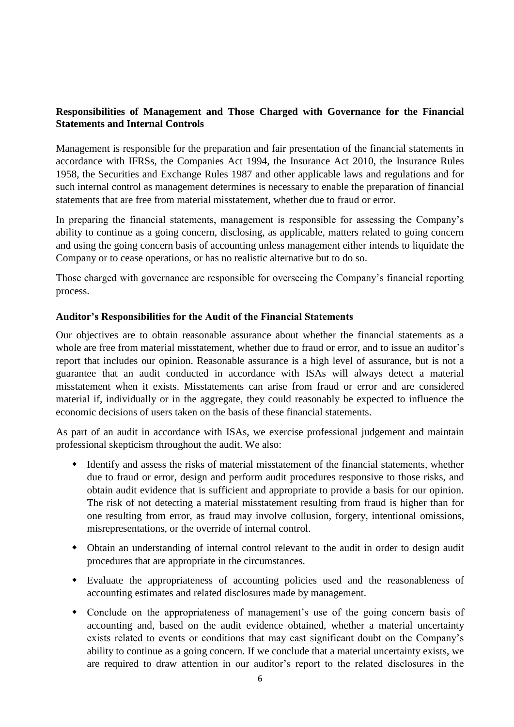## **Responsibilities of Management and Those Charged with Governance for the Financial Statements and Internal Controls**

Management is responsible for the preparation and fair presentation of the financial statements in accordance with IFRSs, the Companies Act 1994, the Insurance Act 2010, the Insurance Rules 1958, the Securities and Exchange Rules 1987 and other applicable laws and regulations and for such internal control as management determines is necessary to enable the preparation of financial statements that are free from material misstatement, whether due to fraud or error.

In preparing the financial statements, management is responsible for assessing the Company's ability to continue as a going concern, disclosing, as applicable, matters related to going concern and using the going concern basis of accounting unless management either intends to liquidate the Company or to cease operations, or has no realistic alternative but to do so.

Those charged with governance are responsible for overseeing the Company's financial reporting process.

### **Auditor's Responsibilities for the Audit of the Financial Statements**

Our objectives are to obtain reasonable assurance about whether the financial statements as a whole are free from material misstatement, whether due to fraud or error, and to issue an auditor's report that includes our opinion. Reasonable assurance is a high level of assurance, but is not a guarantee that an audit conducted in accordance with ISAs will always detect a material misstatement when it exists. Misstatements can arise from fraud or error and are considered material if, individually or in the aggregate, they could reasonably be expected to influence the economic decisions of users taken on the basis of these financial statements.

As part of an audit in accordance with ISAs, we exercise professional judgement and maintain professional skepticism throughout the audit. We also:

- Identify and assess the risks of material misstatement of the financial statements, whether due to fraud or error, design and perform audit procedures responsive to those risks, and obtain audit evidence that is sufficient and appropriate to provide a basis for our opinion. The risk of not detecting a material misstatement resulting from fraud is higher than for one resulting from error, as fraud may involve collusion, forgery, intentional omissions, misrepresentations, or the override of internal control.
- Obtain an understanding of internal control relevant to the audit in order to design audit procedures that are appropriate in the circumstances.
- Evaluate the appropriateness of accounting policies used and the reasonableness of accounting estimates and related disclosures made by management.
- Conclude on the appropriateness of management's use of the going concern basis of accounting and, based on the audit evidence obtained, whether a material uncertainty exists related to events or conditions that may cast significant doubt on the Company's ability to continue as a going concern. If we conclude that a material uncertainty exists, we are required to draw attention in our auditor's report to the related disclosures in the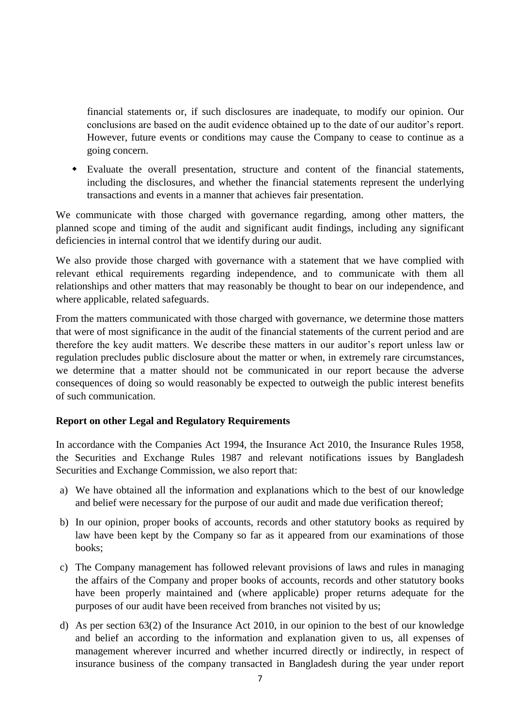financial statements or, if such disclosures are inadequate, to modify our opinion. Our conclusions are based on the audit evidence obtained up to the date of our auditor's report. However, future events or conditions may cause the Company to cease to continue as a going concern.

 Evaluate the overall presentation, structure and content of the financial statements, including the disclosures, and whether the financial statements represent the underlying transactions and events in a manner that achieves fair presentation.

We communicate with those charged with governance regarding, among other matters, the planned scope and timing of the audit and significant audit findings, including any significant deficiencies in internal control that we identify during our audit.

We also provide those charged with governance with a statement that we have complied with relevant ethical requirements regarding independence, and to communicate with them all relationships and other matters that may reasonably be thought to bear on our independence, and where applicable, related safeguards.

From the matters communicated with those charged with governance, we determine those matters that were of most significance in the audit of the financial statements of the current period and are therefore the key audit matters. We describe these matters in our auditor's report unless law or regulation precludes public disclosure about the matter or when, in extremely rare circumstances, we determine that a matter should not be communicated in our report because the adverse consequences of doing so would reasonably be expected to outweigh the public interest benefits of such communication.

## **Report on other Legal and Regulatory Requirements**

In accordance with the Companies Act 1994, the Insurance Act 2010, the Insurance Rules 1958, the Securities and Exchange Rules 1987 and relevant notifications issues by Bangladesh Securities and Exchange Commission, we also report that:

- a) We have obtained all the information and explanations which to the best of our knowledge and belief were necessary for the purpose of our audit and made due verification thereof;
- b) In our opinion, proper books of accounts, records and other statutory books as required by law have been kept by the Company so far as it appeared from our examinations of those books;
- c) The Company management has followed relevant provisions of laws and rules in managing the affairs of the Company and proper books of accounts, records and other statutory books have been properly maintained and (where applicable) proper returns adequate for the purposes of our audit have been received from branches not visited by us;
- d) As per section 63(2) of the Insurance Act 2010, in our opinion to the best of our knowledge and belief an according to the information and explanation given to us, all expenses of management wherever incurred and whether incurred directly or indirectly, in respect of insurance business of the company transacted in Bangladesh during the year under report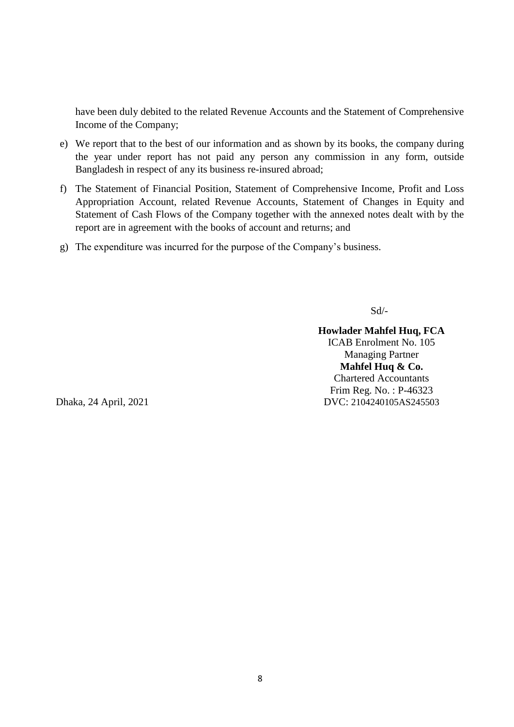have been duly debited to the related Revenue Accounts and the Statement of Comprehensive Income of the Company;

- e) We report that to the best of our information and as shown by its books, the company during the year under report has not paid any person any commission in any form, outside Bangladesh in respect of any its business re-insured abroad;
- f) The Statement of Financial Position, Statement of Comprehensive Income, Profit and Loss Appropriation Account, related Revenue Accounts, Statement of Changes in Equity and Statement of Cash Flows of the Company together with the annexed notes dealt with by the report are in agreement with the books of account and returns; and
- g) The expenditure was incurred for the purpose of the Company's business.

Sd/-

**Howlader Mahfel Huq, FCA** ICAB Enrolment No. 105 Managing Partner **Mahfel Huq & Co.** Chartered Accountants Frim Reg. No. : P-46323 DVC: 2104240105AS245503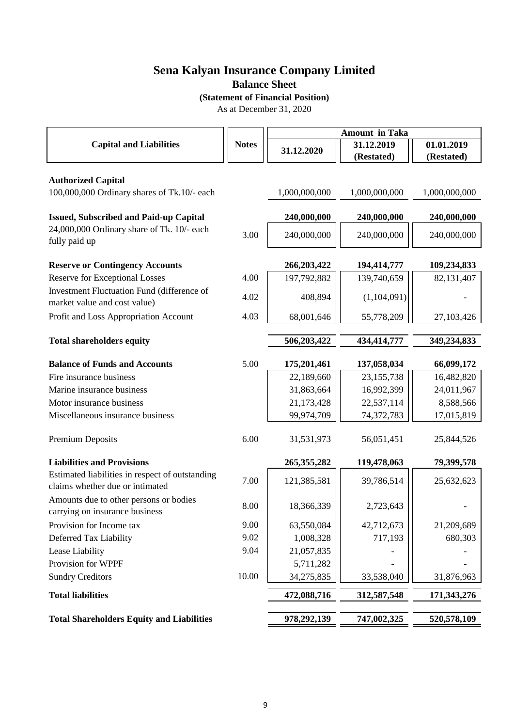**Balance Sheet**

**(Statement of Financial Position)**

As at December 31, 2020

|                                                                                    |              | <b>Amount in Taka</b> |                          |                          |  |
|------------------------------------------------------------------------------------|--------------|-----------------------|--------------------------|--------------------------|--|
| <b>Capital and Liabilities</b>                                                     | <b>Notes</b> | 31.12.2020            | 31.12.2019<br>(Restated) | 01.01.2019<br>(Restated) |  |
|                                                                                    |              |                       |                          |                          |  |
| <b>Authorized Capital</b><br>100,000,000 Ordinary shares of Tk.10/- each           |              | 1,000,000,000         | 1,000,000,000            | 1,000,000,000            |  |
| <b>Issued, Subscribed and Paid-up Capital</b>                                      |              | 240,000,000           | 240,000,000              | 240,000,000              |  |
| 24,000,000 Ordinary share of Tk. 10/- each<br>fully paid up                        | 3.00         | 240,000,000           | 240,000,000              | 240,000,000              |  |
| <b>Reserve or Contingency Accounts</b>                                             |              | 266,203,422           | 194,414,777              | 109,234,833              |  |
| <b>Reserve for Exceptional Losses</b>                                              | 4.00         | 197,792,882           | 139,740,659              | 82,131,407               |  |
| Investment Fluctuation Fund (difference of<br>market value and cost value)         | 4.02         | 408,894               | (1,104,091)              |                          |  |
| Profit and Loss Appropriation Account                                              | 4.03         | 68,001,646            | 55,778,209               | 27, 103, 426             |  |
|                                                                                    |              |                       |                          |                          |  |
| <b>Total shareholders equity</b>                                                   |              | 506,203,422           | 434,414,777              | 349,234,833              |  |
| <b>Balance of Funds and Accounts</b>                                               | 5.00         | 175,201,461           | 137,058,034              | 66,099,172               |  |
| Fire insurance business                                                            |              | 22,189,660            | 23, 155, 738             | 16,482,820               |  |
| Marine insurance business                                                          |              | 31,863,664            | 16,992,399               | 24,011,967               |  |
| Motor insurance business                                                           |              | 21,173,428            | 22,537,114               | 8,588,566                |  |
| Miscellaneous insurance business                                                   |              | 99,974,709            | 74,372,783               | 17,015,819               |  |
| Premium Deposits                                                                   | 6.00         | 31,531,973            | 56,051,451               | 25,844,526               |  |
| <b>Liabilities and Provisions</b>                                                  |              | 265,355,282           | 119,478,063              | 79,399,578               |  |
| Estimated liabilities in respect of outstanding<br>claims whether due or intimated | 7.00         | 121,385,581           | 39,786,514               | 25,632,623               |  |
| Amounts due to other persons or bodies<br>carrying on insurance business           | 8.00         | 18,366,339            | 2,723,643                |                          |  |
| Provision for Income tax                                                           | 9.00         | 63,550,084            | 42,712,673               | 21,209,689               |  |
| Deferred Tax Liability                                                             | 9.02         | 1,008,328             | 717,193                  | 680,303                  |  |
| Lease Liability                                                                    | 9.04         | 21,057,835            |                          |                          |  |
| Provision for WPPF                                                                 |              | 5,711,282             |                          |                          |  |
| <b>Sundry Creditors</b>                                                            | 10.00        | 34,275,835            | 33,538,040               | 31,876,963               |  |
| <b>Total liabilities</b>                                                           |              | 472,088,716           | 312,587,548              | 171, 343, 276            |  |
| <b>Total Shareholders Equity and Liabilities</b>                                   |              | 978,292,139           | 747,002,325              | 520,578,109              |  |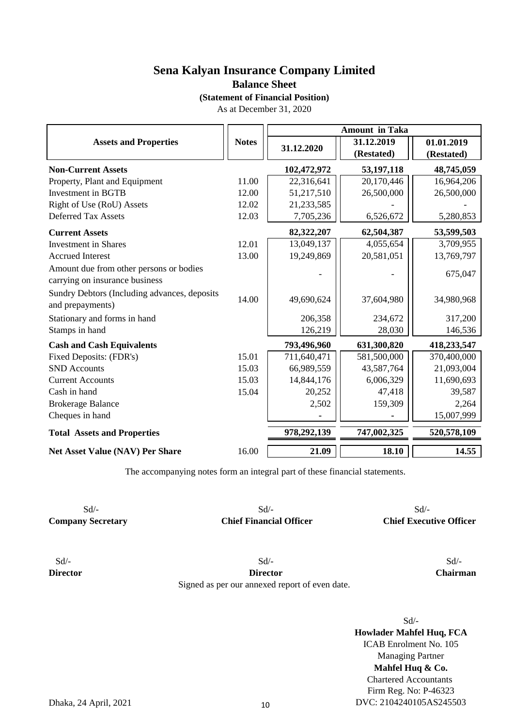**Balance Sheet**

**(Statement of Financial Position)**

As at December 31, 2020

|                                                                           |              | <b>Amount in Taka</b> |                          |                          |  |  |
|---------------------------------------------------------------------------|--------------|-----------------------|--------------------------|--------------------------|--|--|
| <b>Assets and Properties</b>                                              | <b>Notes</b> | 31.12.2020            | 31.12.2019<br>(Restated) | 01.01.2019<br>(Restated) |  |  |
| <b>Non-Current Assets</b>                                                 |              | 102,472,972           | 53, 197, 118             | 48,745,059               |  |  |
| Property, Plant and Equipment                                             | 11.00        | 22,316,641            | 20,170,446               | 16,964,206               |  |  |
| Investment in BGTB                                                        | 12.00        | 51,217,510            | 26,500,000               | 26,500,000               |  |  |
| Right of Use (RoU) Assets                                                 | 12.02        | 21,233,585            |                          |                          |  |  |
| <b>Deferred Tax Assets</b>                                                | 12.03        | 7,705,236             | 6,526,672                | 5,280,853                |  |  |
| <b>Current Assets</b>                                                     |              | 82,322,207            | 62,504,387               | 53,599,503               |  |  |
| <b>Investment</b> in Shares                                               | 12.01        | 13,049,137            | 4,055,654                | 3,709,955                |  |  |
| <b>Accrued Interest</b>                                                   | 13.00        | 19,249,869            | 20,581,051               | 13,769,797               |  |  |
| Amount due from other persons or bodies<br>carrying on insurance business |              |                       |                          | 675,047                  |  |  |
| Sundry Debtors (Including advances, deposits<br>and prepayments)          | 14.00        | 49,690,624            | 37,604,980               | 34,980,968               |  |  |
| Stationary and forms in hand                                              |              | 206,358               | 234,672                  | 317,200                  |  |  |
| Stamps in hand                                                            |              | 126,219               | 28,030                   | 146,536                  |  |  |
| <b>Cash and Cash Equivalents</b>                                          |              | 793,496,960           | 631,300,820              | 418,233,547              |  |  |
| Fixed Deposits: (FDR's)                                                   | 15.01        | 711,640,471           | 581,500,000              | 370,400,000              |  |  |
| <b>SND</b> Accounts                                                       | 15.03        | 66,989,559            | 43,587,764               | 21,093,004               |  |  |
| <b>Current Accounts</b>                                                   | 15.03        | 14,844,176            | 6,006,329                | 11,690,693               |  |  |
| Cash in hand                                                              | 15.04        | 20,252                | 47,418                   | 39,587                   |  |  |
| <b>Brokerage Balance</b>                                                  |              | 2,502                 | 159,309                  | 2,264                    |  |  |
| Cheques in hand                                                           |              |                       |                          | 15,007,999               |  |  |
| <b>Total Assets and Properties</b>                                        |              | 978,292,139           | 747,002,325              | 520,578,109              |  |  |
| Net Asset Value (NAV) Per Share                                           | 16.00        | 21.09                 | 18.10                    | 14.55                    |  |  |

The accompanying notes form an integral part of these financial statements.

 $Sd$  -  $Sd$  -  $Sd$  -**Company Secretary Chief Financial Officer Chief Executive Officer**

 $Sd$  -  $Sd$  -  $Sd$  -

**Director Director Chairman** Signed as per our annexed report of even date.

**Mahfel Huq & Co.** Chartered Accountants Firm Reg. No: P-46323 DVC: 2104240105AS245503 **Howlader Mahfel Huq, FCA** ICAB Enrolment No. 105 Managing Partner Sd/-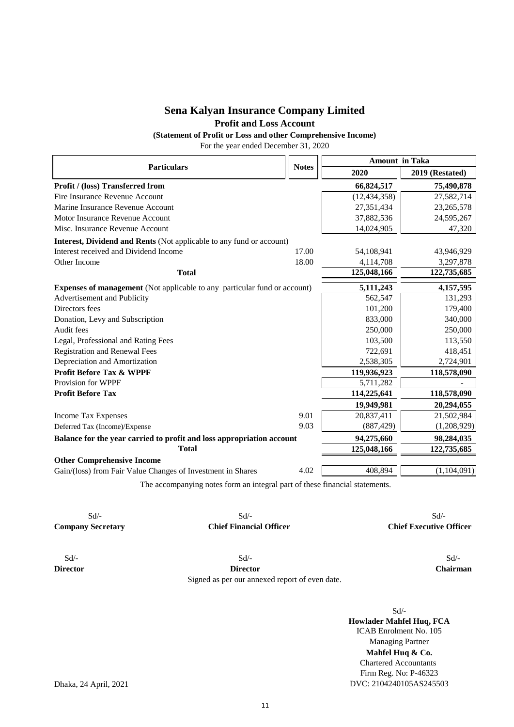## **Sena Kalyan Insurance Company Limited Profit and Loss Account**

**(Statement of Profit or Loss and other Comprehensive Income)**

For the year ended December 31, 2020

| <b>Particulars</b>                                                               | <b>Notes</b> | <b>Amount in Taka</b> |                 |  |  |
|----------------------------------------------------------------------------------|--------------|-----------------------|-----------------|--|--|
|                                                                                  |              | 2020                  | 2019 (Restated) |  |  |
| Profit / (loss) Transferred from                                                 |              | 66,824,517            | 75,490,878      |  |  |
| Fire Insurance Revenue Account                                                   |              | (12, 434, 358)        | 27,582,714      |  |  |
| Marine Insurance Revenue Account                                                 |              | 27,351,434            | 23, 265, 578    |  |  |
| Motor Insurance Revenue Account                                                  |              | 37,882,536            | 24,595,267      |  |  |
| Misc. Insurance Revenue Account                                                  |              | 14,024,905            | 47,320          |  |  |
| <b>Interest, Dividend and Rents</b> (Not applicable to any fund or account)      |              |                       |                 |  |  |
| Interest received and Dividend Income                                            | 17.00        | 54,108,941            | 43,946,929      |  |  |
| Other Income                                                                     | 18.00        | 4,114,708             | 3,297,878       |  |  |
| <b>Total</b>                                                                     |              | 125,048,166           | 122,735,685     |  |  |
| <b>Expenses of management</b> (Not applicable to any particular fund or account) |              | 5,111,243             | 4,157,595       |  |  |
| Advertisement and Publicity                                                      |              | 562,547               | 131,293         |  |  |
| Directors fees                                                                   |              | 101,200               | 179,400         |  |  |
| Donation, Levy and Subscription                                                  |              | 833,000               | 340,000         |  |  |
| Audit fees                                                                       |              | 250,000               | 250,000         |  |  |
| Legal, Professional and Rating Fees                                              |              | 103,500               | 113,550         |  |  |
| <b>Registration and Renewal Fees</b>                                             |              | 722,691               | 418,451         |  |  |
| Depreciation and Amortization                                                    |              | 2,538,305             | 2,724,901       |  |  |
| <b>Profit Before Tax &amp; WPPF</b>                                              |              | 119,936,923           | 118,578,090     |  |  |
| Provision for WPPF                                                               |              | 5,711,282             |                 |  |  |
| <b>Profit Before Tax</b>                                                         |              | 114,225,641           | 118,578,090     |  |  |
|                                                                                  |              | 19,949,981            | 20,294,055      |  |  |
| <b>Income Tax Expenses</b>                                                       | 9.01         | 20,837,411            | 21,502,984      |  |  |
| Deferred Tax (Income)/Expense                                                    | 9.03         | (887, 429)            | (1,208,929)     |  |  |
| Balance for the year carried to profit and loss appropriation account            |              | 94,275,660            | 98,284,035      |  |  |
| <b>Total</b>                                                                     |              | 125,048,166           | 122,735,685     |  |  |
| <b>Other Comprehensive Income</b>                                                |              |                       |                 |  |  |
| Gain/(loss) from Fair Value Changes of Investment in Shares                      | 4.02         | 408,894               | (1,104,091)     |  |  |
| The accompanying notes form an integral part of these financial statements.      |              |                       |                 |  |  |

Sd/- Sd/- Sd/- **Company Secretary Chief Financial Officer Chief Executive Officer**

**Director Director Chairman** Signed as per our annexed report of even date.

 $Sd$ - $Sd$ - $Sd$ -

Sd/- **Howlader Mahfel Huq, FCA** ICAB Enrolment No. 105 Managing Partner Firm Reg. No: P-46323 DVC: 2104240105AS245503 **Mahfel Huq & Co.** Chartered Accountants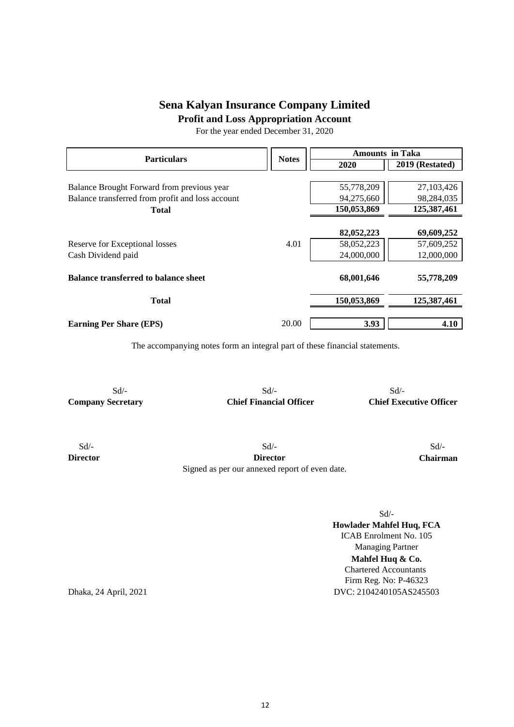**Profit and Loss Appropriation Account**

For the year ended December 31, 2020

| <b>Particulars</b>                               | <b>Notes</b> | <b>Amounts in Taka</b> |                 |  |  |
|--------------------------------------------------|--------------|------------------------|-----------------|--|--|
|                                                  |              | 2020                   | 2019 (Restated) |  |  |
|                                                  |              |                        |                 |  |  |
| Balance Brought Forward from previous year       |              | 55,778,209             | 27, 103, 426    |  |  |
| Balance transferred from profit and loss account |              | 94,275,660             | 98,284,035      |  |  |
| <b>Total</b>                                     |              | 150,053,869            | 125,387,461     |  |  |
|                                                  |              |                        |                 |  |  |
|                                                  |              | 82,052,223             | 69,609,252      |  |  |
| Reserve for Exceptional losses                   | 4.01         | 58,052,223             | 57,609,252      |  |  |
| Cash Dividend paid                               |              | 24,000,000             | 12,000,000      |  |  |
| <b>Balance transferred to balance sheet</b>      |              | 68,001,646             | 55,778,209      |  |  |
| <b>Total</b>                                     |              | 150,053,869            | 125,387,461     |  |  |
| <b>Earning Per Share (EPS)</b>                   | 20.00        | 3.93                   | 4.10            |  |  |

The accompanying notes form an integral part of these financial statements.

 $Sd$  -  $Sd$  -  $Sd$  -  $Sd$  -

**Company Secretary Chief Financial Officer Chief Executive Officer**

 $Sd$   $\sim$   $Sd$   $\sim$   $Sd$   $\sim$ **Director Director Chairman** Signed as per our annexed report of even date.

Sd/-

Firm Reg. No: P-46323 DVC: 2104240105AS245503 Chartered Accountants **Mahfel Huq & Co. Howlader Mahfel Huq, FCA** ICAB Enrolment No. 105 Managing Partner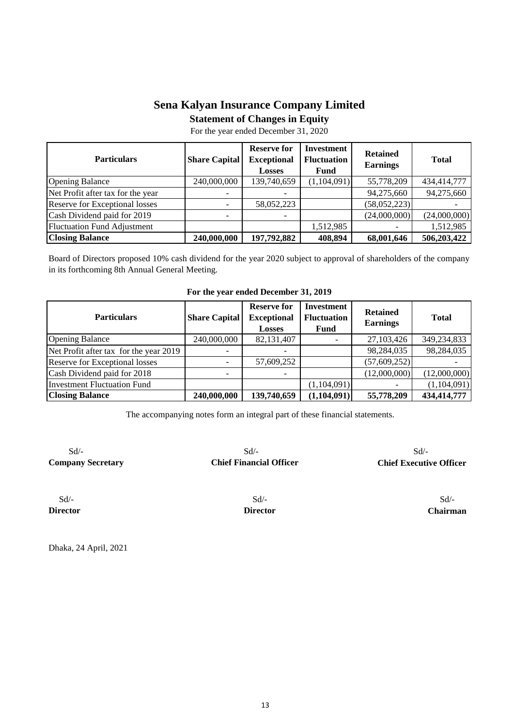**Statement of Changes in Equity**

For the year ended December 31, 2020

| <b>Particulars</b>                 | <b>Share Capital</b> | <b>Reserve for</b><br><b>Exceptional</b><br><b>Losses</b> | Investment<br><b>Fluctuation</b><br>Fund | <b>Retained</b><br><b>Earnings</b> | <b>Total</b> |
|------------------------------------|----------------------|-----------------------------------------------------------|------------------------------------------|------------------------------------|--------------|
| <b>Opening Balance</b>             | 240,000,000          | 139,740,659                                               | (1,104,091)                              | 55,778,209                         | 434,414,777  |
| Net Profit after tax for the year  |                      |                                                           |                                          | 94,275,660                         | 94,275,660   |
| Reserve for Exceptional losses     |                      | 58,052,223                                                |                                          | (58,052,223)                       |              |
| Cash Dividend paid for 2019        |                      |                                                           |                                          | (24,000,000)                       | (24,000,000) |
| <b>Fluctuation Fund Adjustment</b> |                      |                                                           | 1,512,985                                |                                    | 1,512,985    |
| <b>Closing Balance</b>             | 240,000,000          | 197,792,882                                               | 408,894                                  | 68,001,646                         | 506,203,422  |

Board of Directors proposed 10% cash dividend for the year 2020 subject to approval of shareholders of the company in its forthcoming 8th Annual General Meeting.

| <b>Particulars</b>                     | <b>Share Capital</b> | <b>Reserve for</b><br><b>Exceptional</b><br><b>Losses</b> | Investment<br><b>Fluctuation</b><br><b>Fund</b> | <b>Retained</b><br><b>Earnings</b> | <b>Total</b> |  |  |  |
|----------------------------------------|----------------------|-----------------------------------------------------------|-------------------------------------------------|------------------------------------|--------------|--|--|--|
| <b>Opening Balance</b>                 | 240,000,000          | 82,131,407                                                |                                                 | 27,103,426                         | 349,234,833  |  |  |  |
| Net Profit after tax for the year 2019 |                      |                                                           |                                                 | 98,284,035                         | 98,284,035   |  |  |  |
| Reserve for Exceptional losses         |                      | 57,609,252                                                |                                                 | (57, 609, 252)                     |              |  |  |  |
| Cash Dividend paid for 2018            |                      |                                                           |                                                 | (12,000,000)                       | (12,000,000) |  |  |  |
| <b>Investment Fluctuation Fund</b>     |                      |                                                           | (1,104,091)                                     |                                    | (1,104,091)  |  |  |  |
| <b>Closing Balance</b>                 | 240,000,000          | 139,740,659                                               | (1,104,091)                                     | 55,778,209                         | 434,414,777  |  |  |  |

| For the year ended December 31, 2019 |  |  |  |  |  |  |
|--------------------------------------|--|--|--|--|--|--|
|--------------------------------------|--|--|--|--|--|--|

The accompanying notes form an integral part of these financial statements.

 $Sd$ - $Sd$ - $Sd$ - $Sd$ -**Company Secretary Chief Financial Officer Chief Executive Officer**

 $Sd$ - $Sd$ - $Sd$ -

**Director Director Chairman**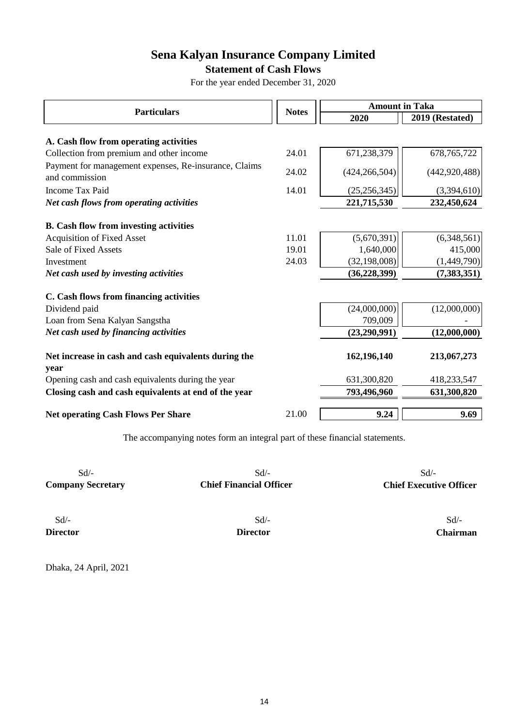## **Statement of Cash Flows**

For the year ended December 31, 2020

| <b>Particulars</b>                                                      |              |                 | <b>Amount in Taka</b> |  |  |
|-------------------------------------------------------------------------|--------------|-----------------|-----------------------|--|--|
|                                                                         | <b>Notes</b> | 2020            | 2019 (Restated)       |  |  |
|                                                                         |              |                 |                       |  |  |
| A. Cash flow from operating activities                                  |              |                 |                       |  |  |
| Collection from premium and other income                                | 24.01        | 671,238,379     | 678, 765, 722         |  |  |
| Payment for management expenses, Re-insurance, Claims<br>and commission | 24.02        | (424, 266, 504) | (442, 920, 488)       |  |  |
| Income Tax Paid                                                         | 14.01        | (25, 256, 345)  | (3,394,610)           |  |  |
| Net cash flows from operating activities                                |              | 221,715,530     | 232,450,624           |  |  |
| <b>B.</b> Cash flow from investing activities                           |              |                 |                       |  |  |
| <b>Acquisition of Fixed Asset</b>                                       | 11.01        | (5,670,391)     | (6,348,561)           |  |  |
| Sale of Fixed Assets                                                    | 19.01        | 1,640,000       | 415,000               |  |  |
| Investment                                                              | 24.03        | (32, 198, 008)  | (1,449,790)           |  |  |
| Net cash used by investing activities                                   |              | (36, 228, 399)  | (7,383,351)           |  |  |
| C. Cash flows from financing activities                                 |              |                 |                       |  |  |
| Dividend paid                                                           |              | (24,000,000)    | (12,000,000)          |  |  |
| Loan from Sena Kalyan Sangstha                                          |              | 709,009         |                       |  |  |
| Net cash used by financing activities                                   |              | (23, 290, 991)  | (12,000,000)          |  |  |
| Net increase in cash and cash equivalents during the<br>year            |              | 162,196,140     | 213,067,273           |  |  |
| Opening cash and cash equivalents during the year                       |              | 631,300,820     | 418,233,547           |  |  |
| Closing cash and cash equivalents at end of the year                    |              | 793,496,960     | 631,300,820           |  |  |
|                                                                         |              |                 |                       |  |  |
| <b>Net operating Cash Flows Per Share</b>                               | 21.00        | 9.24            | 9.69                  |  |  |

The accompanying notes form an integral part of these financial statements.

| $Sd$ –                   | $Sd$ /-                        | $Sd$ /-                        |
|--------------------------|--------------------------------|--------------------------------|
| <b>Company Secretary</b> | <b>Chief Financial Officer</b> | <b>Chief Executive Officer</b> |
| $Sd$ /-                  | Sd                             | $Sd$ /-                        |
| <b>Director</b>          | <b>Director</b>                | <b>Chairman</b>                |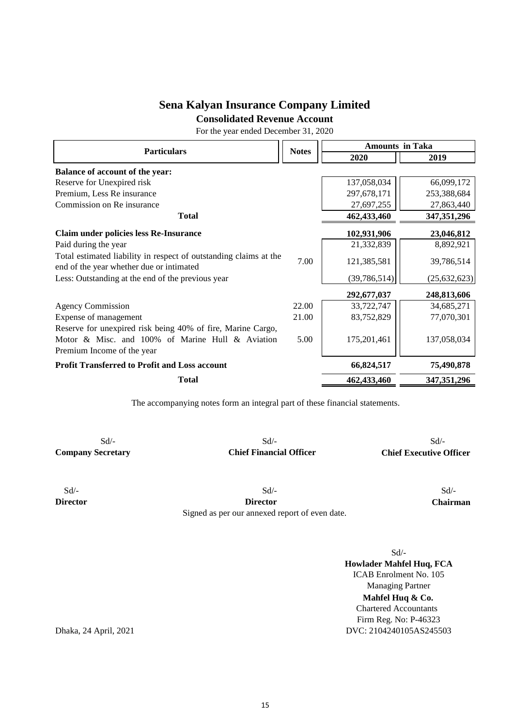**Consolidated Revenue Account**

For the year ended December 31, 2020

| <b>Particulars</b>                                                                                            |              | <b>Amounts in Taka</b> |                |  |
|---------------------------------------------------------------------------------------------------------------|--------------|------------------------|----------------|--|
|                                                                                                               | <b>Notes</b> | 2020                   | 2019           |  |
| <b>Balance of account of the year:</b>                                                                        |              |                        |                |  |
| Reserve for Unexpired risk                                                                                    |              | 137,058,034            | 66,099,172     |  |
| Premium, Less Re insurance                                                                                    |              | 297,678,171            | 253,388,684    |  |
| Commission on Re insurance                                                                                    |              | 27,697,255             | 27,863,440     |  |
| <b>Total</b>                                                                                                  |              | 462,433,460            | 347, 351, 296  |  |
| <b>Claim under policies less Re-Insurance</b>                                                                 |              | 102,931,906            | 23,046,812     |  |
| Paid during the year                                                                                          |              | 21,332,839             | 8,892,921      |  |
| Total estimated liability in respect of outstanding claims at the<br>end of the year whether due or intimated | 7.00         | 121,385,581            | 39,786,514     |  |
| Less: Outstanding at the end of the previous year                                                             |              | (39, 786, 514)         | (25, 632, 623) |  |
|                                                                                                               |              | 292,677,037            | 248,813,606    |  |
| <b>Agency Commission</b>                                                                                      | 22.00        | 33,722,747             | 34,685,271     |  |
| Expense of management                                                                                         | 21.00        | 83,752,829             | 77,070,301     |  |
| Reserve for unexpired risk being 40% of fire, Marine Cargo,                                                   |              |                        |                |  |
| Motor & Misc. and 100% of Marine Hull & Aviation                                                              | 5.00         | 175,201,461            | 137,058,034    |  |
| Premium Income of the year                                                                                    |              |                        |                |  |
| <b>Profit Transferred to Profit and Loss account</b>                                                          |              | 66,824,517             | 75,490,878     |  |
| <b>Total</b>                                                                                                  |              | 462,433,460            | 347, 351, 296  |  |

The accompanying notes form an integral part of these financial statements.

Sd/- Sd/- Sd/- **Company Secretary Chief Financial Officer Chief Executive Officer**

 Sd/- Sd/- Sd/- **Director Director Chairman** Signed as per our annexed report of even date.

Sd/-

**Mahfel Huq & Co.** Chartered Accountants **Howlader Mahfel Huq, FCA** ICAB Enrolment No. 105 Managing Partner Firm Reg. No: P-46323 DVC: 2104240105AS245503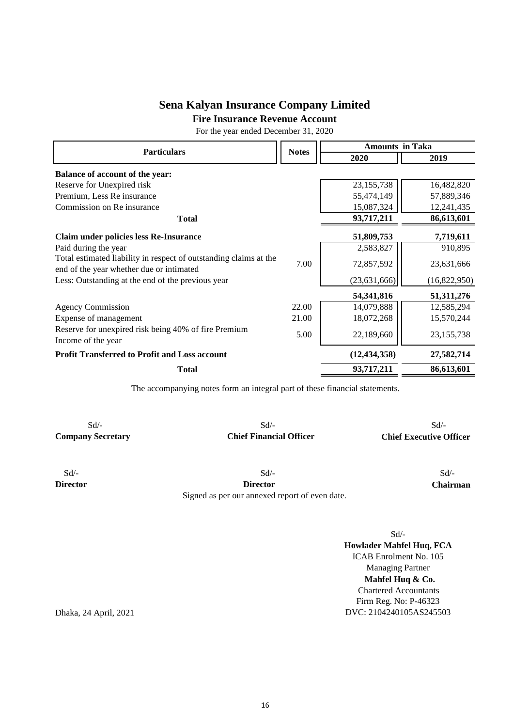**Fire Insurance Revenue Account**

For the year ended December 31, 2020

| <b>Particulars</b>                                                                                            |              | <b>Amounts in Taka</b> |              |  |
|---------------------------------------------------------------------------------------------------------------|--------------|------------------------|--------------|--|
|                                                                                                               | <b>Notes</b> | 2020                   | 2019         |  |
| <b>Balance of account of the year:</b>                                                                        |              |                        |              |  |
| Reserve for Unexpired risk                                                                                    |              | 23, 155, 738           | 16,482,820   |  |
| Premium, Less Re insurance                                                                                    |              | 55,474,149             | 57,889,346   |  |
| Commission on Re insurance                                                                                    |              | 15,087,324             | 12,241,435   |  |
| <b>Total</b>                                                                                                  |              | 93,717,211             | 86,613,601   |  |
| <b>Claim under policies less Re-Insurance</b>                                                                 |              | 51,809,753             | 7,719,611    |  |
| Paid during the year                                                                                          |              | 2,583,827              | 910,895      |  |
| Total estimated liability in respect of outstanding claims at the<br>end of the year whether due or intimated | 7.00         | 72,857,592             | 23,631,666   |  |
| Less: Outstanding at the end of the previous year                                                             |              | (23, 631, 666)         | (16,822,950) |  |
|                                                                                                               |              | 54,341,816             | 51, 311, 276 |  |
| <b>Agency Commission</b>                                                                                      | 22.00        | 14,079,888             | 12,585,294   |  |
| Expense of management                                                                                         | 21.00        | 18,072,268             | 15,570,244   |  |
| Reserve for unexpired risk being 40% of fire Premium<br>Income of the year                                    | 5.00         | 22,189,660             | 23, 155, 738 |  |
| <b>Profit Transferred to Profit and Loss account</b>                                                          |              | (12, 434, 358)         | 27,582,714   |  |
| <b>Total</b>                                                                                                  |              | 93,717,211             | 86,613,601   |  |

The accompanying notes form an integral part of these financial statements.

 $Sd$   $\sim$   $Sd$   $\sim$   $Sd$   $\sim$ 

**Company Secretary Chief Financial Officer Chief Executive Officer**

Signed as per our annexed report of even date.

 Sd/- Sd/- Sd/- **Director Director Chairman**

Sd/-

**Mahfel Huq & Co.** Chartered Accountants DVC: 2104240105AS245503 **Howlader Mahfel Huq, FCA** ICAB Enrolment No. 105 Managing Partner Firm Reg. No: P-46323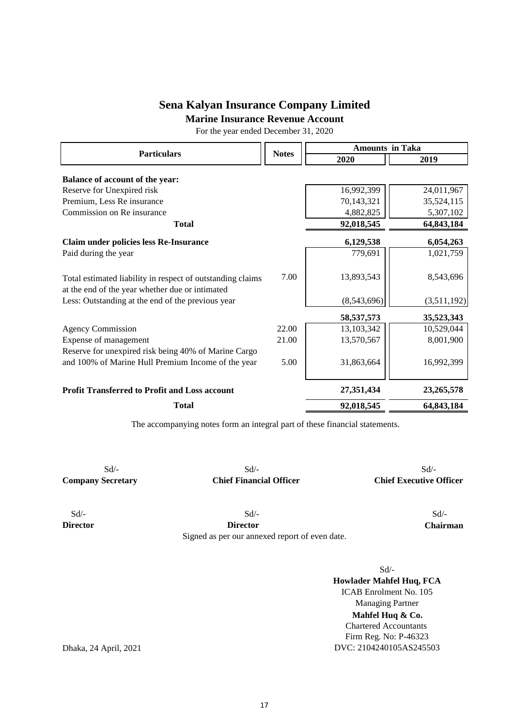**Marine Insurance Revenue Account**

For the year ended December 31, 2020

| <b>Particulars</b>                                                                                            |              | <b>Amounts in Taka</b> |              |  |
|---------------------------------------------------------------------------------------------------------------|--------------|------------------------|--------------|--|
|                                                                                                               | <b>Notes</b> | 2020                   | 2019         |  |
| <b>Balance of account of the year:</b>                                                                        |              |                        |              |  |
| Reserve for Unexpired risk                                                                                    |              | 16,992,399             | 24,011,967   |  |
| Premium, Less Re insurance                                                                                    |              | 70,143,321             | 35,524,115   |  |
| Commission on Re insurance                                                                                    |              | 4,882,825              | 5,307,102    |  |
| <b>Total</b>                                                                                                  |              | 92,018,545             | 64,843,184   |  |
| Claim under policies less Re-Insurance                                                                        |              | 6,129,538              | 6,054,263    |  |
| Paid during the year                                                                                          |              | 779,691                | 1,021,759    |  |
| Total estimated liability in respect of outstanding claims<br>at the end of the year whether due or intimated | 7.00         | 13,893,543             | 8,543,696    |  |
| Less: Outstanding at the end of the previous year                                                             |              | (8,543,696)            | (3,511,192)  |  |
|                                                                                                               |              | 58, 537, 573           | 35,523,343   |  |
| <b>Agency Commission</b>                                                                                      | 22.00        | 13,103,342             | 10,529,044   |  |
| Expense of management                                                                                         | 21.00        | 13,570,567             | 8,001,900    |  |
| Reserve for unexpired risk being 40% of Marine Cargo                                                          |              |                        |              |  |
| and 100% of Marine Hull Premium Income of the year                                                            | 5.00         | 31,863,664             | 16,992,399   |  |
| <b>Profit Transferred to Profit and Loss account</b>                                                          |              | 27,351,434             | 23, 265, 578 |  |
| <b>Total</b>                                                                                                  |              | 92,018,545             | 64,843,184   |  |

The accompanying notes form an integral part of these financial statements.

 $Sd$ - $Sd$ - $Sd$ -

**Company Secretary Chief Financial Officer Chief Executive Officer**

 $Sd$ - $Sd$ - $Sd$ -

**Director Director Chairman** Signed as per our annexed report of even date.

Sd/-

**Mahfel Huq & Co.** Chartered Accountants DVC: 2104240105AS245503 **Howlader Mahfel Huq, FCA** ICAB Enrolment No. 105 Managing Partner Firm Reg. No: P-46323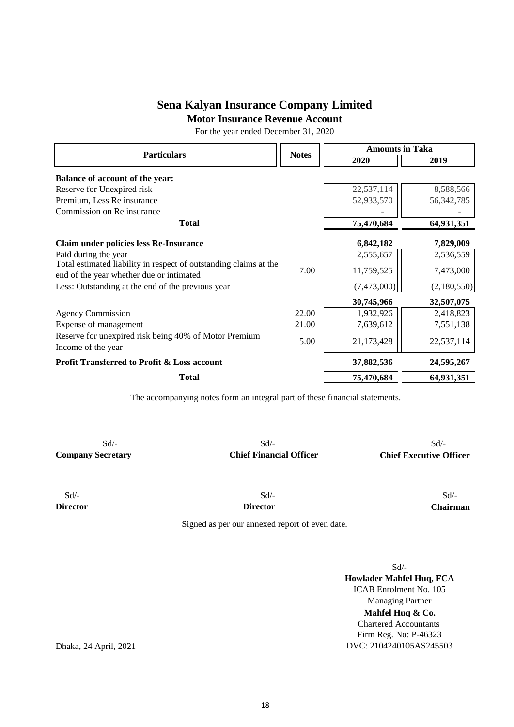**Motor Insurance Revenue Account**

For the year ended December 31, 2020

| <b>Particulars</b>                                                                                            | <b>Notes</b> | <b>Amounts in Taka</b> |              |  |
|---------------------------------------------------------------------------------------------------------------|--------------|------------------------|--------------|--|
|                                                                                                               |              | 2020                   | 2019         |  |
| <b>Balance of account of the year:</b>                                                                        |              |                        |              |  |
| Reserve for Unexpired risk                                                                                    |              | 22,537,114             | 8,588,566    |  |
| Premium, Less Re insurance                                                                                    |              | 52,933,570             | 56, 342, 785 |  |
| Commission on Re insurance                                                                                    |              |                        |              |  |
| <b>Total</b>                                                                                                  |              | 75,470,684             | 64,931,351   |  |
| <b>Claim under policies less Re-Insurance</b>                                                                 |              | 6,842,182              | 7,829,009    |  |
| Paid during the year                                                                                          |              | 2,555,657              | 2,536,559    |  |
| Total estimated liability in respect of outstanding claims at the<br>end of the year whether due or intimated | 7.00         | 11,759,525             | 7,473,000    |  |
| Less: Outstanding at the end of the previous year                                                             |              | (7,473,000)            | (2,180,550)  |  |
|                                                                                                               |              | 30,745,966             | 32,507,075   |  |
| <b>Agency Commission</b>                                                                                      | 22.00        | 1,932,926              | 2,418,823    |  |
| Expense of management                                                                                         | 21.00        | 7,639,612              | 7,551,138    |  |
| Reserve for unexpired risk being 40% of Motor Premium<br>Income of the year                                   | 5.00         | 21,173,428             | 22,537,114   |  |
| <b>Profit Transferred to Profit &amp; Loss account</b>                                                        |              | 37,882,536             | 24,595,267   |  |
| <b>Total</b>                                                                                                  |              | 75,470,684             | 64,931,351   |  |

The accompanying notes form an integral part of these financial statements.

**Company Secretary Chief Financial Officer Chief Executive Officer**

 $Sd$ - $Sd$ - $Sd$ -

 $Sd$ - $Sd$ - $Sd$ -**Director Director Chairman**

Signed as per our annexed report of even date.

Sd/-

**Mahfel Huq & Co.** Chartered Accountants DVC: 2104240105AS245503 **Howlader Mahfel Huq, FCA** ICAB Enrolment No. 105 Managing Partner Firm Reg. No: P-46323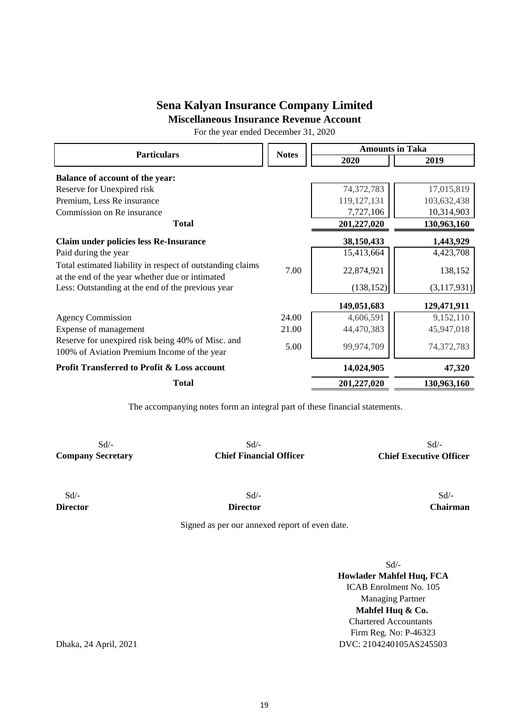**Miscellaneous Insurance Revenue Account**

For the year ended December 31, 2020

| <b>Particulars</b>                                                                                            | <b>Notes</b> | <b>Amounts in Taka</b> |             |
|---------------------------------------------------------------------------------------------------------------|--------------|------------------------|-------------|
|                                                                                                               |              | 2020                   | 2019        |
| <b>Balance of account of the year:</b>                                                                        |              |                        |             |
| Reserve for Unexpired risk                                                                                    |              | 74,372,783             | 17,015,819  |
| Premium, Less Re insurance                                                                                    |              | 119, 127, 131          | 103,632,438 |
| Commission on Re insurance                                                                                    |              | 7,727,106              | 10,314,903  |
| <b>Total</b>                                                                                                  |              | 201,227,020            | 130,963,160 |
| Claim under policies less Re-Insurance                                                                        |              | 38,150,433             | 1,443,929   |
| Paid during the year                                                                                          |              | 15,413,664             | 4,423,708   |
| Total estimated liability in respect of outstanding claims<br>at the end of the year whether due or intimated | 7.00         | 22,874,921             | 138,152     |
| Less: Outstanding at the end of the previous year                                                             |              | (138, 152)             | (3,117,931) |
|                                                                                                               |              | 149,051,683            | 129,471,911 |
| <b>Agency Commission</b>                                                                                      | 24.00        | 4,606,591              | 9,152,110   |
| Expense of management                                                                                         | 21.00        | 44,470,383             | 45,947,018  |
| Reserve for unexpired risk being 40% of Misc. and<br>100% of Aviation Premium Income of the year              | 5.00         | 99,974,709             | 74,372,783  |
| <b>Profit Transferred to Profit &amp; Loss account</b>                                                        |              | 14,024,905             | 47,320      |
| <b>Total</b>                                                                                                  |              | 201,227,020            | 130,963,160 |

The accompanying notes form an integral part of these financial statements.

Sd/- Sd/- Sd/-

**Company Secretary Chief Financial Officer Chief Executive Officer**

 $Sd$ - $Sd$ - $Sd$ -

**Director Director Chairman**

Signed as per our annexed report of even date.

Sd/-

**Mahfel Huq & Co.** Chartered Accountants DVC: 2104240105AS245503 **Howlader Mahfel Huq, FCA** ICAB Enrolment No. 105 Managing Partner Firm Reg. No: P-46323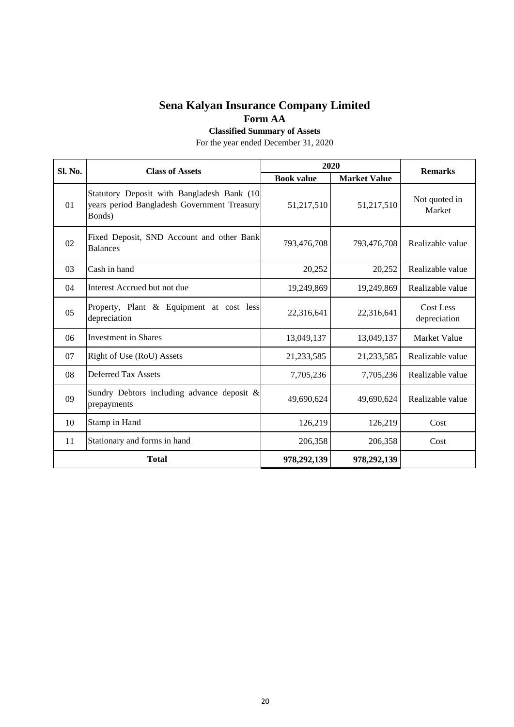**Classified Summary of Assets**

For the year ended December 31, 2020

| Sl. No.        | <b>Class of Assets</b>                                                                              |                   | 2020                |                           |  | <b>Remarks</b> |  |
|----------------|-----------------------------------------------------------------------------------------------------|-------------------|---------------------|---------------------------|--|----------------|--|
|                |                                                                                                     | <b>Book value</b> | <b>Market Value</b> |                           |  |                |  |
| 01             | Statutory Deposit with Bangladesh Bank (10<br>years period Bangladesh Government Treasury<br>Bonds) | 51,217,510        | 51,217,510          | Not quoted in<br>Market   |  |                |  |
| 02             | Fixed Deposit, SND Account and other Bank<br><b>Balances</b>                                        | 793,476,708       | 793,476,708         | Realizable value          |  |                |  |
| 03             | Cash in hand                                                                                        | 20,252            | 20,252              | Realizable value          |  |                |  |
| 04             | Interest Accrued but not due                                                                        | 19,249,869        | 19,249,869          | Realizable value          |  |                |  |
| 0 <sub>5</sub> | Property, Plant & Equipment at cost less<br>depreciation                                            | 22,316,641        | 22,316,641          | Cost Less<br>depreciation |  |                |  |
| 06             | <b>Investment in Shares</b>                                                                         | 13,049,137        | 13,049,137          | Market Value              |  |                |  |
| 07             | Right of Use (RoU) Assets                                                                           | 21,233,585        | 21,233,585          | Realizable value          |  |                |  |
| 08             | <b>Deferred Tax Assets</b>                                                                          | 7,705,236         | 7,705,236           | Realizable value          |  |                |  |
| 09             | Sundry Debtors including advance deposit $\&$<br>prepayments                                        | 49,690,624        | 49,690,624          | Realizable value          |  |                |  |
| 10             | Stamp in Hand                                                                                       | 126,219           | 126,219             | Cost                      |  |                |  |
| 11             | Stationary and forms in hand                                                                        | 206,358           | 206,358             | Cost                      |  |                |  |
|                | <b>Total</b>                                                                                        | 978,292,139       | 978,292,139         |                           |  |                |  |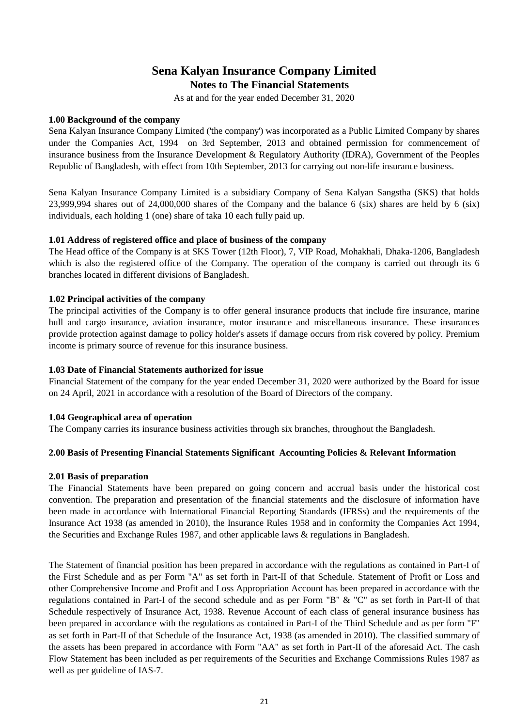## **Sena Kalyan Insurance Company Limited Notes to The Financial Statements**

As at and for the year ended December 31, 2020

#### **1.00 Background of the company**

Sena Kalyan Insurance Company Limited ('the company') was incorporated as a Public Limited Company by shares under the Companies Act, 1994 on 3rd September, 2013 and obtained permission for commencement of insurance business from the Insurance Development & Regulatory Authority (IDRA), Government of the Peoples Republic of Bangladesh, with effect from 10th September, 2013 for carrying out non-life insurance business.

Sena Kalyan Insurance Company Limited is a subsidiary Company of Sena Kalyan Sangstha (SKS) that holds 23,999,994 shares out of 24,000,000 shares of the Company and the balance 6 (six) shares are held by 6 (six) individuals, each holding 1 (one) share of taka 10 each fully paid up.

#### **1.01 Address of registered office and place of business of the company**

The Head office of the Company is at SKS Tower (12th Floor), 7, VIP Road, Mohakhali, Dhaka-1206, Bangladesh which is also the registered office of the Company. The operation of the company is carried out through its 6 branches located in different divisions of Bangladesh.

#### **1.02 Principal activities of the company**

The principal activities of the Company is to offer general insurance products that include fire insurance, marine hull and cargo insurance, aviation insurance, motor insurance and miscellaneous insurance. These insurances provide protection against damage to policy holder's assets if damage occurs from risk covered by policy. Premium income is primary source of revenue for this insurance business.

#### **1.03 Date of Financial Statements authorized for issue**

Financial Statement of the company for the year ended December 31, 2020 were authorized by the Board for issue on 24 April, 2021 in accordance with a resolution of the Board of Directors of the company.

#### **1.04 Geographical area of operation**

The Company carries its insurance business activities through six branches, throughout the Bangladesh.

#### **2.00 Basis of Presenting Financial Statements Significant Accounting Policies & Relevant Information**

#### **2.01 Basis of preparation**

The Financial Statements have been prepared on going concern and accrual basis under the historical cost convention. The preparation and presentation of the financial statements and the disclosure of information have been made in accordance with International Financial Reporting Standards (IFRSs) and the requirements of the Insurance Act 1938 (as amended in 2010), the Insurance Rules 1958 and in conformity the Companies Act 1994, the Securities and Exchange Rules 1987, and other applicable laws & regulations in Bangladesh.

The Statement of financial position has been prepared in accordance with the regulations as contained in Part-I of the First Schedule and as per Form "A" as set forth in Part-II of that Schedule. Statement of Profit or Loss and other Comprehensive Income and Profit and Loss Appropriation Account has been prepared in accordance with the regulations contained in Part-I of the second schedule and as per Form "B" & "C" as set forth in Part-II of that Schedule respectively of Insurance Act, 1938. Revenue Account of each class of general insurance business has been prepared in accordance with the regulations as contained in Part-I of the Third Schedule and as per form "F" as set forth in Part-II of that Schedule of the Insurance Act, 1938 (as amended in 2010). The classified summary of the assets has been prepared in accordance with Form "AA" as set forth in Part-II of the aforesaid Act. The cash Flow Statement has been included as per requirements of the Securities and Exchange Commissions Rules 1987 as well as per guideline of IAS-7.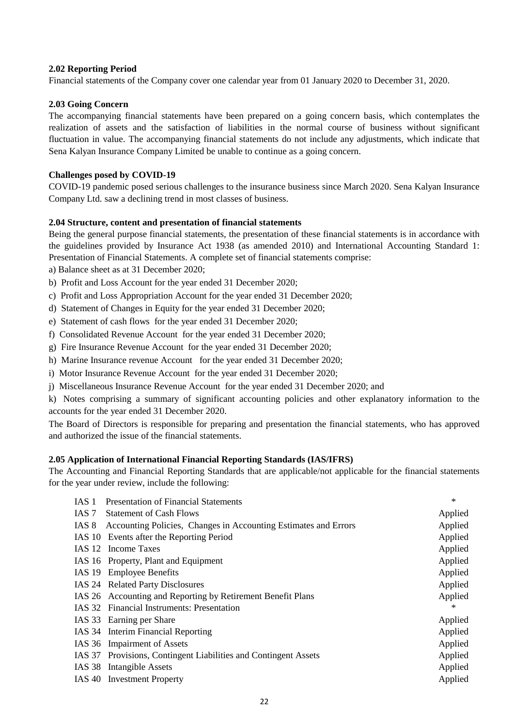#### **2.02 Reporting Period**

Financial statements of the Company cover one calendar year from 01 January 2020 to December 31, 2020.

#### **2.03 Going Concern**

The accompanying financial statements have been prepared on a going concern basis, which contemplates the realization of assets and the satisfaction of liabilities in the normal course of business without significant fluctuation in value. The accompanying financial statements do not include any adjustments, which indicate that Sena Kalyan Insurance Company Limited be unable to continue as a going concern.

#### **Challenges posed by COVID-19**

COVID-19 pandemic posed serious challenges to the insurance business since March 2020. Sena Kalyan Insurance Company Ltd. saw a declining trend in most classes of business.

#### **2.04 Structure, content and presentation of financial statements**

Being the general purpose financial statements, the presentation of these financial statements is in accordance with the guidelines provided by Insurance Act 1938 (as amended 2010) and International Accounting Standard 1: Presentation of Financial Statements. A complete set of financial statements comprise:

a) Balance sheet as at 31 December 2020;

- b) Profit and Loss Account for the year ended 31 December 2020;
- c) Profit and Loss Appropriation Account for the year ended 31 December 2020;
- d) Statement of Changes in Equity for the year ended 31 December 2020;
- e) Statement of cash flows for the year ended 31 December 2020;
- f) Consolidated Revenue Account for the year ended 31 December 2020;
- g) Fire Insurance Revenue Account for the year ended 31 December 2020;
- h) Marine Insurance revenue Account for the year ended 31 December 2020;
- i) Motor Insurance Revenue Account for the year ended 31 December 2020;
- j) Miscellaneous Insurance Revenue Account for the year ended 31 December 2020; and

k) Notes comprising a summary of significant accounting policies and other explanatory information to the accounts for the year ended 31 December 2020.

The Board of Directors is responsible for preparing and presentation the financial statements, who has approved and authorized the issue of the financial statements.

#### **2.05 Application of International Financial Reporting Standards (IAS/IFRS)**

The Accounting and Financial Reporting Standards that are applicable/not applicable for the financial statements for the year under review, include the following:

| IAS 1 | <b>Presentation of Financial Statements</b>                     | $\ast$  |
|-------|-----------------------------------------------------------------|---------|
| IAS 7 | <b>Statement of Cash Flows</b>                                  | Applied |
| IAS 8 | Accounting Policies, Changes in Accounting Estimates and Errors | Applied |
|       | IAS 10 Events after the Reporting Period                        | Applied |
|       | IAS 12 Income Taxes                                             | Applied |
|       | IAS 16 Property, Plant and Equipment                            | Applied |
|       | IAS 19 Employee Benefits                                        | Applied |
|       | IAS 24 Related Party Disclosures                                | Applied |
|       | IAS 26 Accounting and Reporting by Retirement Benefit Plans     | Applied |
|       | IAS 32 Financial Instruments: Presentation                      | $\ast$  |
|       | IAS 33 Earning per Share                                        | Applied |
|       | IAS 34 Interim Financial Reporting                              | Applied |
|       | IAS 36 Impairment of Assets                                     | Applied |
|       | IAS 37 Provisions, Contingent Liabilities and Contingent Assets | Applied |
|       | IAS 38 Intangible Assets                                        | Applied |
|       | IAS 40 Investment Property                                      | Applied |
|       |                                                                 |         |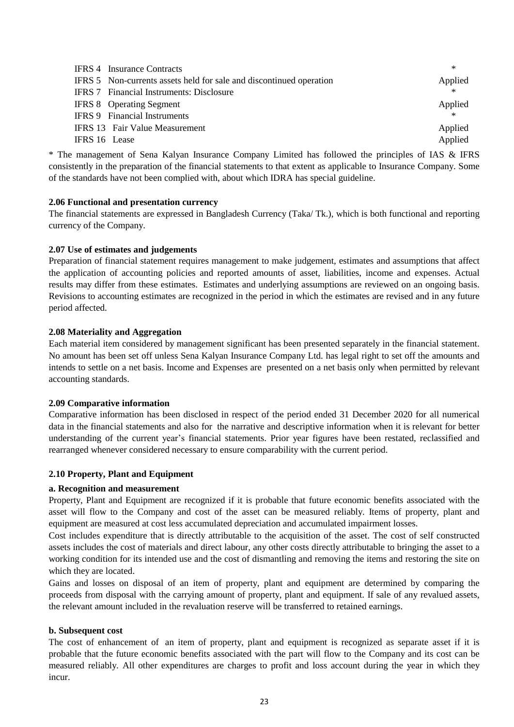|               | <b>IFRS 4</b> Insurance Contracts                                   | $\ast$  |
|---------------|---------------------------------------------------------------------|---------|
|               | IFRS 5 Non-currents assets held for sale and discontinued operation | Applied |
|               | <b>IFRS 7</b> Financial Instruments: Disclosure                     | $\ast$  |
|               | <b>IFRS 8</b> Operating Segment                                     | Applied |
|               | <b>IFRS 9</b> Financial Instruments                                 | $\ast$  |
|               | <b>IFRS 13</b> Fair Value Measurement                               | Applied |
| IFRS 16 Lease |                                                                     | Applied |

\* The management of Sena Kalyan Insurance Company Limited has followed the principles of IAS & IFRS consistently in the preparation of the financial statements to that extent as applicable to Insurance Company. Some of the standards have not been complied with, about which IDRA has special guideline.

#### **2.06 Functional and presentation currency**

The financial statements are expressed in Bangladesh Currency (Taka/ Tk.), which is both functional and reporting currency of the Company.

#### **2.07 Use of estimates and judgements**

Preparation of financial statement requires management to make judgement, estimates and assumptions that affect the application of accounting policies and reported amounts of asset, liabilities, income and expenses. Actual results may differ from these estimates. Estimates and underlying assumptions are reviewed on an ongoing basis. Revisions to accounting estimates are recognized in the period in which the estimates are revised and in any future period affected.

#### **2.08 Materiality and Aggregation**

Each material item considered by management significant has been presented separately in the financial statement. No amount has been set off unless Sena Kalyan Insurance Company Ltd. has legal right to set off the amounts and intends to settle on a net basis. Income and Expenses are presented on a net basis only when permitted by relevant accounting standards.

#### **2.09 Comparative information**

Comparative information has been disclosed in respect of the period ended 31 December 2020 for all numerical data in the financial statements and also for the narrative and descriptive information when it is relevant for better understanding of the current year's financial statements. Prior year figures have been restated, reclassified and rearranged whenever considered necessary to ensure comparability with the current period.

#### **2.10 Property, Plant and Equipment**

#### **a. Recognition and measurement**

Property, Plant and Equipment are recognized if it is probable that future economic benefits associated with the asset will flow to the Company and cost of the asset can be measured reliably. Items of property, plant and equipment are measured at cost less accumulated depreciation and accumulated impairment losses.

Cost includes expenditure that is directly attributable to the acquisition of the asset. The cost of self constructed assets includes the cost of materials and direct labour, any other costs directly attributable to bringing the asset to a working condition for its intended use and the cost of dismantling and removing the items and restoring the site on which they are located.

Gains and losses on disposal of an item of property, plant and equipment are determined by comparing the proceeds from disposal with the carrying amount of property, plant and equipment. If sale of any revalued assets, the relevant amount included in the revaluation reserve will be transferred to retained earnings.

#### **b. Subsequent cost**

The cost of enhancement of an item of property, plant and equipment is recognized as separate asset if it is probable that the future economic benefits associated with the part will flow to the Company and its cost can be measured reliably. All other expenditures are charges to profit and loss account during the year in which they incur.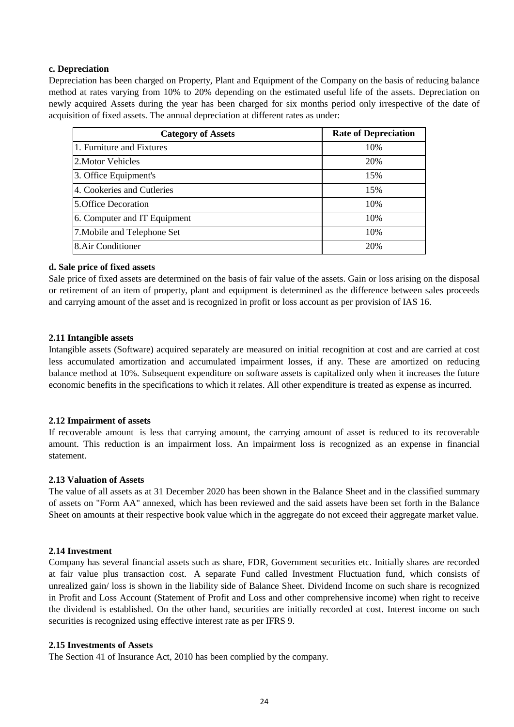#### **c. Depreciation**

Depreciation has been charged on Property, Plant and Equipment of the Company on the basis of reducing balance method at rates varying from 10% to 20% depending on the estimated useful life of the assets. Depreciation on newly acquired Assets during the year has been charged for six months period only irrespective of the date of acquisition of fixed assets. The annual depreciation at different rates as under:

| <b>Category of Assets</b>    | <b>Rate of Depreciation</b> |
|------------------------------|-----------------------------|
| 1. Furniture and Fixtures    | 10%                         |
| 2. Motor Vehicles            | 20%                         |
| 3. Office Equipment's        | 15%                         |
| 4. Cookeries and Cutleries   | 15%                         |
| 5. Office Decoration         | 10%                         |
| 6. Computer and IT Equipment | 10%                         |
| 7. Mobile and Telephone Set  | 10%                         |
| 8.Air Conditioner            | 20%                         |

#### **d. Sale price of fixed assets**

Sale price of fixed assets are determined on the basis of fair value of the assets. Gain or loss arising on the disposal or retirement of an item of property, plant and equipment is determined as the difference between sales proceeds and carrying amount of the asset and is recognized in profit or loss account as per provision of IAS 16.

#### **2.11 Intangible assets**

Intangible assets (Software) acquired separately are measured on initial recognition at cost and are carried at cost less accumulated amortization and accumulated impairment losses, if any. These are amortized on reducing balance method at 10%. Subsequent expenditure on software assets is capitalized only when it increases the future economic benefits in the specifications to which it relates. All other expenditure is treated as expense as incurred.

#### **2.12 Impairment of assets**

If recoverable amount is less that carrying amount, the carrying amount of asset is reduced to its recoverable amount. This reduction is an impairment loss. An impairment loss is recognized as an expense in financial statement.

#### **2.13 Valuation of Assets**

The value of all assets as at 31 December 2020 has been shown in the Balance Sheet and in the classified summary of assets on "Form AA" annexed, which has been reviewed and the said assets have been set forth in the Balance Sheet on amounts at their respective book value which in the aggregate do not exceed their aggregate market value.

#### **2.14 Investment**

Company has several financial assets such as share, FDR, Government securities etc. Initially shares are recorded at fair value plus transaction cost. A separate Fund called Investment Fluctuation fund, which consists of unrealized gain/ loss is shown in the liability side of Balance Sheet. Dividend Income on such share is recognized in Profit and Loss Account (Statement of Profit and Loss and other comprehensive income) when right to receive the dividend is established. On the other hand, securities are initially recorded at cost. Interest income on such securities is recognized using effective interest rate as per IFRS 9.

#### **2.15 Investments of Assets**

The Section 41 of Insurance Act, 2010 has been complied by the company.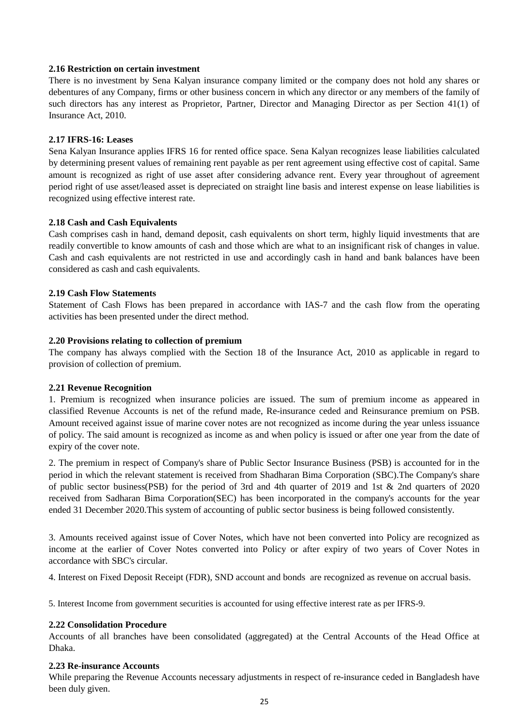#### **2.16 Restriction on certain investment**

There is no investment by Sena Kalyan insurance company limited or the company does not hold any shares or debentures of any Company, firms or other business concern in which any director or any members of the family of such directors has any interest as Proprietor, Partner, Director and Managing Director as per Section 41(1) of Insurance Act, 2010.

#### **2.17 IFRS-16: Leases**

Sena Kalyan Insurance applies IFRS 16 for rented office space. Sena Kalyan recognizes lease liabilities calculated by determining present values of remaining rent payable as per rent agreement using effective cost of capital. Same amount is recognized as right of use asset after considering advance rent. Every year throughout of agreement period right of use asset/leased asset is depreciated on straight line basis and interest expense on lease liabilities is recognized using effective interest rate.

#### **2.18 Cash and Cash Equivalents**

Cash comprises cash in hand, demand deposit, cash equivalents on short term, highly liquid investments that are readily convertible to know amounts of cash and those which are what to an insignificant risk of changes in value. Cash and cash equivalents are not restricted in use and accordingly cash in hand and bank balances have been considered as cash and cash equivalents.

#### **2.19 Cash Flow Statements**

Statement of Cash Flows has been prepared in accordance with IAS-7 and the cash flow from the operating activities has been presented under the direct method.

#### **2.20 Provisions relating to collection of premium**

The company has always complied with the Section 18 of the Insurance Act, 2010 as applicable in regard to provision of collection of premium.

#### **2.21 Revenue Recognition**

1. Premium is recognized when insurance policies are issued. The sum of premium income as appeared in classified Revenue Accounts is net of the refund made, Re-insurance ceded and Reinsurance premium on PSB. Amount received against issue of marine cover notes are not recognized as income during the year unless issuance of policy. The said amount is recognized as income as and when policy is issued or after one year from the date of expiry of the cover note.

2. The premium in respect of Company's share of Public Sector Insurance Business (PSB) is accounted for in the period in which the relevant statement is received from Shadharan Bima Corporation (SBC).The Company's share of public sector business(PSB) for the period of 3rd and 4th quarter of 2019 and 1st & 2nd quarters of 2020 received from Sadharan Bima Corporation(SEC) has been incorporated in the company's accounts for the year ended 31 December 2020.This system of accounting of public sector business is being followed consistently.

3. Amounts received against issue of Cover Notes, which have not been converted into Policy are recognized as income at the earlier of Cover Notes converted into Policy or after expiry of two years of Cover Notes in accordance with SBC's circular.

4. Interest on Fixed Deposit Receipt (FDR), SND account and bonds are recognized as revenue on accrual basis.

5. Interest Income from government securities is accounted for using effective interest rate as per IFRS-9.

#### **2.22 Consolidation Procedure**

Accounts of all branches have been consolidated (aggregated) at the Central Accounts of the Head Office at Dhaka.

#### **2.23 Re-insurance Accounts**

While preparing the Revenue Accounts necessary adjustments in respect of re-insurance ceded in Bangladesh have been duly given.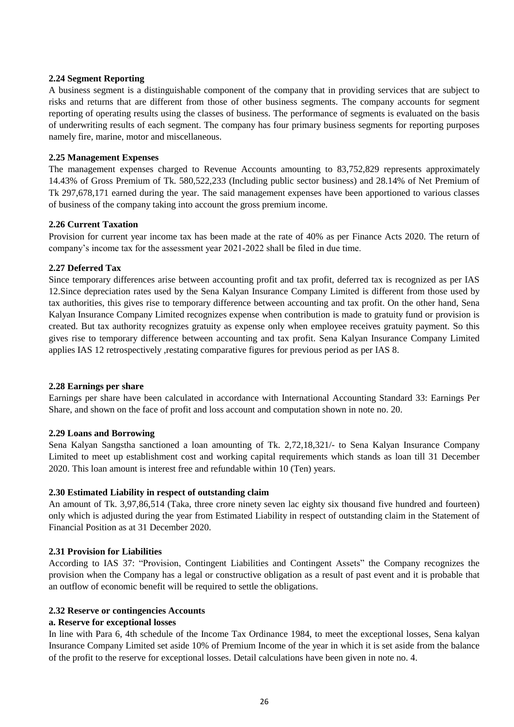#### **2.24 Segment Reporting**

A business segment is a distinguishable component of the company that in providing services that are subject to risks and returns that are different from those of other business segments. The company accounts for segment reporting of operating results using the classes of business. The performance of segments is evaluated on the basis of underwriting results of each segment. The company has four primary business segments for reporting purposes namely fire, marine, motor and miscellaneous.

#### **2.25 Management Expenses**

The management expenses charged to Revenue Accounts amounting to 83,752,829 represents approximately 14.43% of Gross Premium of Tk. 580,522,233 (Including public sector business) and 28.14% of Net Premium of Tk 297,678,171 earned during the year. The said management expenses have been apportioned to various classes of business of the company taking into account the gross premium income.

#### **2.26 Current Taxation**

Provision for current year income tax has been made at the rate of 40% as per Finance Acts 2020. The return of company's income tax for the assessment year 2021-2022 shall be filed in due time.

#### **2.27 Deferred Tax**

Since temporary differences arise between accounting profit and tax profit, deferred tax is recognized as per IAS 12.Since depreciation rates used by the Sena Kalyan Insurance Company Limited is different from those used by tax authorities, this gives rise to temporary difference between accounting and tax profit. On the other hand, Sena Kalyan Insurance Company Limited recognizes expense when contribution is made to gratuity fund or provision is created. But tax authority recognizes gratuity as expense only when employee receives gratuity payment. So this gives rise to temporary difference between accounting and tax profit. Sena Kalyan Insurance Company Limited applies IAS 12 retrospectively ,restating comparative figures for previous period as per IAS 8.

#### **2.28 Earnings per share**

Earnings per share have been calculated in accordance with International Accounting Standard 33: Earnings Per Share, and shown on the face of profit and loss account and computation shown in note no. 20.

#### **2.29 Loans and Borrowing**

Sena Kalyan Sangstha sanctioned a loan amounting of Tk. 2,72,18,321/- to Sena Kalyan Insurance Company Limited to meet up establishment cost and working capital requirements which stands as loan till 31 December 2020. This loan amount is interest free and refundable within 10 (Ten) years.

#### **2.30 Estimated Liability in respect of outstanding claim**

An amount of Tk. 3,97,86,514 (Taka, three crore ninety seven lac eighty six thousand five hundred and fourteen) only which is adjusted during the year from Estimated Liability in respect of outstanding claim in the Statement of Financial Position as at 31 December 2020.

#### **2.31 Provision for Liabilities**

According to IAS 37: "Provision, Contingent Liabilities and Contingent Assets" the Company recognizes the provision when the Company has a legal or constructive obligation as a result of past event and it is probable that an outflow of economic benefit will be required to settle the obligations.

#### **2.32 Reserve or contingencies Accounts**

#### **a. Reserve for exceptional losses**

In line with Para 6, 4th schedule of the Income Tax Ordinance 1984, to meet the exceptional losses, Sena kalyan Insurance Company Limited set aside 10% of Premium Income of the year in which it is set aside from the balance of the profit to the reserve for exceptional losses. Detail calculations have been given in note no. 4.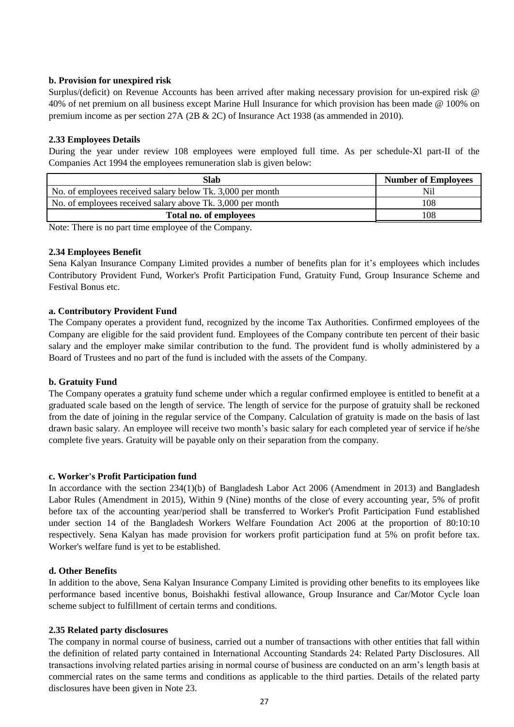#### **b. Provision for unexpired risk**

Surplus/(deficit) on Revenue Accounts has been arrived after making necessary provision for un-expired risk @ 40% of net premium on all business except Marine Hull Insurance for which provision has been made @ 100% on premium income as per section 27A (2B & 2C) of Insurance Act 1938 (as ammended in 2010).

#### **2.33 Employees Details**

During the year under review 108 employees were employed full time. As per schedule-Xl part-II of the Companies Act 1994 the employees remuneration slab is given below:

| Slab                                                       | <b>Number of Employees</b> |
|------------------------------------------------------------|----------------------------|
| No. of employees received salary below Tk. 3,000 per month | Nil                        |
| No. of employees received salary above Tk. 3,000 per month | 108                        |
| Total no. of employees                                     | 108                        |

Note: There is no part time employee of the Company.

#### **2.34 Employees Benefit**

Sena Kalyan Insurance Company Limited provides a number of benefits plan for it's employees which includes Contributory Provident Fund, Worker's Profit Participation Fund, Gratuity Fund, Group Insurance Scheme and Festival Bonus etc.

#### **a. Contributory Provident Fund**

The Company operates a provident fund, recognized by the income Tax Authorities. Confirmed employees of the Company are eligible for the said provident fund. Employees of the Company contribute ten percent of their basic salary and the employer make similar contribution to the fund. The provident fund is wholly administered by a Board of Trustees and no part of the fund is included with the assets of the Company.

#### **b. Gratuity Fund**

The Company operates a gratuity fund scheme under which a regular confirmed employee is entitled to benefit at a graduated scale based on the length of service. The length of service for the purpose of gratuity shall be reckoned from the date of joining in the regular service of the Company. Calculation of gratuity is made on the basis of last drawn basic salary. An employee will receive two month's basic salary for each completed year of service if he/she complete five years. Gratuity will be payable only on their separation from the company.

#### **c. Worker's Profit Participation fund**

In accordance with the section 234(1)(b) of Bangladesh Labor Act 2006 (Amendment in 2013) and Bangladesh Labor Rules (Amendment in 2015), Within 9 (Nine) months of the close of every accounting year, 5% of profit before tax of the accounting year/period shall be transferred to Worker's Profit Participation Fund established under section 14 of the Bangladesh Workers Welfare Foundation Act 2006 at the proportion of 80:10:10 respectively. Sena Kalyan has made provision for workers profit participation fund at 5% on profit before tax. Worker's welfare fund is yet to be established.

#### **d. Other Benefits**

In addition to the above, Sena Kalyan Insurance Company Limited is providing other benefits to its employees like performance based incentive bonus, Boishakhi festival allowance, Group Insurance and Car/Motor Cycle loan scheme subject to fulfillment of certain terms and conditions.

#### **2.35 Related party disclosures**

The company in normal course of business, carried out a number of transactions with other entities that fall within the definition of related party contained in International Accounting Standards 24: Related Party Disclosures. All transactions involving related parties arising in normal course of business are conducted on an arm's length basis at commercial rates on the same terms and conditions as applicable to the third parties. Details of the related party disclosures have been given in Note 23.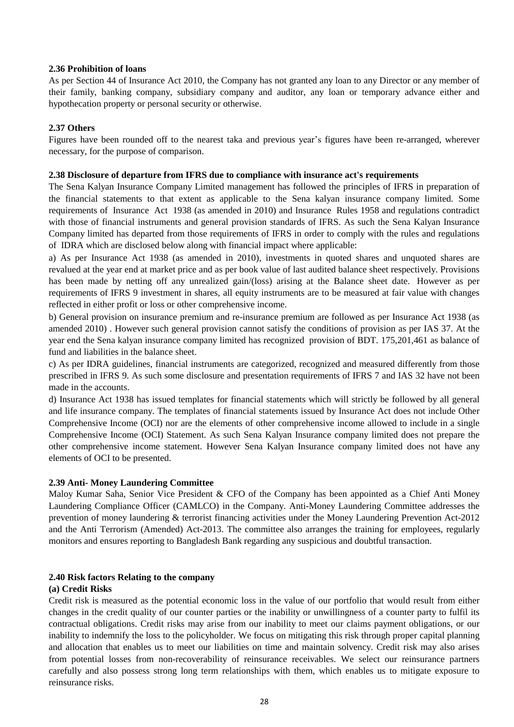#### **2.36 Prohibition of loans**

As per Section 44 of Insurance Act 2010, the Company has not granted any loan to any Director or any member of their family, banking company, subsidiary company and auditor, any loan or temporary advance either and hypothecation property or personal security or otherwise.

#### **2.37 Others**

Figures have been rounded off to the nearest taka and previous year's figures have been re-arranged, wherever necessary, for the purpose of comparison.

#### **2.38 Disclosure of departure from IFRS due to compliance with insurance act's requirements**

The Sena Kalyan Insurance Company Limited management has followed the principles of IFRS in preparation of the financial statements to that extent as applicable to the Sena kalyan insurance company limited. Some requirements of Insurance Act 1938 (as amended in 2010) and Insurance Rules 1958 and regulations contradict with those of financial instruments and general provision standards of IFRS. As such the Sena Kalyan Insurance Company limited has departed from those requirements of IFRS in order to comply with the rules and regulations of IDRA which are disclosed below along with financial impact where applicable:

a) As per Insurance Act 1938 (as amended in 2010), investments in quoted shares and unquoted shares are revalued at the year end at market price and as per book value of last audited balance sheet respectively. Provisions has been made by netting off any unrealized gain/(loss) arising at the Balance sheet date. However as per requirements of IFRS 9 investment in shares, all equity instruments are to be measured at fair value with changes reflected in either profit or loss or other comprehensive income.

b) General provision on insurance premium and re-insurance premium are followed as per Insurance Act 1938 (as amended 2010) . However such general provision cannot satisfy the conditions of provision as per IAS 37. At the year end the Sena kalyan insurance company limited has recognized provision of BDT. 175,201,461 as balance of fund and liabilities in the balance sheet.

c) As per IDRA guidelines, financial instruments are categorized, recognized and measured differently from those prescribed in IFRS 9. As such some disclosure and presentation requirements of IFRS 7 and IAS 32 have not been made in the accounts.

d) Insurance Act 1938 has issued templates for financial statements which will strictly be followed by all general and life insurance company. The templates of financial statements issued by Insurance Act does not include Other Comprehensive Income (OCI) nor are the elements of other comprehensive income allowed to include in a single Comprehensive Income (OCI) Statement. As such Sena Kalyan Insurance company limited does not prepare the other comprehensive income statement. However Sena Kalyan Insurance company limited does not have any elements of OCI to be presented.

#### **2.39 Anti- Money Laundering Committee**

Maloy Kumar Saha, Senior Vice President & CFO of the Company has been appointed as a Chief Anti Money Laundering Compliance Officer (CAMLCO) in the Company. Anti-Money Laundering Committee addresses the prevention of money laundering & terrorist financing activities under the Money Laundering Prevention Act-2012 and the Anti Terrorism (Amended) Act-2013. The committee also arranges the training for employees, regularly monitors and ensures reporting to Bangladesh Bank regarding any suspicious and doubtful transaction.

#### **2.40 Risk factors Relating to the company**

#### **(a) Credit Risks**

Credit risk is measured as the potential economic loss in the value of our portfolio that would result from either changes in the credit quality of our counter parties or the inability or unwillingness of a counter party to fulfil its contractual obligations. Credit risks may arise from our inability to meet our claims payment obligations, or our inability to indemnify the loss to the policyholder. We focus on mitigating this risk through proper capital planning and allocation that enables us to meet our liabilities on time and maintain solvency. Credit risk may also arises from potential losses from non-recoverability of reinsurance receivables. We select our reinsurance partners carefully and also possess strong long term relationships with them, which enables us to mitigate exposure to reinsurance risks.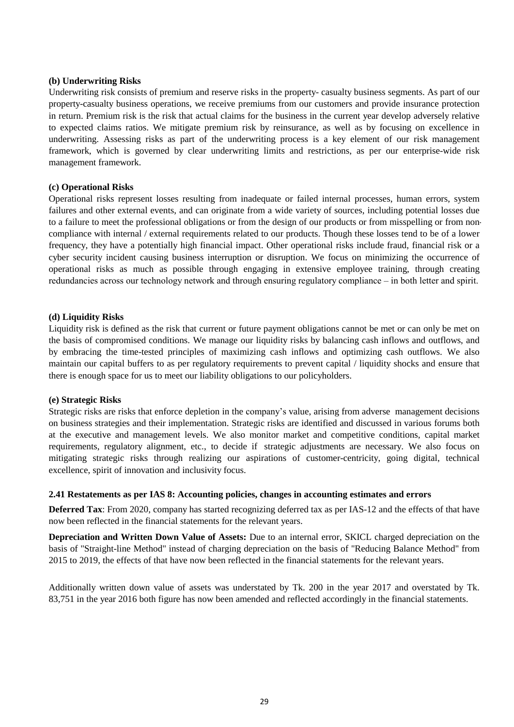#### **(b) Underwriting Risks**

Underwriting risk consists of premium and reserve risks in the property- casualty business segments. As part of our property-casualty business operations, we receive premiums from our customers and provide insurance protection in return. Premium risk is the risk that actual claims for the business in the current year develop adversely relative to expected claims ratios. We mitigate premium risk by reinsurance, as well as by focusing on excellence in underwriting. Assessing risks as part of the underwriting process is a key element of our risk management framework, which is governed by clear underwriting limits and restrictions, as per our enterprise-wide risk management framework.

#### **(c) Operational Risks**

Operational risks represent losses resulting from inadequate or failed internal processes, human errors, system failures and other external events, and can originate from a wide variety of sources, including potential losses due to a failure to meet the professional obligations or from the design of our products or from misspelling or from noncompliance with internal / external requirements related to our products. Though these losses tend to be of a lower frequency, they have a potentially high financial impact. Other operational risks include fraud, financial risk or a cyber security incident causing business interruption or disruption. We focus on minimizing the occurrence of operational risks as much as possible through engaging in extensive employee training, through creating redundancies across our technology network and through ensuring regulatory compliance – in both letter and spirit.

#### **(d) Liquidity Risks**

Liquidity risk is defined as the risk that current or future payment obligations cannot be met or can only be met on the basis of compromised conditions. We manage our liquidity risks by balancing cash inflows and outflows, and by embracing the time-tested principles of maximizing cash inflows and optimizing cash outflows. We also maintain our capital buffers to as per regulatory requirements to prevent capital / liquidity shocks and ensure that there is enough space for us to meet our liability obligations to our policyholders.

#### **(e) Strategic Risks**

Strategic risks are risks that enforce depletion in the company's value, arising from adverse management decisions on business strategies and their implementation. Strategic risks are identified and discussed in various forums both at the executive and management levels. We also monitor market and competitive conditions, capital market requirements, regulatory alignment, etc., to decide if strategic adjustments are necessary. We also focus on mitigating strategic risks through realizing our aspirations of customer-centricity, going digital, technical excellence, spirit of innovation and inclusivity focus.

#### **2.41 Restatements as per IAS 8: Accounting policies, changes in accounting estimates and errors**

**Deferred Tax**: From 2020, company has started recognizing deferred tax as per IAS-12 and the effects of that have now been reflected in the financial statements for the relevant years.

**Depreciation and Written Down Value of Assets:** Due to an internal error, SKICL charged depreciation on the basis of "Straight-line Method" instead of charging depreciation on the basis of "Reducing Balance Method" from 2015 to 2019, the effects of that have now been reflected in the financial statements for the relevant years.

Additionally written down value of assets was understated by Tk. 200 in the year 2017 and overstated by Tk. 83,751 in the year 2016 both figure has now been amended and reflected accordingly in the financial statements.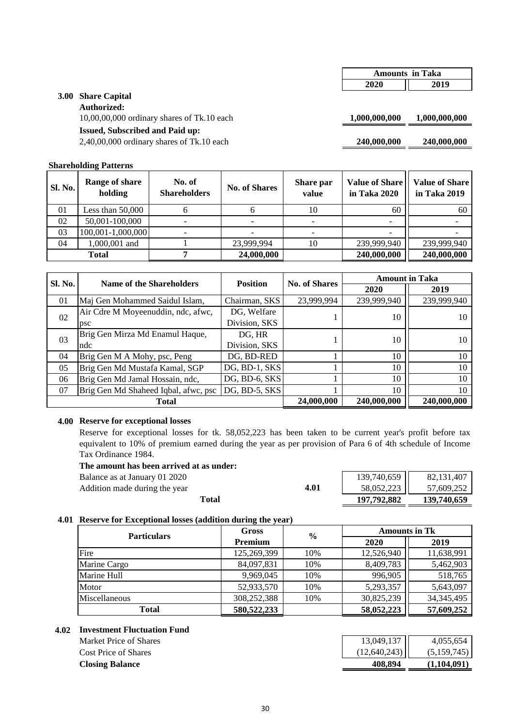#### **3.00 Share Capital**

#### **Authorized:**

10,00,00,000 ordinary shares of Tk.10 each **1,000,000,000 1,000,000,000**

#### **Issued, Subscribed and Paid up:**

2,40,00,000 ordinary shares of Tk.10 each **240,000,000 240,000,000**

#### **Shareholding Patterns**

| <b>Sl. No.</b> | Range of share<br>holding | No. of<br><b>Shareholders</b> | <b>No. of Shares</b> | Share par<br>value | Value of Share<br>in Taka 2020 | <b>Value of Share</b><br>in Taka 2019 |
|----------------|---------------------------|-------------------------------|----------------------|--------------------|--------------------------------|---------------------------------------|
| 01             | Less than $50,000$        |                               |                      | 10                 | 60                             | 60                                    |
| 02             | 50,001-100,000            |                               |                      |                    |                                |                                       |
| 03             | 100,001-1,000,000         |                               |                      |                    |                                |                                       |
| 04             | 1,000,001 and             |                               | 23,999,994           | 10                 | 239,999,940                    | 239,999,940                           |
|                | Total                     |                               | 24,000,000           |                    | 240,000,000                    | 240,000,000                           |

| <b>Sl. No.</b> | <b>Name of the Shareholders</b>      | <b>Position</b> | <b>No. of Shares</b> |             | <b>Amount in Taka</b> |
|----------------|--------------------------------------|-----------------|----------------------|-------------|-----------------------|
|                |                                      |                 |                      | 2020        | 2019                  |
| 01             | Maj Gen Mohammed Saidul Islam,       | Chairman, SKS   | 23,999,994           | 239,999,940 | 239,999,940           |
| 02             | Air Cdre M Moyeenuddin, ndc, afwc,   | DG, Welfare     |                      | 10          | 10                    |
|                | psc                                  | Division, SKS   |                      |             |                       |
| 03             | Brig Gen Mirza Md Enamul Haque,      | DG, HR          |                      | 10          | 10                    |
|                | ndc                                  | Division, SKS   |                      |             |                       |
| 04             | Brig Gen M A Mohy, psc, Peng         | DG, BD-RED      |                      | 10          | 10                    |
| 05             | Brig Gen Md Mustafa Kamal, SGP       | DG, BD-1, SKS   |                      | 10          | 10                    |
| 06             | Brig Gen Md Jamal Hossain, ndc,      | DG, BD-6, SKS   |                      | 10          | 10                    |
| 07             | Brig Gen Md Shaheed Iqbal, afwc, psc | $DG, BD-5, SKS$ |                      | 10          | 10                    |
|                | <b>Total</b>                         |                 | 24,000,000           | 240,000,000 | 240,000,000           |

#### **4.00 Reserve for exceptional losses**

Reserve for exceptional losses for tk. 58,052,223 has been taken to be current year's profit before tax equivalent to 10% of premium earned during the year as per provision of Para 6 of 4th schedule of Income Tax Ordinance 1984.<br>The amount has been

| The amount has been arrived at as under: |      |             |             |
|------------------------------------------|------|-------------|-------------|
| Balance as at January 01 2020            |      | 139,740,659 | 82.131.407  |
| Addition made during the year            | 4.01 | 58.052.223  | 57.609.252  |
| Total                                    |      | 197.792.882 | 139,740,659 |

#### **4.01 Reserve for Exceptional losses (addition during the year)**

| <b>Particulars</b> | Gross          | $\frac{6}{9}$ | <b>Amounts in Tk</b> |              |
|--------------------|----------------|---------------|----------------------|--------------|
|                    | <b>Premium</b> |               | 2020                 | 2019         |
| Fire               | 125,269,399    | 10%           | 12,526,940           | 11,638,991   |
| Marine Cargo       | 84,097,831     | 10%           | 8,409,783            | 5,462,903    |
| Marine Hull        | 9,969,045      | 10%           | 996,905              | 518,765      |
| Motor              | 52,933,570     | 10%           | 5,293,357            | 5,643,097    |
| Miscellaneous      | 308,252,388    | 10%           | 30,825,239           | 34, 345, 495 |
| <b>Total</b>       | 580, 522, 233  |               | 58,052,223           | 57,609,252   |

#### **4.02 Investment Fluctuation Fund**

Market Price of Shares Cost Price of Shares **Closing Balance** 

|                                                          | 4,055,654   |
|----------------------------------------------------------|-------------|
| $\begin{bmatrix} 13,049,137 \\ 12,640,243 \end{bmatrix}$ | (5,159,745) |
| 408.894                                                  | (1,104,091) |

### **2020 2019 Amounts in Taka**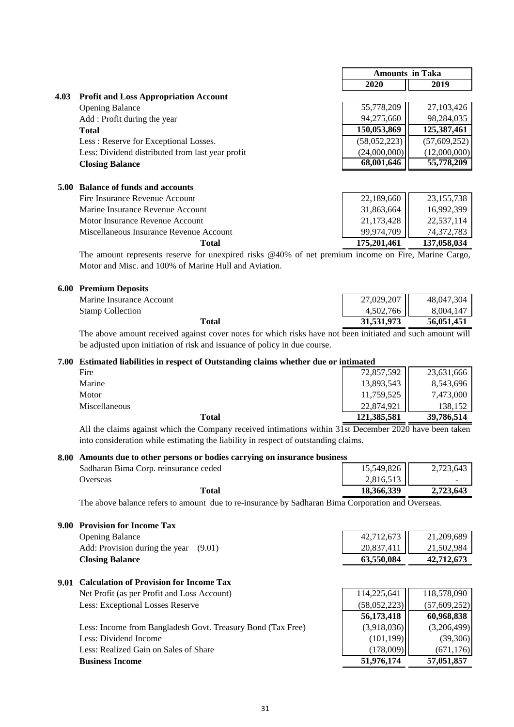|      |                                                                                                                                                                                                                               | <b>Amounts in Taka</b> |                                                                          |
|------|-------------------------------------------------------------------------------------------------------------------------------------------------------------------------------------------------------------------------------|------------------------|--------------------------------------------------------------------------|
|      |                                                                                                                                                                                                                               | 2020                   | 2019                                                                     |
| 4.03 | <b>Profit and Loss Appropriation Account</b>                                                                                                                                                                                  |                        |                                                                          |
|      | <b>Opening Balance</b>                                                                                                                                                                                                        | 55,778,209             | 27,103,426                                                               |
|      | Add: Profit during the year                                                                                                                                                                                                   | 94,275,660             | 98,284,035                                                               |
|      | <b>Total</b>                                                                                                                                                                                                                  | 150,053,869            | 125,387,461                                                              |
|      | Less: Reserve for Exceptional Losses.                                                                                                                                                                                         | (58,052,223)           | (57,609,252)                                                             |
|      | Less: Dividend distributed from last year profit                                                                                                                                                                              | (24,000,000)           | (12,000,000)                                                             |
|      | <b>Closing Balance</b>                                                                                                                                                                                                        | 68,001,646             | 55,778,209                                                               |
|      |                                                                                                                                                                                                                               |                        |                                                                          |
| 5.00 | <b>Balance of funds and accounts</b>                                                                                                                                                                                          |                        |                                                                          |
|      | Fire Insurance Revenue Account                                                                                                                                                                                                | 22,189,660             | 23, 155, 738                                                             |
|      | Marine Insurance Revenue Account                                                                                                                                                                                              | 31,863,664             | 16,992,399                                                               |
|      | Motor Insurance Revenue Account                                                                                                                                                                                               | 21,173,428             | 22,537,114                                                               |
|      | Miscellaneous Insurance Revenue Account                                                                                                                                                                                       | 99,974,709             | 74,372,783                                                               |
|      | <b>Total</b>                                                                                                                                                                                                                  | 175,201,461            | 137,058,034                                                              |
|      | $T1.$ $T1.$ $T1.$ $T1.$ $T1.$ $T1.$ $T1.$ $T2.$ $T3.$ $T4.$ $T4.$ $T5.$ $T1.$ $T1.$ $T1.$ $T1.$ $T1.$ $T1.$ $T1.$ $T1.$ $T1.$ $T1.$ $T1.$ $T1.$ $T1.$ $T1.$ $T1.$ $T1.$ $T1.$ $T1.$ $T1.$ $T1.$ $T1.$ $T1.$ $T1.$ $T1.$ $T1.$ |                        | $\mathbf{E}$ . $\mathbf{E}$ . $\mathbf{M}$ . $\mathbf{L}$ . $\mathbf{L}$ |

The amount represents reserve for unexpired risks @40% of net premium income on Fire, Marine Cargo, Motor and Misc. and 100% of Marine Hull and Aviation.

#### **6.00 Premium Deposits**

| Marine Insurance Account |
|--------------------------|
| <b>Stamp Collection</b>  |

| Premium Deposits         |            |            |
|--------------------------|------------|------------|
| Marine Insurance Account | 27,029,207 | 48.047.304 |
| <b>Stamp Collection</b>  | 4,502,766  | 8.004.147  |
| Total                    | 31,531,973 | 56,051,451 |

The above amount received against cover notes for which risks have not been initiated and such amount will be adjusted upon initiation of risk and issuance of policy in due course.

#### **7.00 Estimated liabilities in respect of Outstanding claims whether due or intimated**

| Total         | 121,385,581 | 39,786,514 |
|---------------|-------------|------------|
| Miscellaneous | 22,874,921  | 138,152    |
| Motor         | 11,759,525  | 7,473,000  |
| Marine        | 13,893,543  | 8,543,696  |
| Fire          | 72,857,592  | 23,631,666 |

All the claims against which the Company received intimations within 31st December 2020 have been taken into consideration while estimating the liability in respect of outstanding claims.

#### **8.00 Amounts due to other persons or bodies carrying on insurance business**

| Total                                 | 18,366,339 | 2.723.643 |
|---------------------------------------|------------|-----------|
| Jverseas                              | 2,816,513  |           |
| Sadharan Bima Corp. reinsurance ceded | 15,549,826 | 2,723,643 |
|                                       |            |           |

The above balance refers to amount due to re-insurance by Sadharan Bima Corporation and Overseas.

#### **9.00 Provision for Income Tax** Opening Balance Add: Provision during the year  $(9.01)$

#### **Closing Balance**

## **9.01 Calculation of Provision for Income Tax**

Net Profit (as per Profit and Loss Account) Less: Exceptional Losses Reserve

| <b>Business Income</b>                                      | 51,976,174  | 57,051,857  |
|-------------------------------------------------------------|-------------|-------------|
| Less: Realized Gain on Sales of Share                       | (178,009)   | (671, 176)  |
| Less: Dividend Income                                       | (101, 199)  | (39,306)    |
| Less: Income from Bangladesh Govt. Treasury Bond (Tax Free) | (3,918,036) | (3,206,499) |

| 63,550,084                                               | 42,712,673 |
|----------------------------------------------------------|------------|
|                                                          |            |
|                                                          | 21,502,984 |
| $\begin{bmatrix} 42,712,673 \\ 20,837,411 \end{bmatrix}$ | 21,209,689 |

| 114,225,641  | 118,578,090    |
|--------------|----------------|
| (58,052,223) | (57, 609, 252) |
| 56,173,418   | 60,968,838     |
| (3,918,036)  | (3,206,499)    |
| (101, 199)   | (39,306)       |
| (178,009)    | (671, 176)     |
| 51,976,174   | 57,051,857     |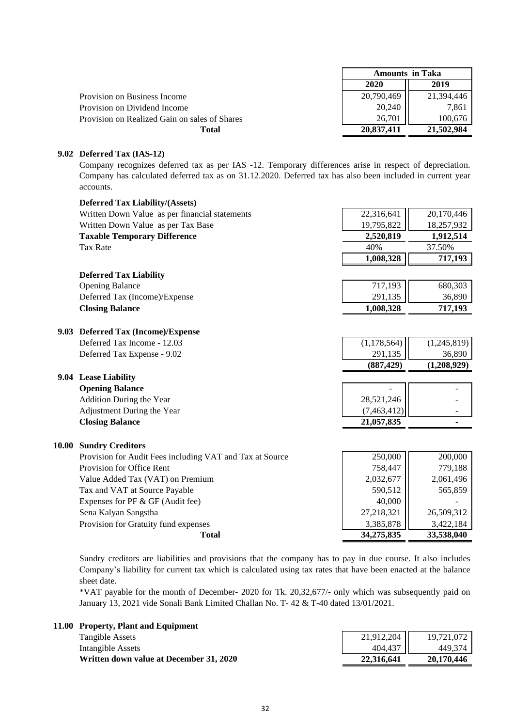|                                               | <b>Amounts in Taka</b> |            |
|-----------------------------------------------|------------------------|------------|
|                                               | 2020                   | 2019       |
| Provision on Business Income                  | 20,790,469             | 21.394.446 |
| Provision on Dividend Income                  | 20,240                 | 7.861      |
| Provision on Realized Gain on sales of Shares | 26.701                 | 100.676    |
| Total                                         | 20,837,411             | 21,502,984 |

#### **9.02 Deferred Tax (IAS-12)**

Company recognizes deferred tax as per IAS -12. Temporary differences arise in respect of depreciation. Company has calculated deferred tax as on 31.12.2020. Deferred tax has also been included in current year accounts.

|       | <b>Deferred Tax Liability/(Assets)</b>                   |               |                |
|-------|----------------------------------------------------------|---------------|----------------|
|       | Written Down Value as per financial statements           | 22,316,641    | 20,170,446     |
|       | Written Down Value as per Tax Base                       | 19,795,822    | 18,257,932     |
|       | <b>Taxable Temporary Difference</b>                      | 2,520,819     | 1,912,514      |
|       | <b>Tax Rate</b>                                          | 40%           | 37.50%         |
|       |                                                          | 1,008,328     | 717,193        |
|       | <b>Deferred Tax Liability</b>                            |               |                |
|       | <b>Opening Balance</b>                                   | 717,193       | 680,303        |
|       | Deferred Tax (Income)/Expense                            | 291,135       | 36,890         |
|       | <b>Closing Balance</b>                                   | 1,008,328     | 717,193        |
|       |                                                          |               |                |
|       | 9.03 Deferred Tax (Income)/Expense                       |               |                |
|       | Deferred Tax Income - 12.03                              | (1, 178, 564) | (1,245,819)    |
|       | Deferred Tax Expense - 9.02                              | 291,135       | 36,890         |
|       |                                                          | (887, 429)    | (1,208,929)    |
|       | 9.04 Lease Liability                                     |               |                |
|       | <b>Opening Balance</b>                                   |               |                |
|       | <b>Addition During the Year</b>                          | 28,521,246    |                |
|       | Adjustment During the Year                               | (7,463,412)   |                |
|       | <b>Closing Balance</b>                                   | 21,057,835    | $\blacksquare$ |
| 10.00 | <b>Sundry Creditors</b>                                  |               |                |
|       | Provision for Audit Fees including VAT and Tax at Source | 250,000       | 200,000        |
|       | Provision for Office Rent                                | 758,447       | 779,188        |
|       | Value Added Tax (VAT) on Premium                         | 2,032,677     | 2,061,496      |
|       | Tax and VAT at Source Payable                            | 590,512       | 565,859        |
|       | Expenses for PF & GF (Audit fee)                         | 40,000        |                |
|       | Sena Kalyan Sangstha                                     | 27,218,321    | 26,509,312     |
|       | Provision for Gratuity fund expenses                     | 3,385,878     | 3,422,184      |
|       | <b>Total</b>                                             | 34,275,835    | 33,538,040     |

Sundry creditors are liabilities and provisions that the company has to pay in due course. It also includes Company's liability for current tax which is calculated using tax rates that have been enacted at the balance sheet date.

\*VAT payable for the month of December- 2020 for Tk. 20,32,677/- only which was subsequently paid on January 13, 2021 vide Sonali Bank Limited Challan No. T- 42 & T-40 dated 13/01/2021.

| 11.00 Property, Plant and Equipment     |            |            |
|-----------------------------------------|------------|------------|
| Tangible Assets                         | 21,912,204 | 19.721.072 |
| Intangible Assets                       | 404,437    | 449.374    |
| Written down value at December 31, 2020 | 22,316,641 | 20,170,446 |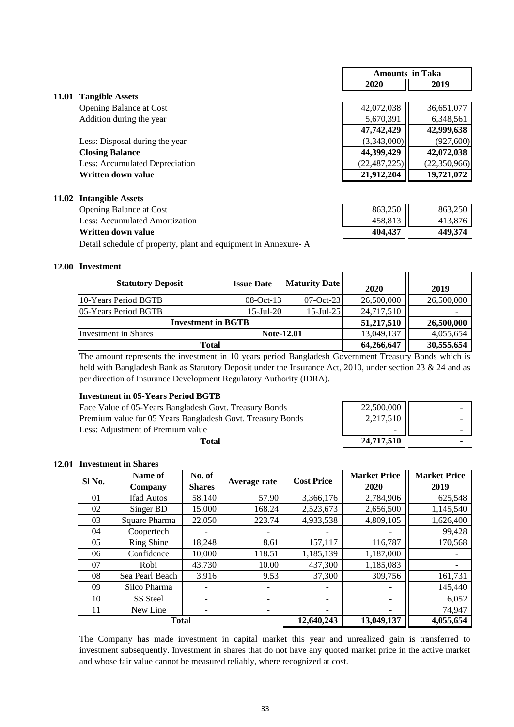|       |                                | <b>Amounts in Taka</b> |                |
|-------|--------------------------------|------------------------|----------------|
|       |                                | 2020                   | 2019           |
| 11.01 | <b>Tangible Assets</b>         |                        |                |
|       | <b>Opening Balance at Cost</b> | 42,072,038             | 36,651,077     |
|       | Addition during the year       | 5,670,391              | 6,348,561      |
|       |                                | 47,742,429             | 42,999,638     |
|       | Less: Disposal during the year | (3,343,000)            | (927, 600)     |
|       | <b>Closing Balance</b>         | 44,399,429             | 42,072,038     |
|       | Less: Accumulated Depreciation | (22, 487, 225)         | (22, 350, 966) |
|       | Written down value             | 21,912,204             | 19,721,072     |
| 11.02 | <b>Intangible Assets</b>       |                        |                |
|       | <b>Opening Balance at Cost</b> | 863,250                | 863,250        |
|       | Less: Accumulated Amortization | 458,813                | 413,876        |
|       | Written down value             | 404.437                | 449,374        |

Detail schedule of property, plant and equipment in Annexure- A

#### **12.00 Investment**

| <b>Statutory Deposit</b>  | <b>Issue Date</b> | <b>Maturity Date</b> | 2020       | 2019       |
|---------------------------|-------------------|----------------------|------------|------------|
| 10-Years Period BGTB      | $08-Oct-13$       | $07-Oct-23$          | 26,500,000 | 26,500,000 |
| 105-Years Period BGTB     | $15$ -Jul-20      | $15$ -Jul-25         | 24,717,510 |            |
| <b>Investment in BGTB</b> |                   |                      | 51,217,510 | 26,500,000 |
| Investment in Shares      | <b>Note-12.01</b> |                      | 13,049,137 | 4,055,654  |
| <b>Total</b>              |                   |                      | 64,266,647 | 30,555,654 |

The amount represents the investment in 10 years period Bangladesh Government Treasury Bonds which is held with Bangladesh Bank as Statutory Deposit under the Insurance Act, 2010, under section 23 & 24 and as per direction of Insurance Development Regulatory Authority (IDRA).

 **24,717,510 -** 

#### **Investment in 05-Years Period BGTB**

Face Value of 05-Years Bangladesh Govt. Treasury Bonds 22,500,000 Premium value for 05 Years Bangladesh Govt. Treasury Bonds 2,217,510 Less: Adjustment of Premium value

**Total**

#### **12.01 Investment in Shares**

| Sl No. | Name of<br>Company | No. of<br><b>Shares</b>  | Average rate                 | <b>Cost Price</b> | <b>Market Price</b><br>2020 | <b>Market Price</b><br>2019 |
|--------|--------------------|--------------------------|------------------------------|-------------------|-----------------------------|-----------------------------|
| 01     | <b>Ifad Autos</b>  | 58,140                   | 57.90                        | 3,366,176         | 2,784,906                   | 625,548                     |
| 02     | Singer BD          | 15,000                   | 168.24                       | 2,523,673         | 2,656,500                   | 1,145,540                   |
| 03     | Square Pharma      | 22,050                   | 223.74                       | 4,933,538         | 4,809,105                   | 1,626,400                   |
| 04     | Coopertech         |                          |                              |                   |                             | 99,428                      |
| 05     | <b>Ring Shine</b>  | 18,248                   | 8.61                         | 157,117           | 116,787                     | 170,568                     |
| 06     | Confidence         | 10,000                   | 118.51                       | 1,185,139         | 1,187,000                   |                             |
| 07     | Robi               | 43,730                   | 10.00                        | 437,300           | 1,185,083                   |                             |
| 08     | Sea Pearl Beach    | 3,916                    | 9.53                         | 37,300            | 309,756                     | 161,731                     |
| 09     | Silco Pharma       |                          | $\qquad \qquad \blacksquare$ |                   |                             | 145,440                     |
| 10     | SS Steel           | $\overline{\phantom{a}}$ | $\overline{\phantom{a}}$     | ۰                 |                             | 6,052                       |
| 11     | New Line           |                          | $\overline{\phantom{a}}$     |                   |                             | 74,947                      |
|        | <b>Total</b>       |                          |                              | 12,640,243        | 13,049,137                  | 4,055,654                   |

The Company has made investment in capital market this year and unrealized gain is transferred to investment subsequently. Investment in shares that do not have any quoted market price in the active market and whose fair value cannot be measured reliably, where recognized at cost.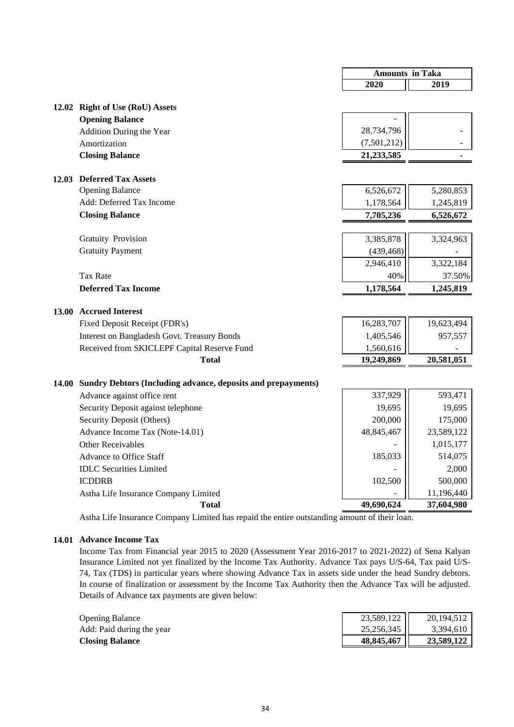|       |                                                              | <b>Amounts in Taka</b> |            |
|-------|--------------------------------------------------------------|------------------------|------------|
|       |                                                              | 2020                   | 2019       |
|       |                                                              |                        |            |
|       | 12.02 Right of Use (RoU) Assets                              |                        |            |
|       | <b>Opening Balance</b>                                       |                        |            |
|       | Addition During the Year                                     | 28,734,796             |            |
|       | Amortization                                                 | (7,501,212)            |            |
|       | <b>Closing Balance</b>                                       | 21,233,585             |            |
|       | 12.03 Deferred Tax Assets                                    |                        |            |
|       | <b>Opening Balance</b>                                       | 6,526,672              | 5,280,853  |
|       | Add: Deferred Tax Income                                     | 1,178,564              | 1,245,819  |
|       | <b>Closing Balance</b>                                       | 7,705,236              | 6,526,672  |
|       |                                                              |                        |            |
|       | <b>Gratuity Provision</b>                                    | 3,385,878              | 3,324,963  |
|       | <b>Gratuity Payment</b>                                      | (439, 468)             |            |
|       |                                                              | 2,946,410              | 3,322,184  |
|       | <b>Tax Rate</b>                                              | 40%                    | 37.50%     |
|       | <b>Deferred Tax Income</b>                                   | 1,178,564              | 1,245,819  |
|       |                                                              |                        |            |
| 13.00 | <b>Accrued Interest</b>                                      |                        |            |
|       | Fixed Deposit Receipt (FDR's)                                | 16,283,707             | 19,623,494 |
|       | <b>Interest on Bangladesh Govt. Treasury Bonds</b>           | 1,405,546              | 957,557    |
|       | Received from SKICLEPF Capital Reserve Fund                  | 1,560,616              |            |
|       | <b>Total</b>                                                 | 19,249,869             | 20,581,051 |
| 14.00 | Sundry Debtors (Including advance, deposits and prepayments) |                        |            |
|       | Advance against office rent                                  | 337,929                | 593,471    |
|       | Security Deposit against telephone                           | 19,695                 | 19,695     |
|       | Security Deposit (Others)                                    | 200,000                | 175,000    |
|       | Advance Income Tax (Note-14.01)                              | 48,845,467             | 23,589,122 |
|       | <b>Other Receivables</b>                                     |                        | 1,015,177  |
|       | <b>Advance to Office Staff</b>                               | 185,033                | 514,075    |
|       | <b>IDLC</b> Securities Limited                               |                        | 2,000      |
|       | <b>ICDDRB</b>                                                | 102,500                | 500,000    |
|       | Astha Life Insurance Company Limited                         |                        | 11,196,440 |
|       | <b>Total</b>                                                 | 49,690,624             | 37,604,980 |

Astha Life Insurance Company Limited has repaid the entire outstanding amount of their loan.

#### **14.01 Advance Income Tax**

Income Tax from Financial year 2015 to 2020 (Assessment Year 2016-2017 to 2021-2022) of Sena Kalyan Insurance Limited not yet finalized by the Income Tax Authority. Advance Tax pays U/S-64, Tax paid U/S-74, Tax (TDS) in particular years where showing Advance Tax in assets side under the head Sundry debtors. In course of finalization or assessment by the Income Tax Authority then the Advance Tax will be adjusted. Details of Advance tax payments are given below:

| <b>Opening Balance</b>    | 23,589,122 | 20, 194, 512 |
|---------------------------|------------|--------------|
| Add: Paid during the year | 25,256,345 | 3.394.610    |
| <b>Closing Balance</b>    | 48,845,467 | 23,589,122   |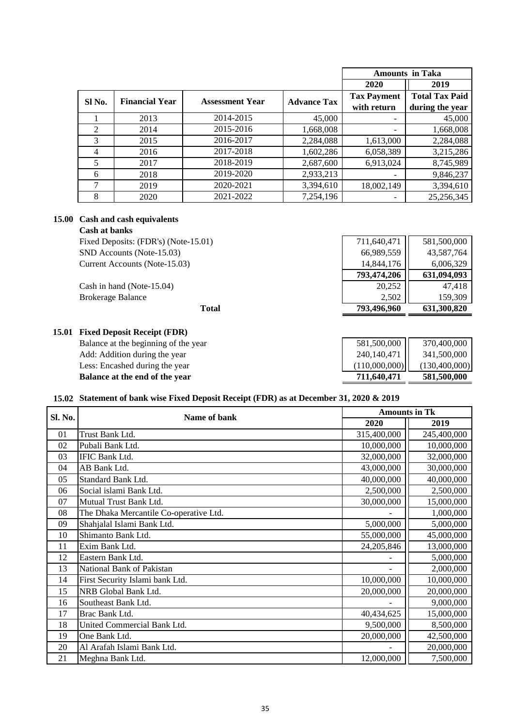|        |                       |                        |                    |                          | <b>Amounts in Taka</b> |
|--------|-----------------------|------------------------|--------------------|--------------------------|------------------------|
|        |                       |                        |                    | 2020                     | 2019                   |
|        | <b>Financial Year</b> | <b>Assessment Year</b> | <b>Advance Tax</b> | <b>Tax Payment</b>       | <b>Total Tax Paid</b>  |
| Sl No. |                       |                        |                    | with return              | during the year        |
|        | 2013                  | 2014-2015              | 45,000             | -                        | 45,000                 |
| 2      | 2014                  | 2015-2016              | 1,668,008          | -                        | 1,668,008              |
| 3      | 2015                  | 2016-2017              | 2,284,088          | 1,613,000                | 2,284,088              |
| 4      | 2016                  | 2017-2018              | 1,602,286          | 6,058,389                | 3,215,286              |
| 5      | 2017                  | 2018-2019              | 2,687,600          | 6,913,024                | 8,745,989              |
| 6      | 2018                  | 2019-2020              | 2,933,213          | $\overline{\phantom{a}}$ | 9,846,237              |
| 7      | 2019                  | 2020-2021              | 3,394,610          | 18,002,149               | 3,394,610              |
| 8      | 2020                  | 2021-2022              | 7,254,196          |                          | 25,256,345             |

#### **15.00 Cash and cash equivalents**

**Cash at banks**

Fixed Deposits: (FDR's) (Note-15.01) 711,640,471 581,500,000 SND Accounts (Note-15.03) 66,989,559 43,587,764 Current Accounts (Note-15.03) 14,844,176 6,006,329

**Total**

# **793,474,206 631,094,093** Cash in hand (Note-15.04) 20,252 | 47,418 Brokerage Balance 2,502 159,309  **793,496,960 631,300,820**

| 15.01 Fixed Deposit Receipt (FDR)    |               |               |
|--------------------------------------|---------------|---------------|
| Balance at the beginning of the year | 581,500,000   | 370,400,000   |
| Add: Addition during the year        | 240,140,471   | 341,500,000   |
| Less: Encashed during the year       | (110,000,000) | (130,400,000) |
| Balance at the end of the year       | 711,640,471   | 581,500,000   |

#### **15.02 Statement of bank wise Fixed Deposit Receipt (FDR) as at December 31, 2020 & 2019**

| Sl. No. |                                        | <b>Amounts in Tk</b> |             |
|---------|----------------------------------------|----------------------|-------------|
|         | Name of bank                           | 2020                 | 2019        |
| 01      | Trust Bank Ltd.                        | 315,400,000          | 245,400,000 |
| 02      | Pubali Bank Ltd.                       | 10,000,000           | 10,000,000  |
| 03      | IFIC Bank Ltd.                         | 32,000,000           | 32,000,000  |
| 04      | AB Bank Ltd.                           | 43,000,000           | 30,000,000  |
| 05      | Standard Bank Ltd.                     | 40,000,000           | 40,000,000  |
| 06      | Social islami Bank Ltd.                | 2,500,000            | 2,500,000   |
| 07      | Mutual Trust Bank Ltd.                 | 30,000,000           | 15,000,000  |
| 08      | The Dhaka Mercantile Co-operative Ltd. |                      | 1,000,000   |
| 09      | Shahjalal Islami Bank Ltd.             | 5,000,000            | 5,000,000   |
| 10      | Shimanto Bank Ltd.                     | 55,000,000           | 45,000,000  |
| 11      | Exim Bank Ltd.                         | 24,205,846           | 13,000,000  |
| 12      | Eastern Bank Ltd.                      |                      | 5,000,000   |
| 13      | National Bank of Pakistan              |                      | 2,000,000   |
| 14      | First Security Islami bank Ltd.        | 10,000,000           | 10,000,000  |
| 15      | NRB Global Bank Ltd.                   | 20,000,000           | 20,000,000  |
| 16      | Southeast Bank Ltd.                    |                      | 9,000,000   |
| 17      | Brac Bank Ltd.                         | 40,434,625           | 15,000,000  |
| 18      | United Commercial Bank Ltd.            | 9,500,000            | 8,500,000   |
| 19      | One Bank Ltd.                          | 20,000,000           | 42,500,000  |
| 20      | Al Arafah Islami Bank Ltd.             |                      | 20,000,000  |
| 21      | Meghna Bank Ltd.                       | 12,000,000           | 7,500,000   |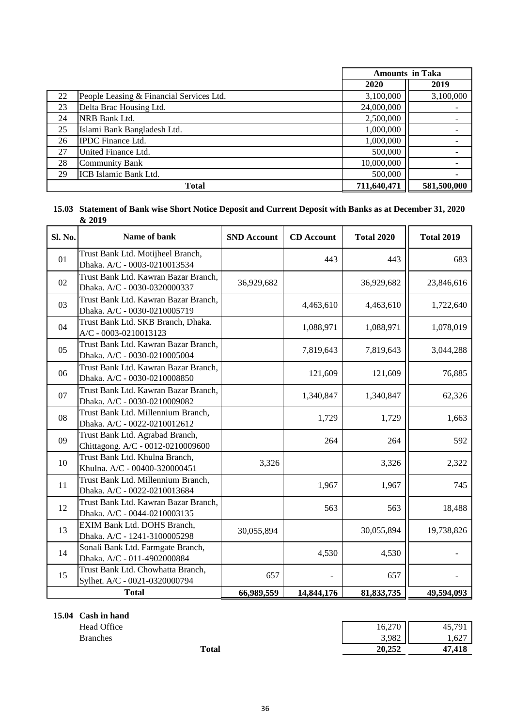|    |                                          | <b>Amounts in Taka</b> |             |
|----|------------------------------------------|------------------------|-------------|
|    |                                          | 2020                   | 2019        |
| 22 | People Leasing & Financial Services Ltd. | 3,100,000              | 3,100,000   |
| 23 | Delta Brac Housing Ltd.                  | 24,000,000             |             |
| 24 | NRB Bank Ltd.                            | 2,500,000              |             |
| 25 | Islami Bank Bangladesh Ltd.              | 1,000,000              |             |
| 26 | <b>IPDC</b> Finance Ltd.                 | 1,000,000              |             |
| 27 | United Finance Ltd.                      | 500,000                |             |
| 28 | <b>Community Bank</b>                    | 10,000,000             |             |
| 29 | ICB Islamic Bank Ltd.                    | 500,000                |             |
|    | <b>Total</b>                             | 711,640,471            | 581,500,000 |

#### **15.03 Statement of Bank wise Short Notice Deposit and Current Deposit with Banks as at December 31, 2020 & 2019**

| Sl. No. | Name of bank                                                         | <b>SND Account</b> | <b>CD</b> Account | <b>Total 2020</b> | <b>Total 2019</b> |
|---------|----------------------------------------------------------------------|--------------------|-------------------|-------------------|-------------------|
| 01      | Trust Bank Ltd. Motijheel Branch,<br>Dhaka. A/C - 0003-0210013534    |                    | 443               | 443               | 683               |
| 02      | Trust Bank Ltd. Kawran Bazar Branch,<br>Dhaka. A/C - 0030-0320000337 | 36,929,682         |                   | 36,929,682        | 23,846,616        |
| 03      | Trust Bank Ltd. Kawran Bazar Branch,<br>Dhaka. A/C - 0030-0210005719 |                    | 4,463,610         | 4,463,610         | 1,722,640         |
| 04      | Trust Bank Ltd. SKB Branch, Dhaka.<br>A/C - 0003-0210013123          |                    | 1,088,971         | 1,088,971         | 1,078,019         |
| 05      | Trust Bank Ltd. Kawran Bazar Branch,<br>Dhaka. A/C - 0030-0210005004 |                    | 7,819,643         | 7,819,643         | 3,044,288         |
| 06      | Trust Bank Ltd. Kawran Bazar Branch,<br>Dhaka. A/C - 0030-0210008850 |                    | 121,609           | 121,609           | 76,885            |
| 07      | Trust Bank Ltd. Kawran Bazar Branch,<br>Dhaka. A/C - 0030-0210009082 |                    | 1,340,847         | 1,340,847         | 62,326            |
| 08      | Trust Bank Ltd. Millennium Branch,<br>Dhaka. A/C - 0022-0210012612   |                    | 1,729             | 1,729             | 1,663             |
| 09      | Trust Bank Ltd. Agrabad Branch,<br>Chittagong. A/C - 0012-0210009600 |                    | 264               | 264               | 592               |
| 10      | Trust Bank Ltd. Khulna Branch,<br>Khulna. A/C - 00400-320000451      | 3,326              |                   | 3,326             | 2,322             |
| 11      | Trust Bank Ltd. Millennium Branch,<br>Dhaka. A/C - 0022-0210013684   |                    | 1,967             | 1,967             | 745               |
| 12      | Trust Bank Ltd. Kawran Bazar Branch,<br>Dhaka. A/C - 0044-0210003135 |                    | 563               | 563               | 18,488            |
| 13      | EXIM Bank Ltd. DOHS Branch,<br>Dhaka. A/C - 1241-3100005298          | 30,055,894         |                   | 30,055,894        | 19,738,826        |
| 14      | Sonali Bank Ltd. Farmgate Branch,<br>Dhaka. A/C - 011-4902000884     |                    | 4,530             | 4,530             |                   |
| 15      | Trust Bank Ltd. Chowhatta Branch,<br>Sylhet. A/C - 0021-0320000794   | 657                |                   | 657               |                   |
|         | <b>Total</b>                                                         | 66,989,559         | 14,844,176        | 81, 833, 735      | 49,594,093        |

**15.04 Cash in hand**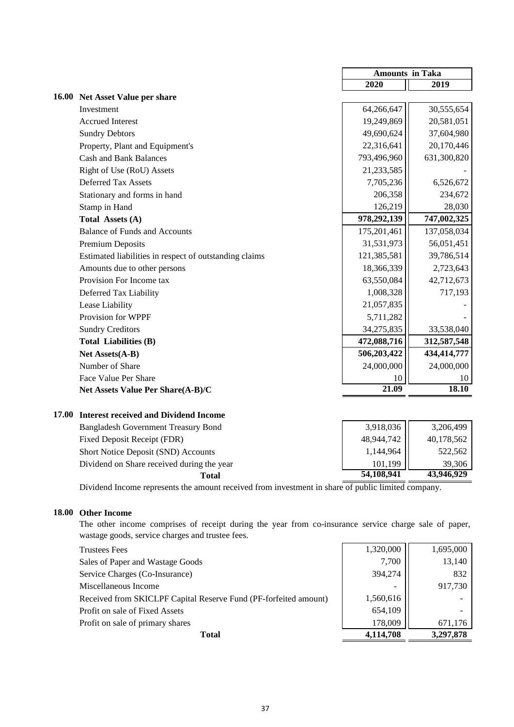|                                                        | <b>Amounts in Taka</b> |             |
|--------------------------------------------------------|------------------------|-------------|
|                                                        | 2020                   | 2019        |
| 16.00 Net Asset Value per share                        |                        |             |
| Investment                                             | 64,266,647             | 30,555,654  |
| <b>Accrued Interest</b>                                | 19,249,869             | 20,581,051  |
| <b>Sundry Debtors</b>                                  | 49,690,624             | 37,604,980  |
| Property, Plant and Equipment's                        | 22,316,641             | 20,170,446  |
| <b>Cash and Bank Balances</b>                          | 793,496,960            | 631,300,820 |
| Right of Use (RoU) Assets                              | 21,233,585             |             |
| <b>Deferred Tax Assets</b>                             | 7,705,236              | 6,526,672   |
| Stationary and forms in hand                           | 206,358                | 234,672     |
| Stamp in Hand                                          | 126,219                | 28,030      |
| Total Assets (A)                                       | 978,292,139            | 747,002,325 |
| <b>Balance of Funds and Accounts</b>                   | 175,201,461            | 137,058,034 |
| Premium Deposits                                       | 31,531,973             | 56,051,451  |
| Estimated liabilities in respect of outstanding claims | 121,385,581            | 39,786,514  |
| Amounts due to other persons                           | 18,366,339             | 2,723,643   |
| Provision For Income tax                               | 63,550,084             | 42,712,673  |
| Deferred Tax Liability                                 | 1,008,328              | 717,193     |
| Lease Liability                                        | 21,057,835             |             |
| Provision for WPPF                                     | 5,711,282              |             |
| <b>Sundry Creditors</b>                                | 34,275,835             | 33,538,040  |
| <b>Total Liabilities (B)</b>                           | 472,088,716            | 312,587,548 |
| Net Assets(A-B)                                        | 506,203,422            | 434,414,777 |
| Number of Share                                        | 24,000,000             | 24,000,000  |
| Face Value Per Share                                   | 10                     | 10          |
| Net Assets Value Per Share(A-B)/C                      | 21.09                  | 18.10       |
|                                                        |                        |             |

#### **17.00 Interest received and Dividend Income**

| <b>Bangladesh Government Treasury Bond</b> | 3,918,036  | 3,206,499  |
|--------------------------------------------|------------|------------|
| Fixed Deposit Receipt (FDR)                | 48,944,742 | 40,178,562 |
| Short Notice Deposit (SND) Accounts        | 1,144,964  | 522,562    |
| Dividend on Share received during the year | 101,199    | 39.306     |
| Total                                      | 54,108,941 | 43,946,929 |

Dividend Income represents the amount received from investment in share of public limited company.

#### **18.00 Other Income**

The other income comprises of receipt during the year from co-insurance service charge sale of paper, wastage goods, service charges and trustee fees.

| <b>Trustees Fees</b>                                             | 1,320,000                | 1,695,000 |
|------------------------------------------------------------------|--------------------------|-----------|
| Sales of Paper and Wastage Goods                                 | 7,700                    | 13,140    |
| Service Charges (Co-Insurance)                                   | 394,274                  | 832       |
| Miscellaneous Income                                             | $\overline{\phantom{a}}$ | 917,730   |
| Received from SKICLPF Capital Reserve Fund (PF-forfeited amount) | 1,560,616                |           |
| Profit on sale of Fixed Assets                                   | 654,109                  |           |
| Profit on sale of primary shares                                 | 178,009                  | 671,176   |
| Total                                                            | 4,114,708                | 3,297,878 |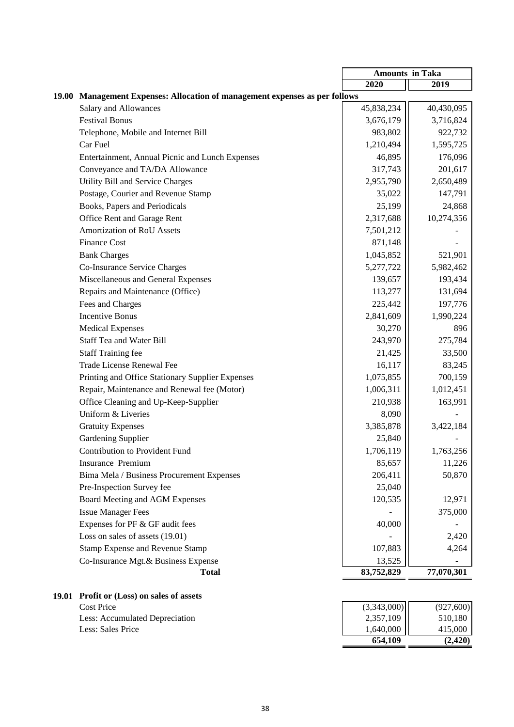|              |                                                                       | <b>Amounts in Taka</b>   |                      |
|--------------|-----------------------------------------------------------------------|--------------------------|----------------------|
|              |                                                                       | 2020                     | 2019                 |
| <b>19.00</b> | Management Expenses: Allocation of management expenses as per follows |                          |                      |
|              | <b>Salary and Allowances</b>                                          | 45,838,234               | 40,430,095           |
|              | <b>Festival Bonus</b>                                                 | 3,676,179                | 3,716,824            |
|              | Telephone, Mobile and Internet Bill                                   | 983,802                  | 922,732              |
|              | Car Fuel                                                              | 1,210,494                | 1,595,725            |
|              | Entertainment, Annual Picnic and Lunch Expenses                       | 46,895                   | 176,096              |
|              | Conveyance and TA/DA Allowance                                        | 317,743                  | 201,617              |
|              | Utility Bill and Service Charges                                      | 2,955,790                | 2,650,489            |
|              | Postage, Courier and Revenue Stamp                                    | 35,022                   | 147,791              |
|              | Books, Papers and Periodicals                                         | 25,199                   | 24,868               |
|              | Office Rent and Garage Rent                                           | 2,317,688                | 10,274,356           |
|              | <b>Amortization of RoU Assets</b>                                     | 7,501,212                |                      |
|              | <b>Finance Cost</b>                                                   | 871,148                  |                      |
|              | <b>Bank Charges</b>                                                   | 1,045,852                | 521,901              |
|              | Co-Insurance Service Charges                                          | 5,277,722                | 5,982,462            |
|              | Miscellaneous and General Expenses                                    | 139,657                  | 193,434              |
|              | Repairs and Maintenance (Office)                                      | 113,277                  | 131,694              |
|              | Fees and Charges                                                      | 225,442                  | 197,776              |
|              | <b>Incentive Bonus</b>                                                | 2,841,609                | 1,990,224            |
|              | <b>Medical Expenses</b>                                               | 30,270                   | 896                  |
|              | <b>Staff Tea and Water Bill</b>                                       | 243,970                  | 275,784              |
|              | <b>Staff Training fee</b>                                             | 21,425                   | 33,500               |
|              | <b>Trade License Renewal Fee</b>                                      | 16,117                   | 83,245               |
|              | Printing and Office Stationary Supplier Expenses                      | 1,075,855                | 700,159              |
|              | Repair, Maintenance and Renewal fee (Motor)                           | 1,006,311                | 1,012,451            |
|              | Office Cleaning and Up-Keep-Supplier                                  | 210,938                  | 163,991              |
|              | Uniform & Liveries                                                    | 8,090                    |                      |
|              | <b>Gratuity Expenses</b>                                              | 3,385,878                | 3,422,184            |
|              | <b>Gardening Supplier</b>                                             | 25,840                   |                      |
|              | <b>Contribution to Provident Fund</b>                                 | 1,706,119                | 1,763,256            |
|              | Insurance Premium                                                     | 85,657                   | 11,226               |
|              | Bima Mela / Business Procurement Expenses                             | 206,411                  | 50,870               |
|              | Pre-Inspection Survey fee                                             | 25,040                   |                      |
|              | Board Meeting and AGM Expenses                                        | 120,535                  | 12,971               |
|              | <b>Issue Manager Fees</b>                                             |                          | 375,000              |
|              | Expenses for PF & GF audit fees                                       | 40,000                   |                      |
|              | Loss on sales of assets (19.01)                                       |                          | 2,420                |
|              | <b>Stamp Expense and Revenue Stamp</b>                                | 107,883                  | 4,264                |
|              | Co-Insurance Mgt.& Business Expense                                   | 13,525                   |                      |
|              | <b>Total</b>                                                          | 83,752,829               | 77,070,301           |
|              |                                                                       |                          |                      |
|              | 19.01 Profit or (Loss) on sales of assets                             |                          |                      |
|              | <b>Cost Price</b><br>Less: Accumulated Depreciation                   | (3,343,000)<br>2,357,109 | (927,600)<br>510,180 |
|              | Less: Sales Price                                                     | 1,640,000                | 415,000              |
|              |                                                                       | 654,109                  | (2, 420)             |

| <b>Profit or (Loss) on sales of assets</b> |             |           |
|--------------------------------------------|-------------|-----------|
| Cost Price                                 | (3,343,000) | (927,600) |
| Less: Accumulated Depreciation             | 2,357,109   | 510.180   |
| Less: Sales Price                          | 1,640,000   | 415,000   |
|                                            | 654.109     | (2.420)   |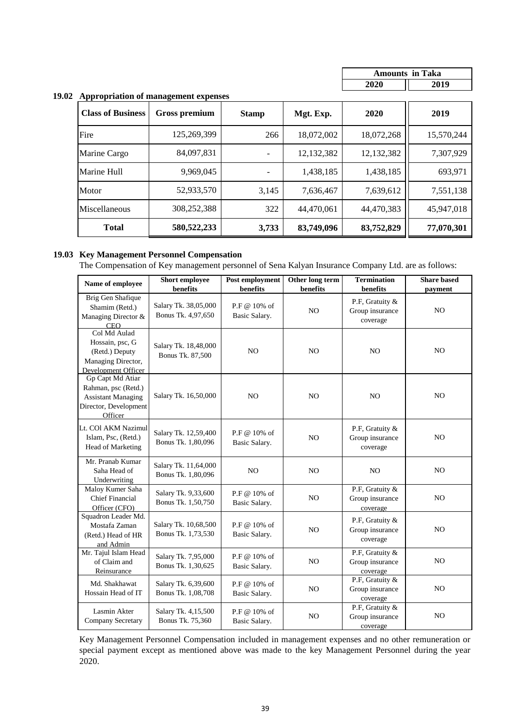| <b>Amounts in Taka</b> |  |
|------------------------|--|
| 02O                    |  |

#### **19.02 Appropriation of management expenses**

| <b>Class of Business</b> | <b>Gross premium</b> | <b>Stamp</b> | Mgt. Exp.  | 2020       | 2019       |
|--------------------------|----------------------|--------------|------------|------------|------------|
| Fire                     | 125,269,399          | 266          | 18,072,002 | 18,072,268 | 15,570,244 |
| Marine Cargo             | 84,097,831           |              | 12,132,382 | 12,132,382 | 7,307,929  |
| Marine Hull              | 9,969,045            |              | 1,438,185  | 1,438,185  | 693,971    |
| Motor                    | 52,933,570           | 3,145        | 7,636,467  | 7,639,612  | 7,551,138  |
| Miscellaneous            | 308,252,388          | 322          | 44,470,061 | 44,470,383 | 45,947,018 |
| <b>Total</b>             | 580, 522, 233        | 3,733        | 83,749,096 | 83,752,829 | 77,070,301 |

#### **19.03 Key Management Personnel Compensation**

The Compensation of Key management personnel of Sena Kalyan Insurance Company Ltd. are as follows:

| Name of employee                                                                                         | Short employee<br>benefits                 | Post employment<br>benefits   | Other long term<br>benefits | <b>Termination</b><br>benefits                 | <b>Share based</b><br>payment |
|----------------------------------------------------------------------------------------------------------|--------------------------------------------|-------------------------------|-----------------------------|------------------------------------------------|-------------------------------|
| Brig Gen Shafique<br>Shamim (Retd.)<br>Managing Director &<br><b>CEO</b>                                 | Salary Tk. 38,05,000<br>Bonus Tk. 4,97,650 | P.F @ 10% of<br>Basic Salary. | N <sub>O</sub>              | P.F, Gratuity &<br>Group insurance<br>coverage | N <sub>O</sub>                |
| Col Md Aulad<br>Hossain, psc, G<br>(Retd.) Deputy<br>Managing Director,<br>Development Officer           | Salary Tk. 18,48,000<br>Bonus Tk. 87,500   | N <sub>O</sub>                | N <sub>O</sub>              | N <sub>O</sub>                                 | NO                            |
| Gp Capt Md Atiar<br>Rahman, psc (Retd.)<br><b>Assistant Managing</b><br>Director, Development<br>Officer | Salary Tk. 16,50,000                       | N <sub>O</sub>                | N <sub>O</sub>              | N <sub>O</sub>                                 | NO                            |
| Lt. COl AKM Nazimul<br>Islam, Psc, (Retd.)<br>Head of Marketing                                          | Salary Tk. 12,59,400<br>Bonus Tk. 1,80,096 | P.F @ 10% of<br>Basic Salary. | N <sub>O</sub>              | P.F. Gratuity &<br>Group insurance<br>coverage | N <sub>O</sub>                |
| Mr. Pranab Kumar<br>Saha Head of<br>Underwriting                                                         | Salary Tk. 11,64,000<br>Bonus Tk. 1,80,096 | N <sub>O</sub>                | N <sub>O</sub>              | N <sub>O</sub>                                 | N <sub>O</sub>                |
| Maloy Kumer Saha<br><b>Chief Financial</b><br>Officer (CFO)                                              | Salary Tk. 9,33,600<br>Bonus Tk. 1,50,750  | P.F @ 10% of<br>Basic Salary. | N <sub>O</sub>              | P.F, Gratuity &<br>Group insurance<br>coverage | N <sub>O</sub>                |
| Squadron Leader Md.<br>Mostafa Zaman<br>(Retd.) Head of HR<br>and Admin                                  | Salary Tk. 10,68,500<br>Bonus Tk. 1,73,530 | P.F @ 10% of<br>Basic Salary. | N <sub>O</sub>              | P.F, Gratuity &<br>Group insurance<br>coverage | N <sub>O</sub>                |
| Mr. Tajul Islam Head<br>of Claim and<br>Reinsurance                                                      | Salary Tk. 7,95,000<br>Bonus Tk. 1,30,625  | P.F @ 10% of<br>Basic Salary. | N <sub>O</sub>              | P.F. Gratuity &<br>Group insurance<br>coverage | NO                            |
| Md. Shakhawat<br>Hossain Head of IT                                                                      | Salary Tk. 6,39,600<br>Bonus Tk. 1,08,708  | P.F @ 10% of<br>Basic Salary. | NO                          | P.F, Gratuity &<br>Group insurance<br>coverage | NO                            |
| Lasmin Akter<br>Company Secretary                                                                        | Salary Tk. 4,15,500<br>Bonus Tk. 75,360    | P.F @ 10% of<br>Basic Salary. | N <sub>O</sub>              | P.F, Gratuity &<br>Group insurance<br>coverage | NO                            |

Key Management Personnel Compensation included in management expenses and no other remuneration or special payment except as mentioned above was made to the key Management Personnel during the year 2020.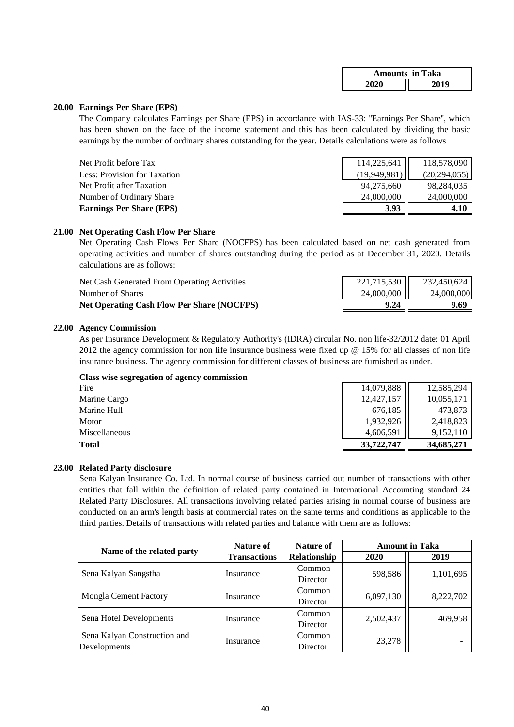|      | <b>Amounts in Taka</b> |
|------|------------------------|
| 2020 | 2019                   |

#### **20.00 Earnings Per Share (EPS)**

The Company calculates Earnings per Share (EPS) in accordance with IAS-33: ''Earnings Per Share'', which has been shown on the face of the income statement and this has been calculated by dividing the basic earnings by the number of ordinary shares outstanding for the year. Details calculations were as follows

| Net Profit before Tax           | 114,225,641  | 118,578,090    |
|---------------------------------|--------------|----------------|
| Less: Provision for Taxation    | (19.949.981) | (20, 294, 055) |
| Net Profit after Taxation       | 94.275.660   | 98,284,035     |
| Number of Ordinary Share        | 24,000,000   | 24,000,000     |
| <b>Earnings Per Share (EPS)</b> | 3.93         | 4.10           |
|                                 |              |                |

#### **21.00 Net Operating Cash Flow Per Share**

Net Operating Cash Flows Per Share (NOCFPS) has been calculated based on net cash generated from operating activities and number of shares outstanding during the period as at December 31, 2020. Details calculations are as follows:

| <b>Net Operating Cash Flow Per Share (NOCFPS)</b> | 9.24        | 9.69        |
|---------------------------------------------------|-------------|-------------|
| Number of Shares                                  | 24,000,000  | 24,000,000  |
| Net Cash Generated From Operating Activities      | 221,715,530 | 232,450,624 |

#### **22.00 Agency Commission**

As per Insurance Development & Regulatory Authority's (IDRA) circular No. non life-32/2012 date: 01 April 2012 the agency commission for non life insurance business were fixed up  $\omega$  15% for all classes of non life insurance business. The agency commission for different classes of business are furnished as under.

| Class wise segregation of agency commission |            |            |
|---------------------------------------------|------------|------------|
| Fire                                        | 14,079,888 | 12,585,294 |
| Marine Cargo                                | 12,427,157 | 10,055,171 |
| Marine Hull                                 | 676,185    | 473,873    |
| Motor                                       | 1,932,926  | 2,418,823  |
| Miscellaneous                               | 4,606,591  | 9,152,110  |
| Total                                       | 33,722,747 | 34,685,271 |

#### **23.00 Related Party disclosure**

Sena Kalyan Insurance Co. Ltd. In normal course of business carried out number of transactions with other entities that fall within the definition of related party contained in International Accounting standard 24 Related Party Disclosures. All transactions involving related parties arising in normal course of business are conducted on an arm's length basis at commercial rates on the same terms and conditions as applicable to the third parties. Details of transactions with related parties and balance with them are as follows:

| Name of the related party                    | Nature of<br>Nature of |                               | <b>Amount in Taka</b> |           |  |
|----------------------------------------------|------------------------|-------------------------------|-----------------------|-----------|--|
|                                              | <b>Transactions</b>    | Relationship                  | 2020                  | 2019      |  |
| Sena Kalyan Sangstha                         | Insurance              | Common<br>598,586<br>Director |                       | 1,101,695 |  |
| Mongla Cement Factory                        | Insurance              | Common<br>Director            | 6,097,130             | 8,222,702 |  |
| Sena Hotel Developments                      | Insurance              | Common<br>Director            | 2,502,437             | 469,958   |  |
| Sena Kalyan Construction and<br>Developments | Insurance              | Common<br>Director            | 23,278                |           |  |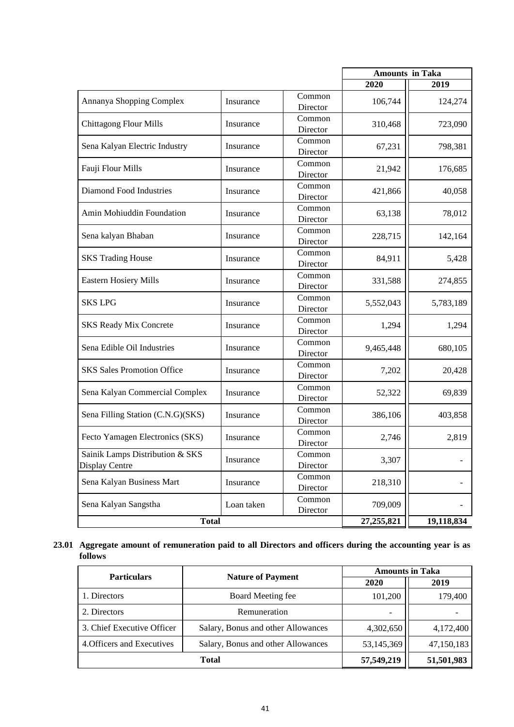|                                                   |            |                    | <b>Amounts</b> in Taka |           |
|---------------------------------------------------|------------|--------------------|------------------------|-----------|
|                                                   |            |                    | 2020                   | 2019      |
| Annanya Shopping Complex                          | Insurance  | Common<br>Director | 106,744                | 124,274   |
| <b>Chittagong Flour Mills</b>                     | Insurance  | Common<br>Director | 310,468                | 723,090   |
| Sena Kalyan Electric Industry                     | Insurance  | Common<br>Director | 67,231                 | 798,381   |
| Fauji Flour Mills                                 | Insurance  | Common<br>Director | 21,942                 | 176,685   |
| <b>Diamond Food Industries</b>                    | Insurance  | Common<br>Director | 421,866                | 40,058    |
| Amin Mohiuddin Foundation                         | Insurance  | Common<br>Director | 63,138                 | 78,012    |
| Sena kalyan Bhaban                                | Insurance  | Common<br>Director | 228,715                | 142,164   |
| <b>SKS Trading House</b>                          | Insurance  | Common<br>Director | 84,911                 | 5,428     |
| <b>Eastern Hosiery Mills</b>                      | Insurance  | Common<br>Director | 331,588                | 274,855   |
| <b>SKS LPG</b>                                    | Insurance  | Common<br>Director | 5,552,043              | 5,783,189 |
| <b>SKS Ready Mix Concrete</b>                     | Insurance  | Common<br>Director | 1,294                  | 1,294     |
| Sena Edible Oil Industries                        | Insurance  | Common<br>Director | 9,465,448              | 680,105   |
| <b>SKS Sales Promotion Office</b>                 | Insurance  | Common<br>Director | 7,202                  | 20,428    |
| Sena Kalyan Commercial Complex                    | Insurance  | Common<br>Director | 52,322                 | 69,839    |
| Sena Filling Station (C.N.G)(SKS)                 | Insurance  | Common<br>Director | 386,106                | 403,858   |
| Fecto Yamagen Electronics (SKS)                   | Insurance  | Common<br>Director | 2,746                  | 2,819     |
| Sainik Lamps Distribution & SKS<br>Display Centre | Insurance  | Common<br>Director | 3,307                  |           |
| Sena Kalyan Business Mart                         | Insurance  | Common<br>Director | 218,310                |           |
| Sena Kalyan Sangstha                              | Loan taken | Common<br>Director | 709,009                |           |
| <b>Total</b>                                      | 27,255,821 | 19,118,834         |                        |           |

#### 23.01 Aggregate amount of remuneration paid to all Directors and officers during the accounting year is as **follows**

| <b>Particulars</b>         |                                    | <b>Amounts in Taka</b> |            |  |  |
|----------------------------|------------------------------------|------------------------|------------|--|--|
|                            | <b>Nature of Payment</b>           | 2020                   | 2019       |  |  |
| 1. Directors               | Board Meeting fee                  | 101,200                |            |  |  |
| 2. Directors               | Remuneration                       |                        |            |  |  |
| 3. Chief Executive Officer | Salary, Bonus and other Allowances | 4,302,650              | 4,172,400  |  |  |
| 4. Officers and Executives | Salary, Bonus and other Allowances | 53,145,369             | 47,150,183 |  |  |
|                            | 57,549,219                         | 51,501,983             |            |  |  |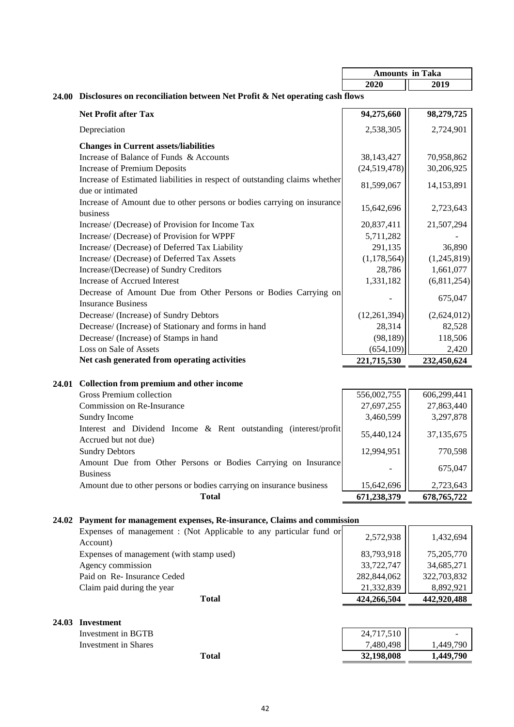|       |                                                                                                | <b>Amounts in Taka</b> |               |
|-------|------------------------------------------------------------------------------------------------|------------------------|---------------|
|       |                                                                                                | 2020                   | 2019          |
|       | 24.00 Disclosures on reconciliation between Net Profit & Net operating cash flows              |                        |               |
|       | <b>Net Profit after Tax</b>                                                                    | 94,275,660             | 98,279,725    |
|       | Depreciation                                                                                   | 2,538,305              | 2,724,901     |
|       | <b>Changes in Current assets/liabilities</b>                                                   |                        |               |
|       | Increase of Balance of Funds & Accounts                                                        | 38,143,427             | 70,958,862    |
|       | <b>Increase of Premium Deposits</b>                                                            | (24,519,478)           | 30,206,925    |
|       | Increase of Estimated liabilities in respect of outstanding claims whether<br>due or intimated | 81,599,067             | 14,153,891    |
|       | Increase of Amount due to other persons or bodies carrying on insurance<br>business            | 15,642,696             | 2,723,643     |
|       | Increase/ (Decrease) of Provision for Income Tax                                               | 20,837,411             | 21,507,294    |
|       | Increase/ (Decrease) of Provision for WPPF                                                     | 5,711,282              |               |
|       | Increase/ (Decrease) of Deferred Tax Liability                                                 | 291,135                | 36,890        |
|       | Increase/ (Decrease) of Deferred Tax Assets                                                    | (1, 178, 564)          | (1,245,819)   |
|       | Increase/(Decrease) of Sundry Creditors                                                        | 28,786                 | 1,661,077     |
|       | Increase of Accrued Interest                                                                   | 1,331,182              | (6,811,254)   |
|       | Decrease of Amount Due from Other Persons or Bodies Carrying on<br><b>Insurance Business</b>   |                        | 675,047       |
|       | Decrease/ (Increase) of Sundry Debtors                                                         | (12,261,394)           | (2,624,012)   |
|       | Decrease/ (Increase) of Stationary and forms in hand                                           | 28,314                 | 82,528        |
|       | Decrease/ (Increase) of Stamps in hand                                                         | (98, 189)              | 118,506       |
|       | Loss on Sale of Assets                                                                         | (654, 109)             | 2,420         |
|       | Net cash generated from operating activities                                                   | 221,715,530            | 232,450,624   |
|       | 24.01 Collection from premium and other income                                                 |                        |               |
|       | Gross Premium collection                                                                       | 556,002,755            | 606,299,441   |
|       | Commission on Re-Insurance                                                                     | 27,697,255             | 27,863,440    |
|       | Sundry Income                                                                                  | 3,460,599              | 3,297,878     |
|       | Interest and Dividend Income & Rent outstanding (interest/profit                               | 55,440,124             | 37, 135, 675  |
|       | Accrued but not due)                                                                           |                        |               |
|       | <b>Sundry Debtors</b>                                                                          | 12,994,951             | 770,598       |
|       | Amount Due from Other Persons or Bodies Carrying on Insurance<br><b>Business</b>               |                        | 675,047       |
|       | Amount due to other persons or bodies carrying on insurance business                           | 15,642,696             | 2,723,643     |
|       | <b>Total</b>                                                                                   | 671,238,379            | 678, 765, 722 |
|       | 24.02 Payment for management expenses, Re-insurance, Claims and commission                     |                        |               |
|       | Expenses of management : (Not Applicable to any particular fund or                             |                        |               |
|       | Account)                                                                                       | 2,572,938              | 1,432,694     |
|       | Expenses of management (with stamp used)                                                       | 83,793,918             | 75,205,770    |
|       | Agency commission                                                                              | 33,722,747             | 34,685,271    |
|       | Paid on Re- Insurance Ceded                                                                    | 282,844,062            | 322,703,832   |
|       | Claim paid during the year                                                                     | 21,332,839             | 8,892,921     |
|       | <b>Total</b>                                                                                   | 424,266,504            | 442,920,488   |
| 24.03 | Investment                                                                                     |                        |               |
|       | Investment in BGTB                                                                             | 24,717,510             |               |
|       | <b>Investment</b> in Shares                                                                    | 7,480,498              | 1,449,790     |
|       | <b>Total</b>                                                                                   | 32,198,008             | 1,449,790     |
|       |                                                                                                |                        |               |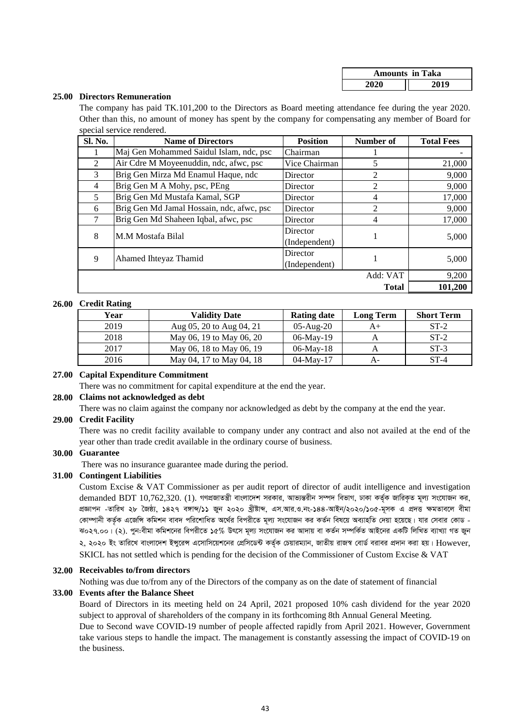| <b>Amounts in Taka</b> |      |  |  |  |
|------------------------|------|--|--|--|
| 2020                   | 2019 |  |  |  |

#### **25.00 Directors Remuneration**

The company has paid TK.101,200 to the Directors as Board meeting attendance fee during the year 2020. Other than this, no amount of money has spent by the company for compensating any member of Board for special service rendered.

| Sl. No.        | <b>Name of Directors</b>                  | <b>Position</b> | <b>Number of</b> | <b>Total Fees</b> |  |
|----------------|-------------------------------------------|-----------------|------------------|-------------------|--|
| I.             | Maj Gen Mohammed Saidul Islam, ndc, psc   | Chairman        |                  |                   |  |
| 2              | Air Cdre M Moyeenuddin, ndc, afwc, psc    | Vice Chairman   | 5                | 21,000            |  |
| 3              | Brig Gen Mirza Md Enamul Haque, ndc       | Director        | 2                | 9,000             |  |
| $\overline{4}$ | Brig Gen M A Mohy, psc, PEng              | Director        | 2                | 9,000             |  |
| 5              | Brig Gen Md Mustafa Kamal, SGP            | Director        | 4                | 17,000            |  |
| 6              | Brig Gen Md Jamal Hossain, ndc, afwc, psc | Director        | $\mathfrak{D}$   | 9,000             |  |
|                | Brig Gen Md Shaheen Iqbal, afwc, psc      | Director        | $\overline{4}$   | 17,000            |  |
| 8              | M.M Mostafa Bilal                         | Director        | 1                | 5,000             |  |
|                |                                           | (Independent)   |                  |                   |  |
| 9              | Ahamed Ihteyaz Thamid                     | Director        | 1                | 5,000             |  |
|                |                                           | (Independent)   |                  |                   |  |
|                |                                           |                 | Add: VAT         | 9,200             |  |
|                |                                           |                 | <b>Total</b>     | 101,200           |  |

#### **26.00 Credit Rating**

| Year | <b>Validity Date</b>     | <b>Rating date</b> | <b>Long Term</b> | <b>Short Term</b> |
|------|--------------------------|--------------------|------------------|-------------------|
| 2019 | Aug 05, 20 to Aug 04, 21 | $05$ -Aug- $20$    | A+               | $ST-2$            |
| 2018 | May 06, 19 to May 06, 20 | $06$ -May-19       |                  | $ST-2$            |
| 2017 | May 06, 18 to May 06, 19 | $06$ -May-18       |                  | $ST-3$            |
| 2016 | May 04, 17 to May 04, 18 | $04$ -May-17       | А-               | $ST-4$            |

#### **27.00 Capital Expenditure Commitment**

There was no commitment for capital expenditure at the end the year.

#### **28.00 Claims not acknowledged as debt**

There was no claim against the company nor acknowledged as debt by the company at the end the year.

#### **29.00 Credit Facility**

There was no credit facility available to company under any contract and also not availed at the end of the year other than trade credit available in the ordinary course of business.

#### **30.00 Guarantee**

There was no insurance guarantee made during the period.

#### **31.00 Contingent Liabilities**

Custom Excise & VAT Commissioner as per audit report of director of audit intelligence and investigation  $d$ emanded BDT 10,762,320. (1). গণপ্রজাতন্ত্রী বাংলাদেশ সরকার, আভ্যন্তরীন সম্পদ বিভাগ, ঢাকা কর্তৃক জারিকৃত মূল্য সংযোজন কর, *cÖÁvcb -ZvwiL 28 ˆRô¨, 1427 e½vã/11 Ryb 2020 Lªxóvã, Gm.Avi.I.bs-144-AvBb/2020/105-g~mK G cÖ`Ë ÿgZve‡j exgv* কোম্পানী কর্তৃক এজেন্সি কমিশন বাবদ পরিশোধিত অর্থের বিপরীতে মূল্য সংযোজন কর কর্তন বিষয়ে অব্যাহতি দেয়া হয়েছে। যার সেবার কোড -ঝ০২৭.০০। (২). পুন:বীমা কমিশনের বিপরীতে ১৫% উৎসে মূল্য সংযোজন কর আদায় বা কর্তন সম্পর্কিত আইনের একটি লিখিত ব্যাখ্যা গত জুন ২, ২০২০ ইং তারিখে বাংলাদেশ ইন্সরেঙ্গ এসোসিয়েশনের প্রেসিডেন্ট কর্তৃক চেয়ারম্যান, জাতীয় রাজস্ব বোর্ড বরাবর প্রদান করা হয়। However, SKICL has not settled which is pending for the decision of the Commissioner of Custom Excise & VAT

#### **32.00 Receivables to/from directors**

Nothing was due to/from any of the Directors of the company as on the date of statement of financial

#### **33.00 Events after the Balance Sheet**

Board of Directors in its meeting held on 24 April, 2021 proposed 10% cash dividend for the year 2020 subject to approval of shareholders of the company in its forthcoming 8th Annual General Meeting.

Due to Second wave COVID-19 number of people affected rapidly from April 2021. However, Government take various steps to handle the impact. The management is constantly assessing the impact of COVID-19 on the business.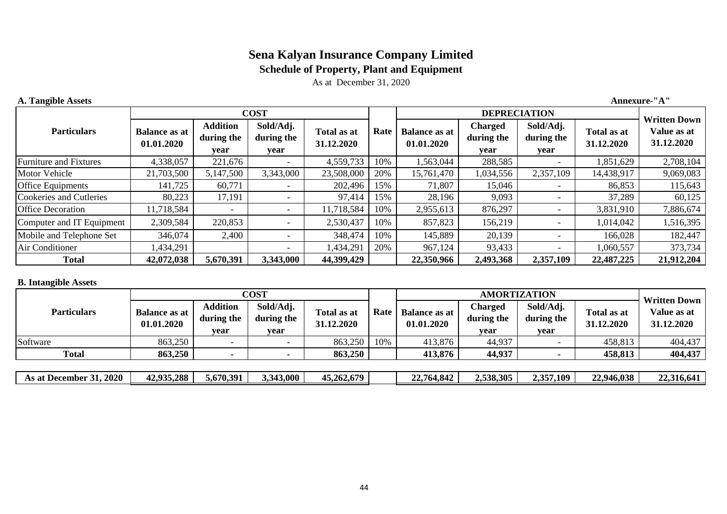## **Schedule of Property, Plant and Equipment**

**Annexure-"A"**

As at December 31, 2020

| <b>A. Tangible Assets</b> |  |
|---------------------------|--|
|---------------------------|--|

|                                |                                    |                                       | <b>COST</b>                     |                           |      | <b>DEPRECIATION</b>                |                                      |                                 |                                  |                                                  |
|--------------------------------|------------------------------------|---------------------------------------|---------------------------------|---------------------------|------|------------------------------------|--------------------------------------|---------------------------------|----------------------------------|--------------------------------------------------|
| <b>Particulars</b>             | <b>Balance as at</b><br>01.01.2020 | <b>Addition</b><br>during the<br>year | Sold/Adj.<br>during the<br>year | Total as at<br>31.12.2020 | Rate | <b>Balance as at</b><br>01.01.2020 | <b>Charged</b><br>during the<br>year | Sold/Adj.<br>during the<br>year | <b>Total as at</b><br>31.12.2020 | <b>Written Down</b><br>Value as at<br>31.12.2020 |
| <b>Furniture and Fixtures</b>  | 4,338,057                          | 221,676                               |                                 | 4,559,733                 | 10%  | 1,563,044                          | 288,585                              |                                 | 1,851,629                        | 2,708,104                                        |
| <b>Motor Vehicle</b>           | 21,703,500                         | 5,147,500                             | 3,343,000                       | 23,508,000                | 20%  | 15,761,470                         | 1,034,556                            | 2,357,109                       | 14,438,917                       | 9,069,083                                        |
| <b>Office Equipments</b>       | 141,725                            | 60,771                                |                                 | 202,496                   | 15%  | 71,807                             | 15,046                               |                                 | 86,853                           | 115,643                                          |
| <b>Cookeries and Cutleries</b> | 80,223                             | 17,191                                |                                 | 97,414                    | 15%  | 28,196                             | 9,093                                |                                 | 37,289                           | 60,125                                           |
| <b>Office Decoration</b>       | 11,718,584                         |                                       | $\overline{\phantom{a}}$        | 11,718,584                | 10%  | 2,955,613                          | 876,297                              |                                 | 3,831,910                        | 7,886,674                                        |
| Computer and IT Equipment      | 2,309,584                          | 220,853                               | $\overline{\phantom{0}}$        | 2,530,437                 | 10%  | 857,823                            | 156,219                              |                                 | 1,014,042                        | 1,516,395                                        |
| Mobile and Telephone Set       | 346,074                            | 2,400                                 |                                 | 348,474                   | 10%  | 145,889                            | 20,139                               |                                 | 166,028                          | 182,447                                          |
| Air Conditioner                | 434,291                            |                                       |                                 | 1,434,291                 | 20%  | 967,124                            | 93,433                               |                                 | 1,060,557                        | 373,734                                          |
| <b>Total</b>                   | 42,072,038                         | 5,670,391                             | 3,343,000                       | 44,399,429                |      | 22,350,966                         | 2,493,368                            | 2,357,109                       | 22,487,225                       | 21,912,204                                       |

#### **B. Intangible Assets**

|                         | COST                               |                                       |                                 |                                   |     |                                    | <b>Written Down</b>           |                                 |                                  |                           |
|-------------------------|------------------------------------|---------------------------------------|---------------------------------|-----------------------------------|-----|------------------------------------|-------------------------------|---------------------------------|----------------------------------|---------------------------|
| <b>Particulars</b>      | <b>Balance as at</b><br>01.01.2020 | <b>Addition</b><br>during the<br>vear | Sold/Adj.<br>during the<br>year | Rate<br>Total as at<br>31.12.2020 |     | <b>Balance as at</b><br>01.01.2020 | Charged<br>during the<br>vear | Sold/Adj.<br>during the<br>year | <b>Total as at</b><br>31.12.2020 | Value as at<br>31.12.2020 |
| Software                | 863,250                            |                                       |                                 | 863,250                           | 10% | 413,876                            | 44,937                        |                                 | 458,813                          | 404,437                   |
| <b>Total</b>            | 863,250                            |                                       |                                 | 863,250                           |     | 413,876                            | 44,937                        |                                 | 458,813                          | 404,437                   |
|                         |                                    |                                       |                                 |                                   |     |                                    |                               |                                 |                                  |                           |
| As at December 31, 2020 | 42,935,288                         | 5,670,391                             | 3,343,000                       | 45,262,679                        |     | 22,764,842                         | 2,538,305                     | 2,357,109                       | 22,946,038                       | 22,316,641                |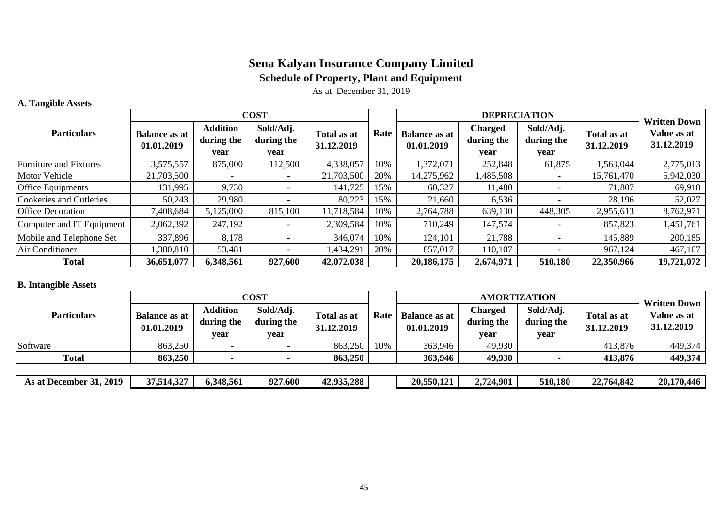## **Sena Kalyan Insurance Company Limited Schedule of Property, Plant and Equipment**

As at December 31, 2019

### **A. Tangible Assets**

|                                | <b>COST</b>                        |                                       |                                 |                           |      |                                    | <b>Written Down</b>                  |                                 |                           |                           |
|--------------------------------|------------------------------------|---------------------------------------|---------------------------------|---------------------------|------|------------------------------------|--------------------------------------|---------------------------------|---------------------------|---------------------------|
| <b>Particulars</b>             | <b>Balance as at</b><br>01.01.2019 | <b>Addition</b><br>during the<br>year | Sold/Adj.<br>during the<br>year | Total as at<br>31.12.2019 | Rate | <b>Balance as at</b><br>01.01.2019 | <b>Charged</b><br>during the<br>year | Sold/Adj.<br>during the<br>year | Total as at<br>31.12.2019 | Value as at<br>31.12.2019 |
| <b>Furniture and Fixtures</b>  | 3,575,557                          | 875,000                               | 112,500                         | 4,338,057                 | 10%  | 1,372,071                          | 252,848                              | 61,875                          | 1,563,044                 | 2,775,013                 |
| Motor Vehicle                  | 21,703,500                         |                                       |                                 | 21,703,500                | 20%  | 14,275,962                         | 485,508                              |                                 | 15,761,470                | 5,942,030                 |
| Office Equipments              | 131,995                            | 9,730                                 |                                 | 141,725                   | 15%  | 60,327                             | 11,480                               |                                 | 71,807                    | 69,918                    |
| <b>Cookeries and Cutleries</b> | 50,243                             | 29,980                                |                                 | 80,223                    | 15%  | 21,660                             | 6,536                                |                                 | 28,196                    | 52,027                    |
| <b>Office Decoration</b>       | 7,408,684                          | 5,125,000                             | 815,100                         | 11,718,584                | 10%  | 2,764,788                          | 639,130                              | 448,305                         | 2,955,613                 | 8,762,971                 |
| Computer and IT Equipment      | 2,062,392                          | 247,192                               |                                 | 2,309,584                 | 10%  | 710,249                            | 147,574                              |                                 | 857,823                   | 1,451,761                 |
| Mobile and Telephone Set       | 337,896                            | 8,178                                 |                                 | 346,074                   | 10%  | 124,101                            | 21,788                               |                                 | 145,889                   | 200,185                   |
| Air Conditioner                | 1,380,810                          | 53,481                                |                                 | 1,434,291                 | 20%  | 857,017                            | 110,107                              |                                 | 967,124                   | 467,167                   |
| <b>Total</b>                   | 36,651,077                         | 6,348,561                             | 927,600                         | 42,072,038                |      | 20,186,175                         | 2,674,971                            | 510,180                         | 22,350,966                | 19,721,072                |

#### **B. Intangible Assets**

|                         |                                    |                                       | <b>COST</b>                     |                           |      |                                    | <b>Written Down</b>           |                                 |                           |                           |
|-------------------------|------------------------------------|---------------------------------------|---------------------------------|---------------------------|------|------------------------------------|-------------------------------|---------------------------------|---------------------------|---------------------------|
| <b>Particulars</b>      | <b>Balance as at</b><br>01.01.2019 | <b>Addition</b><br>during the<br>year | Sold/Adj.<br>during the<br>year | Total as at<br>31.12.2019 | Rate | <b>Balance as at</b><br>01.01.2019 | Charged<br>during the<br>vear | Sold/Adj.<br>during the<br>year | Total as at<br>31.12.2019 | Value as at<br>31.12.2019 |
| Software                | 863,250                            |                                       |                                 | 863,250                   | 10%  | 363,946                            | 49,930                        |                                 | 413,876                   | 449,374                   |
| <b>Total</b>            | 863,250                            | $\overline{\phantom{0}}$              |                                 | 863,250                   |      | 363,946                            | 49,930                        |                                 | 413,876                   | 449,374                   |
|                         |                                    |                                       |                                 |                           |      |                                    |                               |                                 |                           |                           |
| As at December 31, 2019 | 37,514,327                         | 6,348,561                             | 927,600                         | 42,935,288                |      | 20,550,121                         | 2,724,901                     | 510,180                         | 22,764,842                | 20,170,446                |

| 2019<br>As at !<br>.cember<br>Dec | 27.54<br>$\big)$<br>37.514.32 | $-1$<br>6,348,561 | $0^{\sim}$<br>$7.600 -$ | 42,935,288<br>42.035 | $-$<br>20,550,121 | .4,901<br>. ه | 510,180 | 22.764,84. | 170<br>$\overline{\phantom{a}}$<br>20.<br>'0.446 |
|-----------------------------------|-------------------------------|-------------------|-------------------------|----------------------|-------------------|---------------|---------|------------|--------------------------------------------------|
|                                   |                               |                   |                         |                      |                   |               |         |            |                                                  |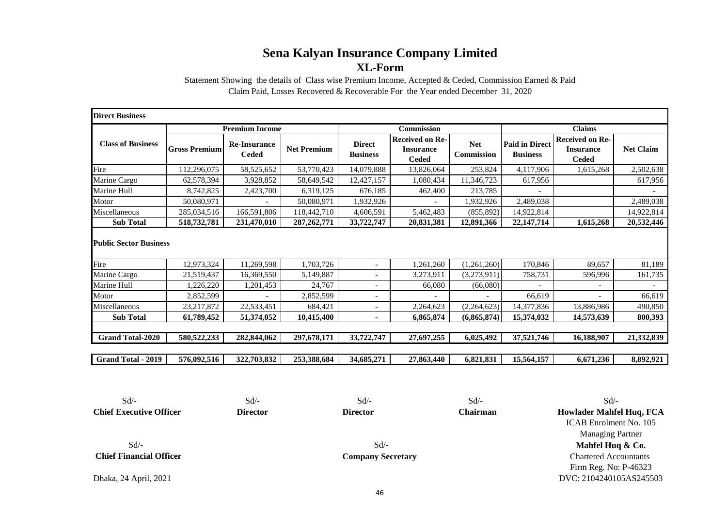Statement Showing the details of Class wise Premium Income, Accepted & Ceded, Commission Earned & Paid Claim Paid, Losses Recovered & Recoverable For the Year ended December 31, 2020

| <b>Direct Business</b>                |                      |                                     |                    |                                  |                                                            |                          |                                          |                                                            |                  |  |
|---------------------------------------|----------------------|-------------------------------------|--------------------|----------------------------------|------------------------------------------------------------|--------------------------|------------------------------------------|------------------------------------------------------------|------------------|--|
|                                       |                      | <b>Premium Income</b>               |                    |                                  | <b>Commission</b>                                          |                          | <b>Claims</b>                            |                                                            |                  |  |
| <b>Class of Business</b>              | <b>Gross Premium</b> | <b>Re-Insurance</b><br><b>Ceded</b> | <b>Net Premium</b> | <b>Direct</b><br><b>Business</b> | <b>Received on Re-</b><br><b>Insurance</b><br><b>Ceded</b> | <b>Net</b><br>Commission | <b>Paid in Direct</b><br><b>Business</b> | <b>Received on Re-</b><br><b>Insurance</b><br><b>Ceded</b> | <b>Net Claim</b> |  |
| Fire                                  | 112,296,075          | 58, 525, 652                        | 53,770,423         | 14,079,888                       | 13,826,064                                                 | 253,824                  | 4,117,906                                | 1,615,268                                                  | 2,502,638        |  |
| Marine Cargo                          | 62,578,394           | 3,928,852                           | 58,649,542         | 12,427,157                       | 1,080,434                                                  | 11,346,723               | 617,956                                  |                                                            | 617,956          |  |
| Marine Hull                           | 8,742,825            | 2,423,700                           | 6,319,125          | 676,185                          | 462,400                                                    | 213,785                  |                                          |                                                            |                  |  |
| Motor                                 | 50,080,971           |                                     | 50,080,971         | 1,932,926                        |                                                            | 1,932,926                | 2,489,038                                |                                                            | 2,489,038        |  |
| Miscellaneous                         | 285,034,516          | 166,591,806                         | 118,442,710        | 4,606,591                        | 5,462,483                                                  | (855, 892)               | 14,922,814                               |                                                            | 14,922,814       |  |
| <b>Sub Total</b>                      | 518,732,781          | 231,470,010                         | 287, 262, 771      | 33,722,747                       | 20,831,381                                                 | 12,891,366               | 22,147,714                               | 1,615,268                                                  | 20,532,446       |  |
| <b>Public Sector Business</b><br>Fire | 12,973,324           | 11,269,598                          | 1,703,726          | $\overline{\phantom{0}}$         | 1,261,260                                                  | (1,261,260)              | 170,846                                  | 89.657                                                     | 81,189           |  |
| Marine Cargo                          | 21,519,437           | 16,369,550                          | 5,149,887          | $\overline{\phantom{0}}$         | 3,273,911                                                  | (3,273,911)              | 758,731                                  | 596,996                                                    | 161,735          |  |
| Marine Hull                           | 1,226,220            | 1,201,453                           | 24,767             | $\overline{\phantom{0}}$         | 66,080                                                     | (66,080)                 |                                          |                                                            |                  |  |
| Motor                                 | 2,852,599            |                                     | 2,852,599          | $\overline{\phantom{a}}$         |                                                            |                          | 66.619                                   |                                                            | 66,619           |  |
| Miscellaneous                         | 23, 217, 872         | 22,533,451                          | 684,421            | $\overline{\phantom{0}}$         | 2,264,623                                                  | (2,264,623)              | 14,377,836                               | 13,886,986                                                 | 490,850          |  |
| <b>Sub Total</b>                      | 61,789,452           | 51,374,052                          | 10,415,400         |                                  | 6,865,874                                                  | (6,865,874)              | 15,374,032                               | 14,573,639                                                 | 800,393          |  |
| <b>Grand Total-2020</b>               | 580, 522, 233        | 282,844,062                         | 297,678,171        | 33,722,747                       | 27,697,255                                                 | 6,025,492                | 37,521,746                               | 16,188,907                                                 | 21,332,839       |  |
| <b>Grand Total - 2019</b>             | 576,092,516          | 322,703,832                         | 253,388,684        | 34,685,271                       | 27,863,440                                                 | 6,821,831                | 15,564,157                               | 6,671,236                                                  | 8,892,921        |  |

 $Sd$   $\sim$   $Sd$   $\sim$   $Sd$   $\sim$   $Sd$   $\sim$ **Chief Executive Officer Director Director Chairman**

Sd/- Firm Reg. No: P-46323 DVC: 2104240105AS245503 Managing Partner **Mahfel Huq & Co.** Chartered Accountants **Howlader Mahfel Huq, FCA** ICAB Enrolment No. 105

 $Sd$ - $Sd$ - **Chief Financial Officer Company Secretary**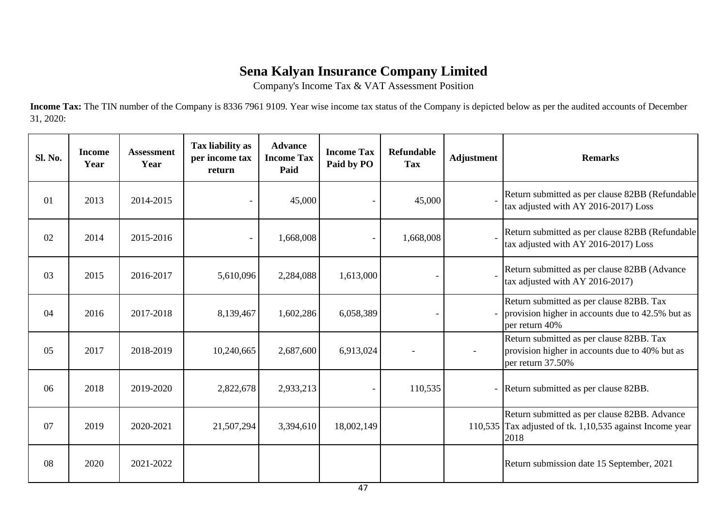Company's Income Tax & VAT Assessment Position

**Income Tax:** The TIN number of the Company is 8336 7961 9109. Year wise income tax status of the Company is depicted below as per the audited accounts of December 31, 2020:

| Sl. No. | <b>Income</b><br>Year | <b>Assessment</b><br>Year | Tax liability as<br>per income tax<br>return | <b>Advance</b><br><b>Income Tax</b><br>Paid | <b>Income Tax</b><br>Paid by PO | <b>Refundable</b><br><b>Tax</b> | <b>Adjustment</b> | <b>Remarks</b>                                                                                                             |
|---------|-----------------------|---------------------------|----------------------------------------------|---------------------------------------------|---------------------------------|---------------------------------|-------------------|----------------------------------------------------------------------------------------------------------------------------|
| 01      | 2013                  | 2014-2015                 |                                              | 45,000                                      |                                 | 45,000                          |                   | Return submitted as per clause 82BB (Refundable<br>tax adjusted with AY 2016-2017) Loss                                    |
| 02      | 2014                  | 2015-2016                 |                                              | 1,668,008                                   | $\overline{\phantom{a}}$        | 1,668,008                       |                   | Return submitted as per clause 82BB (Refundable<br>tax adjusted with AY 2016-2017) Loss                                    |
| 03      | 2015                  | 2016-2017                 | 5,610,096                                    | 2,284,088                                   | 1,613,000                       |                                 |                   | Return submitted as per clause 82BB (Advance<br>tax adjusted with AY 2016-2017)                                            |
| 04      | 2016                  | 2017-2018                 | 8,139,467                                    | 1,602,286                                   | 6,058,389                       |                                 |                   | Return submitted as per clause 82BB. Tax<br>provision higher in accounts due to 42.5% but as<br>per return 40%             |
| 05      | 2017                  | 2018-2019                 | 10,240,665                                   | 2,687,600                                   | 6,913,024                       |                                 |                   | Return submitted as per clause 82BB. Tax<br>provision higher in accounts due to 40% but as<br>per return 37.50%            |
| 06      | 2018                  | 2019-2020                 | 2,822,678                                    | 2,933,213                                   | $\overline{\phantom{a}}$        | 110,535                         |                   | - Return submitted as per clause 82BB.                                                                                     |
| 07      | 2019                  | 2020-2021                 | 21,507,294                                   | 3,394,610                                   | 18,002,149                      |                                 |                   | Return submitted as per clause 82BB. Advance<br>110,535 $\text{Tax adjusted of }$ tk. 1,10,535 against Income year<br>2018 |
| 08      | 2020                  | 2021-2022                 |                                              |                                             |                                 |                                 |                   | Return submission date 15 September, 2021                                                                                  |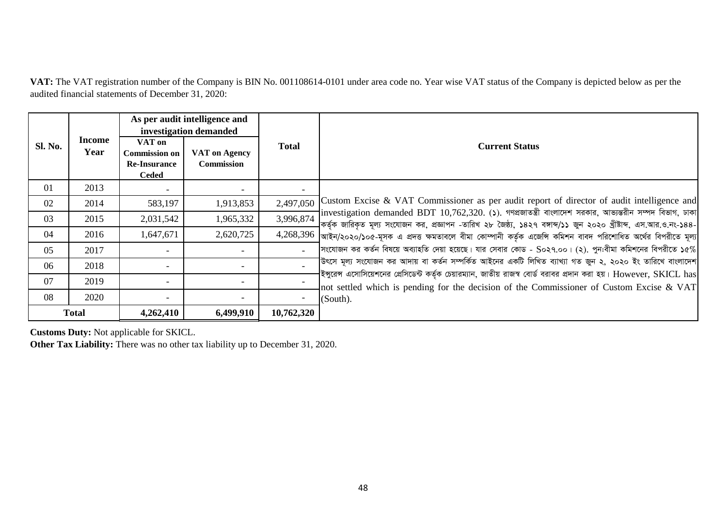**VAT:** The VAT registration number of the Company is BIN No. 001108614-0101 under area code no. Year wise VAT status of the Company is depicted below as per the audited financial statements of December 31, 2020:

|         |                |                                                                       | As per audit intelligence and<br>investigation demanded |              |                                                                                                                                                                                                                                                                                                                                                |  |  |  |  |  |  |
|---------|----------------|-----------------------------------------------------------------------|---------------------------------------------------------|--------------|------------------------------------------------------------------------------------------------------------------------------------------------------------------------------------------------------------------------------------------------------------------------------------------------------------------------------------------------|--|--|--|--|--|--|
| Sl. No. | Income<br>Year | VAT on<br><b>Commission on</b><br><b>Re-Insurance</b><br><b>Ceded</b> | VAT on Agency<br><b>Commission</b>                      | <b>Total</b> | <b>Current Status</b>                                                                                                                                                                                                                                                                                                                          |  |  |  |  |  |  |
| 01      | 2013           |                                                                       |                                                         |              |                                                                                                                                                                                                                                                                                                                                                |  |  |  |  |  |  |
| 02      | 2014           | 583,197                                                               | 1,913,853                                               | 2,497,050    | Custom Excise & VAT Commissioner as per audit report of director of audit intelligence and<br>$\left  \right $ investigation demanded BDT 10,762,320. (১). গণপ্রজাতন্ত্রী বাংলাদেশ সরকার, আভ্যন্তরীন সম্পদ বিভাগ, ঢাকা<br>]কর্তৃক জারিকৃত মূল্য সংযোজন কর, প্রজ্ঞাপন -তারিখ ২৮ জৈষ্ঠ্য, ১৪২৭ বঙ্গাব্দ/১১ জুন ২০২০ খ্রীষ্টাব্দ, এস.আর.ও.নং-১৪৪- |  |  |  |  |  |  |
| 03      | 2015           | 2,031,542                                                             | 1,965,332                                               | 3,996,874    |                                                                                                                                                                                                                                                                                                                                                |  |  |  |  |  |  |
| 04      | 2016           | 1,647,671                                                             | 2,620,725                                               |              | $4,268,396$ আইন/২০২০/১০৫-মূসক এ প্রদত্ত ক্ষমতাবলে বীমা কোম্পানী কর্তৃক এজেন্সি কমিশন বাবদ পরিশোধিত অর্থের বিপরীতে মূল্য                                                                                                                                                                                                                        |  |  |  |  |  |  |
| 05      | 2017           |                                                                       |                                                         |              | সংযোজন কর কর্তন বিষয়ে অব্যাহতি দেয়া হয়েছে। যার সেবার কোড - So২৭.০০। (২). পুন:বীমা কমিশনের বিপরীতে ১৫%                                                                                                                                                                                                                                       |  |  |  |  |  |  |
| 06      | 2018           |                                                                       |                                                         |              | 'উৎসে মূল্য সংযোজন কর আদায় বা কর্তন সম্পর্কিত আইনের একটি লিখিত ব্যাখ্যা গত জুন ২, ২০২০ ইং তারিখে বাংলাদেশ                                                                                                                                                                                                                                     |  |  |  |  |  |  |
| 07      | 2019           |                                                                       |                                                         |              | $ $ ইঙ্গুরেন্স এসোসিয়েশনের প্রেসিডেন্ট কর্তৃক চেয়ারম্যান, জাতীয় রাজস্ব বোর্ড বরাবর প্রদান করা হয়। ${\rm However,~SKICL~has}$<br>not settled which is pending for the decision of the Commissioner of Custom Excise & VAT                                                                                                                   |  |  |  |  |  |  |
| 08      | 2020           |                                                                       | $\overline{\phantom{a}}$                                |              | (South).                                                                                                                                                                                                                                                                                                                                       |  |  |  |  |  |  |
|         | <b>Total</b>   | 4,262,410                                                             | 6,499,910                                               | 10,762,320   |                                                                                                                                                                                                                                                                                                                                                |  |  |  |  |  |  |

**Customs Duty:** Not applicable for SKICL.

**Other Tax Liability:** There was no other tax liability up to December 31, 2020.